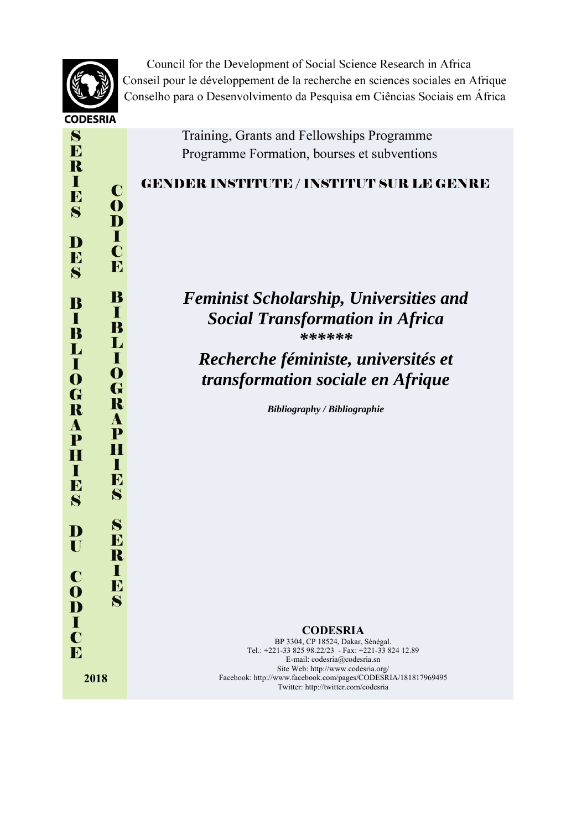

 $\mathbf C$ 

 $\mathbf 0$ 

D п

 $\mathbf C$ 

E

B

п

B

L

п

O

G

 $\mathbf R$ 

A

P

H

ш

B

 $\mathbf{S}$ 

S

 $\bf{D}$ 

R T

E

 $\mathbf{S}$ 

 $\mathbf{S}$ 

E

R  $\mathbf I$ 

E

 $\mathbf{S}$ 

D

IĐ

 $\mathbf{S}$ 

B

 $\mathbf I$ 

B

L

 $\mathbf I$ 

 $\boldsymbol{0}$ 

G

R

 $\boldsymbol{A}$ 

P

H

T

E

 $\mathbf{S}$ 

D

 $\blacksquare$ 

 $\mathbf C$ 

 $\mathbf \Omega$ 

D T  $\mathbf C$ E

Council for the Development of Social Science Research in Africa Conseil pour le développement de la recherche en sciences sociales en Afrique Conselho para o Desenvolvimento da Pesquisa em Ciências Sociais em África

> Training, Grants and Fellowships Programme Programme Formation, bourses et subventions

## **GENDER INSTITUTE / INSTITUT SUR LE GENRE**

## *Feminist Scholarship, Universities and Social Transformation in Africa \*\*\*\*\*\**

## *Recherche féministe, universités et transformation sociale en Afrique*

*Bibliography / Bibliographie* 

## **CODESRIA**

BP 3304, CP 18524, Dakar, Sénégal. Tel.: +221-33 825 98.22/23 - Fax: +221-33 824 12.89 E-mail: codesria@codesria.sn Site Web: http://www.codesria.org/ Facebook: http://www.facebook.com/pages/CODESRIA/181817969495 Twitter: http://twitter.com/codesria

**2018**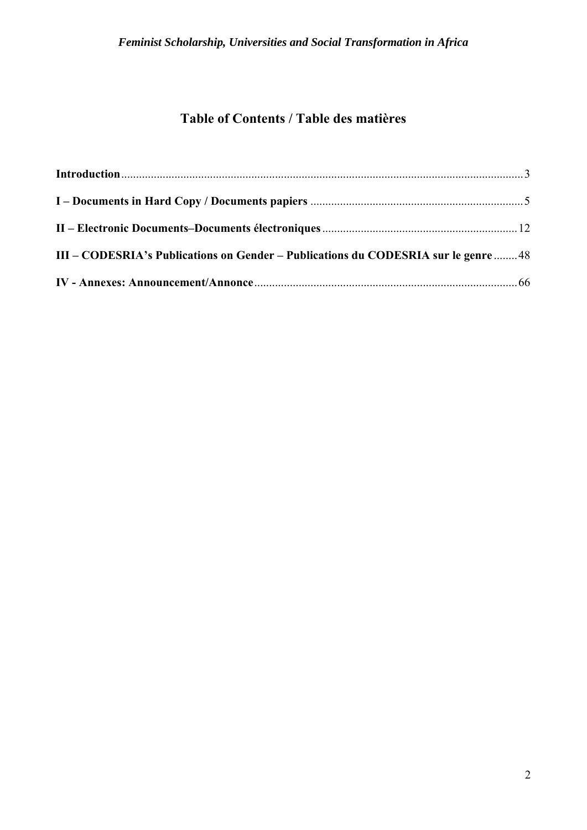## **Table of Contents / Table des matières**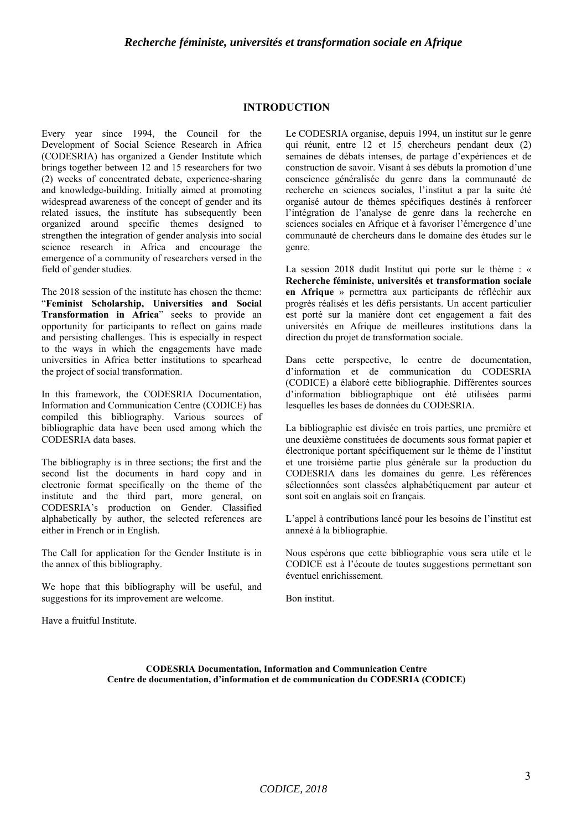#### **INTRODUCTION**

Every year since 1994, the Council for the Development of Social Science Research in Africa (CODESRIA) has organized a Gender Institute which brings together between 12 and 15 researchers for two (2) weeks of concentrated debate, experience-sharing and knowledge-building. Initially aimed at promoting widespread awareness of the concept of gender and its related issues, the institute has subsequently been organized around specific themes designed to strengthen the integration of gender analysis into social science research in Africa and encourage the emergence of a community of researchers versed in the field of gender studies.

The 2018 session of the institute has chosen the theme: "**Feminist Scholarship, Universities and Social Transformation in Africa**" seeks to provide an opportunity for participants to reflect on gains made and persisting challenges. This is especially in respect to the ways in which the engagements have made universities in Africa better institutions to spearhead the project of social transformation.

In this framework, the CODESRIA Documentation, Information and Communication Centre (CODICE) has compiled this bibliography. Various sources of bibliographic data have been used among which the CODESRIA data bases.

The bibliography is in three sections; the first and the second list the documents in hard copy and in electronic format specifically on the theme of the institute and the third part, more general, on CODESRIA's production on Gender. Classified alphabetically by author, the selected references are either in French or in English.

The Call for application for the Gender Institute is in the annex of this bibliography.

We hope that this bibliography will be useful, and suggestions for its improvement are welcome.

Have a fruitful Institute.

Le CODESRIA organise, depuis 1994, un institut sur le genre qui réunit, entre 12 et 15 chercheurs pendant deux (2) semaines de débats intenses, de partage d'expériences et de construction de savoir. Visant à ses débuts la promotion d'une conscience généralisée du genre dans la communauté de recherche en sciences sociales, l'institut a par la suite été organisé autour de thèmes spécifiques destinés à renforcer l'intégration de l'analyse de genre dans la recherche en sciences sociales en Afrique et à favoriser l'émergence d'une communauté de chercheurs dans le domaine des études sur le genre.

La session 2018 dudit Institut qui porte sur le thème : « **Recherche féministe, universités et transformation sociale en Afrique** » permettra aux participants de réfléchir aux progrès réalisés et les défis persistants. Un accent particulier est porté sur la manière dont cet engagement a fait des universités en Afrique de meilleures institutions dans la direction du projet de transformation sociale.

Dans cette perspective, le centre de documentation, d'information et de communication du CODESRIA (CODICE) a élaboré cette bibliographie. Différentes sources d'information bibliographique ont été utilisées parmi lesquelles les bases de données du CODESRIA.

La bibliographie est divisée en trois parties, une première et une deuxième constituées de documents sous format papier et électronique portant spécifiquement sur le thème de l'institut et une troisième partie plus générale sur la production du CODESRIA dans les domaines du genre. Les références sélectionnées sont classées alphabétiquement par auteur et sont soit en anglais soit en français.

L'appel à contributions lancé pour les besoins de l'institut est annexé à la bibliographie.

Nous espérons que cette bibliographie vous sera utile et le CODICE est à l'écoute de toutes suggestions permettant son éventuel enrichissement.

Bon institut.

**CODESRIA Documentation, Information and Communication Centre Centre de documentation, d'information et de communication du CODESRIA (CODICE)**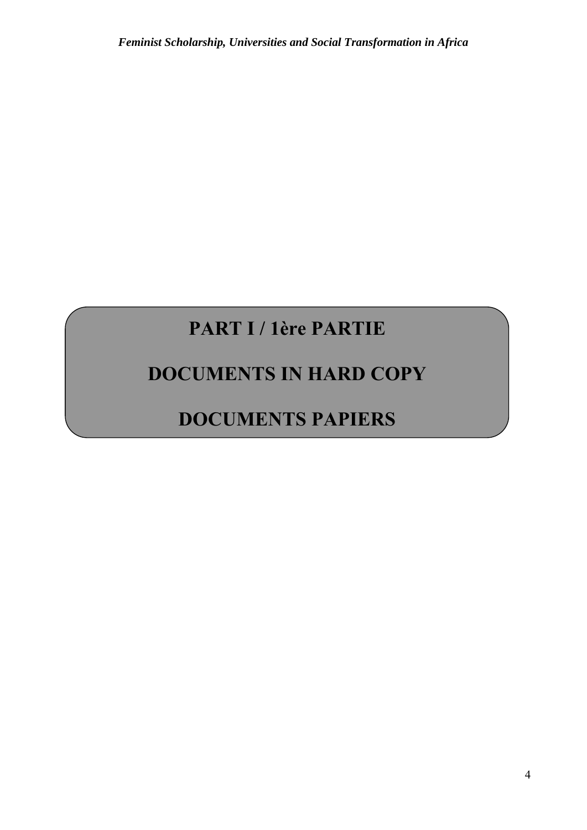# **PART I / 1ère PARTIE**

## **DOCUMENTS IN HARD COPY**

# **DOCUMENTS PAPIERS**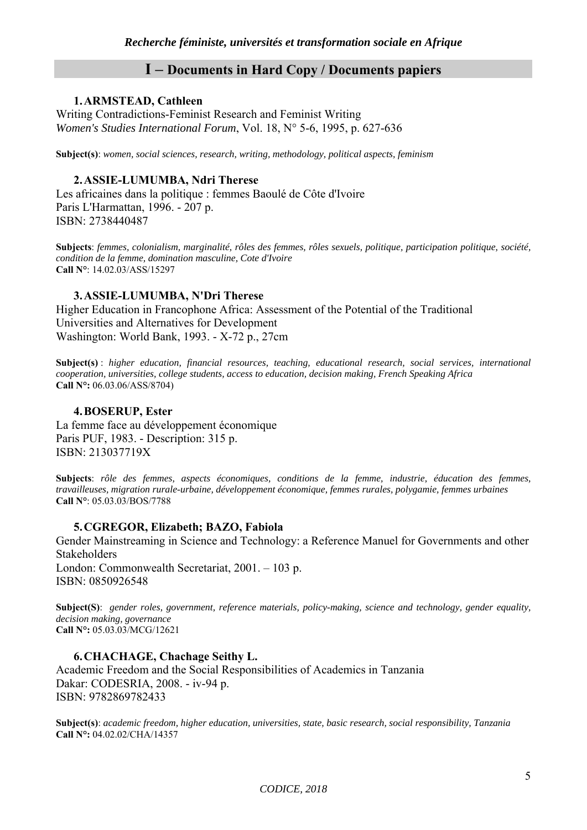## **I – Documents in Hard Copy / Documents papiers**

## **1.ARMSTEAD, Cathleen**

Writing Contradictions-Feminist Research and Feminist Writing *Women's Studies International Forum*, Vol. 18, N° 5-6, 1995, p. 627-636

**Subject(s)**: *women, social sciences, research, writing, methodology, political aspects, feminism*

## **2.ASSIE-LUMUMBA, Ndri Therese**

Les africaines dans la politique : femmes Baoulé de Côte d'Ivoire Paris L'Harmattan, 1996. - 207 p. ISBN: 2738440487

**Subjects**: *femmes, colonialism, marginalité, rôles des femmes, rôles sexuels, politique, participation politique, société, condition de la femme, domination masculine, Cote d'Ivoire*  **Call N°**: 14.02.03/ASS/15297

## **3.ASSIE-LUMUMBA, N'Dri Therese**

Higher Education in Francophone Africa: Assessment of the Potential of the Traditional Universities and Alternatives for Development Washington: World Bank, 1993. - X-72 p., 27cm

**Subject(s)** : *higher education, financial resources, teaching, educational research, social services, international cooperation, universities, college students, access to education, decision making, French Speaking Africa*  **Call N°:** 06.03.06/ASS/8704)

## **4.BOSERUP, Ester**

La femme face au développement économique Paris PUF, 1983. - Description: 315 p. ISBN: 213037719X

**Subjects**: *rôle des femmes, aspects économiques, conditions de la femme, industrie, éducation des femmes, travailleuses, migration rurale-urbaine, développement économique, femmes rurales, polygamie, femmes urbaines*  **Call N°**: 05.03.03/BOS/7788

## **5.CGREGOR, Elizabeth; BAZO, Fabiola**

Gender Mainstreaming in Science and Technology: a Reference Manuel for Governments and other Stakeholders London: Commonwealth Secretariat, 2001. – 103 p. ISBN: 0850926548

**Subject(S)**: *gender roles, government, reference materials, policy-making, science and technology, gender equality, decision making, governance*  **Call N°:** 05.03.03/MCG/12621

## **6.CHACHAGE, Chachage Seithy L.**

Academic Freedom and the Social Responsibilities of Academics in Tanzania Dakar: CODESRIA, 2008. - iv-94 p. ISBN: 9782869782433

**Subject(s)**: *academic freedom, higher education, universities, state, basic research, social responsibility, Tanzania*  **Call N°:** 04.02.02/CHA/14357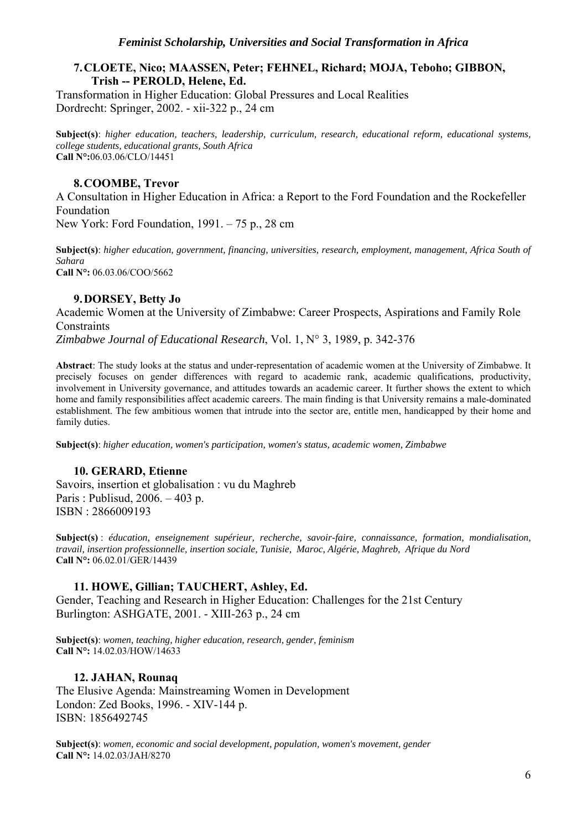## **7.CLOETE, Nico; MAASSEN, Peter; FEHNEL, Richard; MOJA, Teboho; GIBBON, Trish -- PEROLD, Helene, Ed.**

Transformation in Higher Education: Global Pressures and Local Realities Dordrecht: Springer, 2002. - xii-322 p., 24 cm

**Subject(s)**: *higher education, teachers, leadership, curriculum, research, educational reform, educational systems, college students, educational grants, South Africa*  **Call N°:**06.03.06/CLO/14451

## **8.COOMBE, Trevor**

A Consultation in Higher Education in Africa: a Report to the Ford Foundation and the Rockefeller Foundation New York: Ford Foundation, 1991. – 75 p., 28 cm

**Subject(s)**: *higher education, government, financing, universities, research, employment, management, Africa South of Sahara*  **Call N°:** 06.03.06/COO/5662

## **9.DORSEY, Betty Jo**

Academic Women at the University of Zimbabwe: Career Prospects, Aspirations and Family Role **Constraints** 

*Zimbabwe Journal of Educational Research*, Vol. 1, N° 3, 1989, p. 342-376

**Abstract**: The study looks at the status and under-representation of academic women at the University of Zimbabwe. It precisely focuses on gender differences with regard to academic rank, academic qualifications, productivity, involvement in University governance, and attitudes towards an academic career. It further shows the extent to which home and family responsibilities affect academic careers. The main finding is that University remains a male-dominated establishment. The few ambitious women that intrude into the sector are, entitle men, handicapped by their home and family duties.

**Subject(s)**: *higher education, women's participation, women's status, academic women, Zimbabwe* 

## **10. GERARD, Etienne**

Savoirs, insertion et globalisation : vu du Maghreb Paris : Publisud, 2006. – 403 p. ISBN : 2866009193

**Subject(s)** : *éducation, enseignement supérieur, recherche, savoir-faire, connaissance, formation, mondialisation, travail, insertion professionnelle, insertion sociale, Tunisie, Maroc, Algérie, Maghreb, Afrique du Nord*  **Call N°:** 06.02.01/GER/14439

## **11. HOWE, Gillian; TAUCHERT, Ashley, Ed.**

Gender, Teaching and Research in Higher Education: Challenges for the 21st Century Burlington: ASHGATE, 2001. - XIII-263 p., 24 cm

**Subject(s)**: *women, teaching, higher education, research, gender, feminism* **Call N°:** 14.02.03/HOW/14633

## **12. JAHAN, Rounaq**

The Elusive Agenda: Mainstreaming Women in Development London: Zed Books, 1996. - XIV-144 p. ISBN: 1856492745

**Subject(s)**: *women, economic and social development, population, women's movement, gender* **Call N°:** 14.02.03/JAH/8270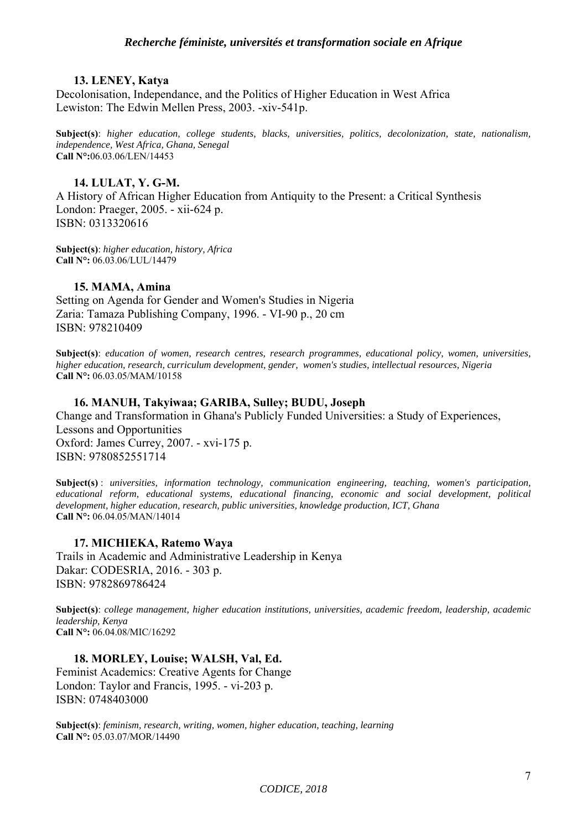#### **13. LENEY, Katya**

Decolonisation, Independance, and the Politics of Higher Education in West Africa Lewiston: The Edwin Mellen Press, 2003. -xiv-541p.

**Subject(s)**: *higher education, college students, blacks, universities, politics, decolonization, state, nationalism, independence, West Africa, Ghana, Senegal* **Call N°:**06.03.06/LEN/14453

#### **14. LULAT, Y. G-M.**

A History of African Higher Education from Antiquity to the Present: a Critical Synthesis London: Praeger, 2005. - xii-624 p. ISBN: 0313320616

**Subject(s)**: *higher education, history, Africa* **Call N°:** 06.03.06/LUL/14479

#### **15. MAMA, Amina**

Setting on Agenda for Gender and Women's Studies in Nigeria Zaria: Tamaza Publishing Company, 1996. - VI-90 p., 20 cm ISBN: 978210409

**Subject(s)**: *education of women, research centres, research programmes, educational policy, women, universities, higher education, research, curriculum development, gender, women's studies, intellectual resources, Nigeria* **Call N°:** 06.03.05/MAM/10158

#### **16. MANUH, Takyiwaa; GARIBA, Sulley; BUDU, Joseph**

Change and Transformation in Ghana's Publicly Funded Universities: a Study of Experiences, Lessons and Opportunities Oxford: James Currey, 2007. - xvi-175 p. ISBN: 9780852551714

**Subject(s)** : *universities, information technology, communication engineering, teaching, women's participation, educational reform, educational systems, educational financing, economic and social development, political development, higher education, research, public universities, knowledge production, ICT, Ghana*  **Call N°:** 06.04.05/MAN/14014

#### **17. MICHIEKA, Ratemo Waya**

Trails in Academic and Administrative Leadership in Kenya Dakar: CODESRIA, 2016. - 303 p. ISBN: 9782869786424

**Subject(s)**: *college management, higher education institutions, universities, academic freedom, leadership, academic leadership, Kenya* **Call N°:** 06.04.08/MIC/16292

## **18. MORLEY, Louise; WALSH, Val, Ed.**

Feminist Academics: Creative Agents for Change London: Taylor and Francis, 1995. - vi-203 p. ISBN: 0748403000

**Subject(s)**: *feminism, research, writing, women, higher education, teaching, learning*  **Call N°:** 05.03.07/MOR/14490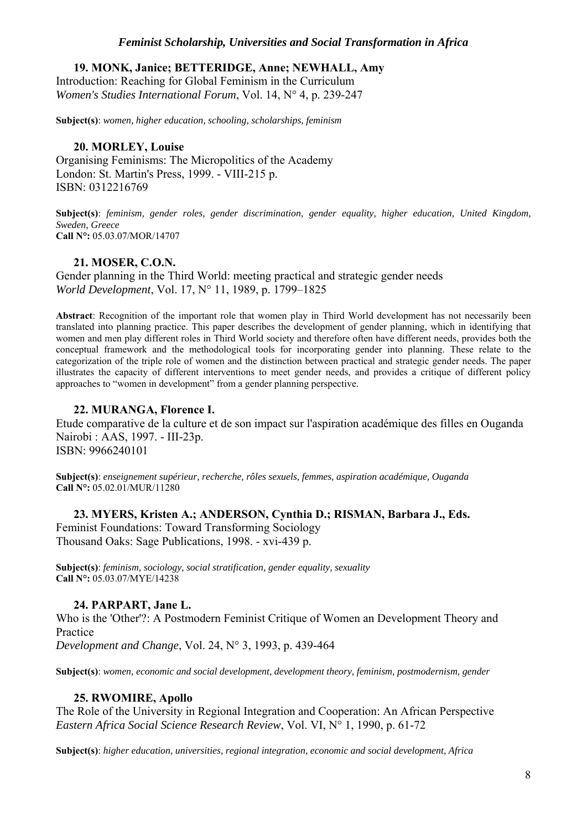**19. MONK, Janice; BETTERIDGE, Anne; NEWHALL, Amy**  Introduction: Reaching for Global Feminism in the Curriculum *Women's Studies International Forum*, Vol. 14, N° 4, p. 239-247

**Subject(s)**: *women, higher education, schooling, scholarships, feminism*

## **20. MORLEY, Louise**

Organising Feminisms: The Micropolitics of the Academy London: St. Martin's Press, 1999. - VIII-215 p. ISBN: 0312216769

**Subject(s)**: *feminism, gender roles, gender discrimination, gender equality, higher education, United Kingdom, Sweden, Greece*  **Call N°:** 05.03.07/MOR/14707

## **21. MOSER, C.O.N.**

Gender planning in the Third World: meeting practical and strategic gender needs *World Development*, Vol. 17, N° 11, 1989, p. 1799–1825

**Abstract**: Recognition of the important role that women play in Third World development has not necessarily been translated into planning practice. This paper describes the development of gender planning, which in identifying that women and men play different roles in Third World society and therefore often have different needs, provides both the conceptual framework and the methodological tools for incorporating gender into planning. These relate to the categorization of the triple role of women and the distinction between practical and strategic gender needs. The paper illustrates the capacity of different interventions to meet gender needs, and provides a critique of different policy approaches to "women in development" from a gender planning perspective.

## **22. MURANGA, Florence I.**

Etude comparative de la culture et de son impact sur l'aspiration académique des filles en Ouganda Nairobi : AAS, 1997. - III-23p. ISBN: 9966240101

**Subject(s)**: *enseignement supérieur, recherche, rôles sexuels, femmes, aspiration académique, Ouganda*  **Call N°:** 05.02.01/MUR/11280

## **23. MYERS, Kristen A.; ANDERSON, Cynthia D.; RISMAN, Barbara J., Eds.**

Feminist Foundations: Toward Transforming Sociology Thousand Oaks: Sage Publications, 1998. - xvi-439 p.

**Subject(s)**: *feminism, sociology, social stratification, gender equality, sexuality* **Call N°:** 05.03.07/MYE/14238

## **24. PARPART, Jane L.**

Who is the 'Other'?: A Postmodern Feminist Critique of Women an Development Theory and Practice

*Development and Change*, Vol. 24, N° 3, 1993, p. 439-464

**Subject(s)**: *women, economic and social development, development theory, feminism, postmodernism, gender* 

## **25. RWOMIRE, Apollo**

The Role of the University in Regional Integration and Cooperation: An African Perspective *Eastern Africa Social Science Research Review*, Vol. VI, N° 1, 1990, p. 61-72

**Subject(s)**: *higher education, universities, regional integration, economic and social development, Africa*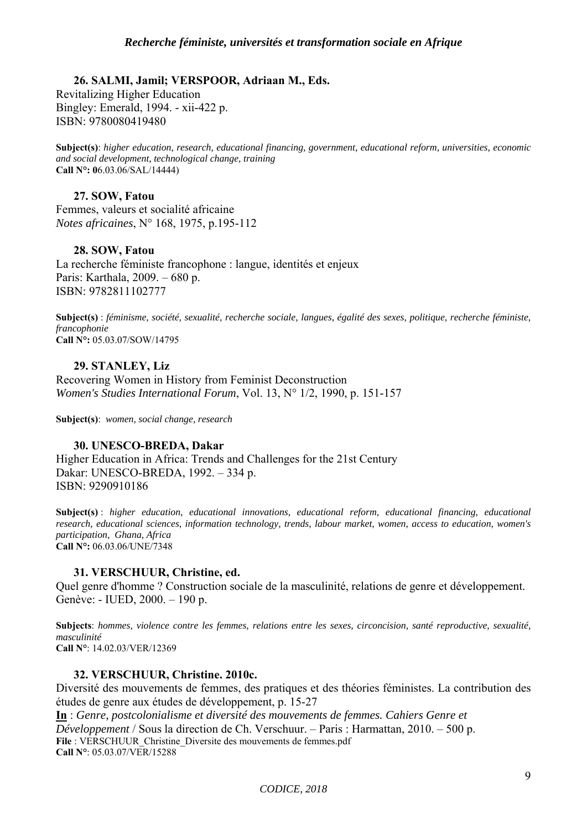## **26. SALMI, Jamil; VERSPOOR, Adriaan M., Eds.**

Revitalizing Higher Education Bingley: Emerald, 1994. - xii-422 p. ISBN: 9780080419480

**Subject(s)**: *higher education, research, educational financing, government, educational reform, universities, economic and social development, technological change, training* **Call N°: 0**6.03.06/SAL/14444)

## **27. SOW, Fatou**

Femmes, valeurs et socialité africaine *Notes africaines*, N° 168, 1975, p.195-112

## **28. SOW, Fatou**

La recherche féministe francophone : langue, identités et enjeux Paris: Karthala, 2009. – 680 p. ISBN: 9782811102777

**Subject(s)** : *féminisme, société, sexualité, recherche sociale, langues, égalité des sexes, politique, recherche féministe, francophonie* **Call N°:** 05.03.07/SOW/14795

**29. STANLEY, Liz**  Recovering Women in History from Feminist Deconstruction *Women's Studies International Forum*, Vol. 13, N° 1/2, 1990, p. 151-157

**Subject(s)**: *women, social change, research*

## **30. UNESCO-BREDA, Dakar**

Higher Education in Africa: Trends and Challenges for the 21st Century Dakar: UNESCO-BREDA, 1992. – 334 p. ISBN: 9290910186

**Subject(s)** : *higher education, educational innovations, educational reform, educational financing, educational research, educational sciences, information technology, trends, labour market, women, access to education, women's participation, Ghana, Africa*  **Call N°:** 06.03.06/UNE/7348

## **31. VERSCHUUR, Christine, ed.**

Quel genre d'homme ? Construction sociale de la masculinité, relations de genre et développement. Genève: - IUED, 2000. – 190 p.

**Subjects**: *hommes, violence contre les femmes, relations entre les sexes, circoncision, santé reproductive, sexualité, masculinité*  **Call N°**: 14.02.03/VER/12369

## **32. VERSCHUUR, Christine. 2010c.**

Diversité des mouvements de femmes, des pratiques et des théories féministes. La contribution des études de genre aux études de développement, p. 15-27

**In** : *Genre, postcolonialisme et diversité des mouvements de femmes. Cahiers Genre et Développement* / Sous la direction de Ch. Verschuur. – Paris : Harmattan, 2010. – 500 p. **File** : VERSCHUUR\_Christine\_Diversite des mouvements de femmes.pdf **Call N°**: 05.03.07/VER/15288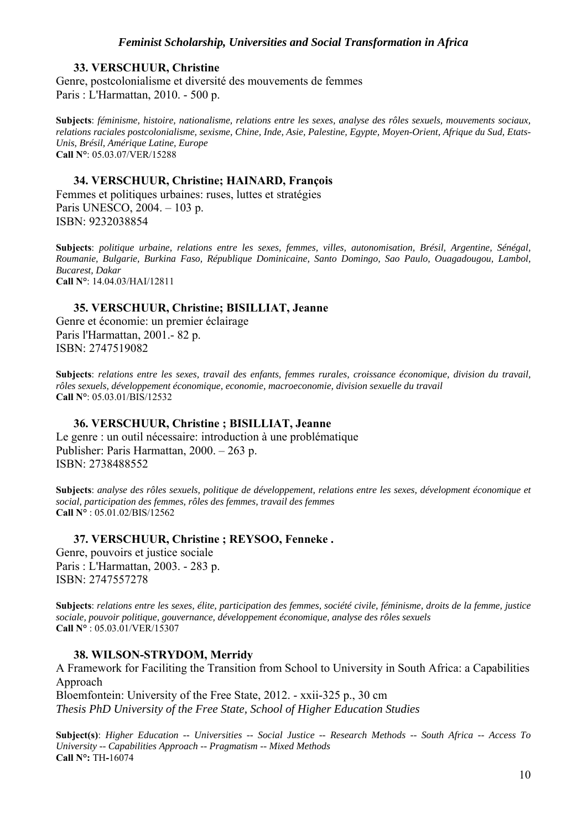#### **33. VERSCHUUR, Christine**

Genre, postcolonialisme et diversité des mouvements de femmes Paris : L'Harmattan, 2010. - 500 p.

**Subjects**: *féminisme, histoire, nationalisme, relations entre les sexes, analyse des rôles sexuels, mouvements sociaux, relations raciales postcolonialisme, sexisme, Chine, Inde, Asie, Palestine, Egypte, Moyen-Orient, Afrique du Sud, Etats-Unis, Brésil, Amérique Latine, Europe*  **Call N°**: 05.03.07/VER/15288

#### **34. VERSCHUUR, Christine; HAINARD, François**

Femmes et politiques urbaines: ruses, luttes et stratégies Paris UNESCO, 2004. – 103 p. ISBN: 9232038854

**Subjects**: *politique urbaine, relations entre les sexes, femmes, villes, autonomisation, Brésil, Argentine, Sénégal, Roumanie, Bulgarie, Burkina Faso, République Dominicaine, Santo Domingo, Sao Paulo, Ouagadougou, Lambol, Bucarest, Dakar* **Call N°**: 14.04.03/HAI/12811

## **35. VERSCHUUR, Christine; BISILLIAT, Jeanne**

Genre et économie: un premier éclairage Paris l'Harmattan, 2001.- 82 p. ISBN: 2747519082

**Subjects**: *relations entre les sexes, travail des enfants, femmes rurales, croissance économique, division du travail, rôles sexuels, développement économique, economie, macroeconomie, division sexuelle du travail*  **Call N°**: 05.03.01/BIS/12532

#### **36. VERSCHUUR, Christine ; BISILLIAT, Jeanne**

Le genre : un outil nécessaire: introduction à une problématique Publisher: Paris Harmattan, 2000. – 263 p. ISBN: 2738488552

**Subjects**: *analyse des rôles sexuels, politique de développement, relations entre les sexes, dévelopment économique et social, participation des femmes, rôles des femmes, travail des femmes* **Call N°** : 05.01.02/BIS/12562

## **37. VERSCHUUR, Christine ; REYSOO, Fenneke .**

Genre, pouvoirs et justice sociale Paris : L'Harmattan, 2003. - 283 p. ISBN: 2747557278

**Subjects**: *relations entre les sexes, élite, participation des femmes, société civile, féminisme, droits de la femme, justice sociale, pouvoir politique, gouvernance, développement économique, analyse des rôles sexuels* **Call N°** : 05.03.01/VER/15307

#### **38. WILSON-STRYDOM, Merridy**

A Framework for Faciliting the Transition from School to University in South Africa: a Capabilities Approach Bloemfontein: University of the Free State, 2012. - xxii-325 p., 30 cm *Thesis PhD University of the Free State, School of Higher Education Studies* 

**Subject(s)**: *Higher Education -- Universities -- Social Justice -- Research Methods -- South Africa -- Access To University -- Capabilities Approach -- Pragmatism -- Mixed Methods*  **Call N°:** TH**-**16074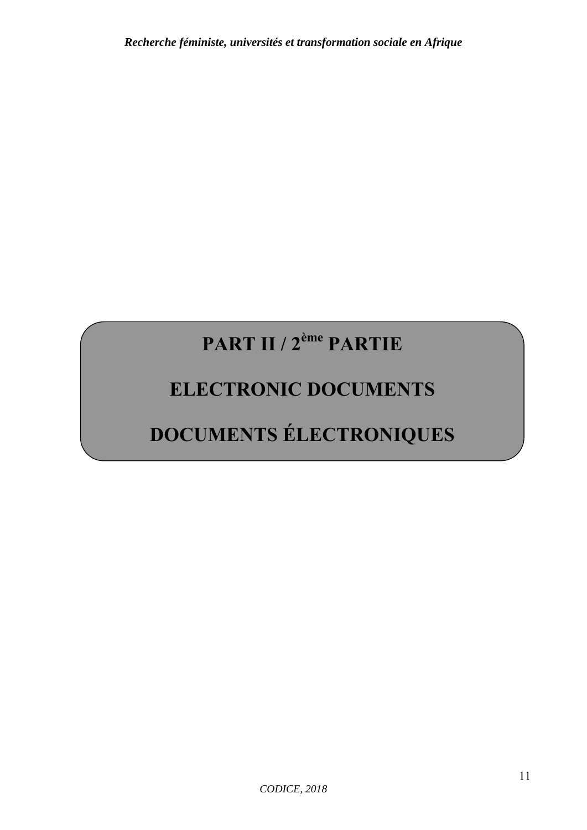# **PART II / 2ème PARTIE**

# **ELECTRONIC DOCUMENTS**

# **DOCUMENTS ÉLECTRONIQUES**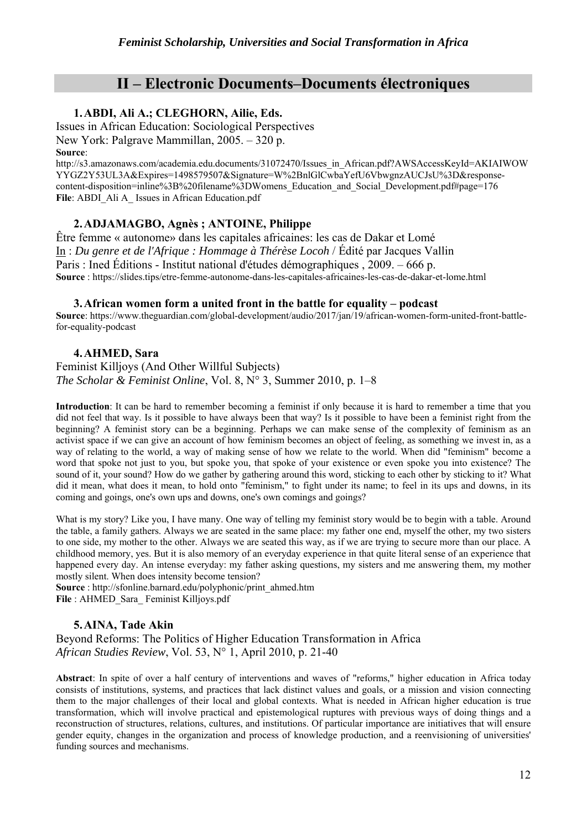## **II – Electronic Documents–Documents électroniques**

## **1.ABDI, Ali A.; CLEGHORN, Ailie, Eds.**

Issues in African Education: Sociological Perspectives New York: Palgrave Mammillan, 2005. – 320 p. **Source**:

http://s3.amazonaws.com/academia.edu.documents/31072470/Issues\_in\_African.pdf?AWSAccessKeyId=AKIAIWOW YYGZ2Y53UL3A&Expires=1498579507&Signature=W%2BnlGlCwbaYefU6VbwgnzAUCJsU%3D&responsecontent-disposition=inline%3B%20filename%3DWomens\_Education\_and\_Social\_Development.pdf#page=176 File: ABDI\_Ali A\_ Issues in African Education.pdf

## **2.ADJAMAGBO, Agnès ; ANTOINE, Philippe**

Être femme « autonome» dans les capitales africaines: les cas de Dakar et Lomé In : *Du genre et de l'Afrique : Hommage à Thérèse Locoh* / Édité par Jacques Vallin Paris : Ined Éditions - Institut national d'études démographiques , 2009. – 666 p. **Source** : https://slides.tips/etre-femme-autonome-dans-les-capitales-africaines-les-cas-de-dakar-et-lome.html

#### **3.African women form a united front in the battle for equality – podcast**

**Source**: https://www.theguardian.com/global-development/audio/2017/jan/19/african-women-form-united-front-battlefor-equality-podcast

## **4.AHMED, Sara**

Feminist Killjoys (And Other Willful Subjects) *The Scholar & Feminist Online*, Vol. 8, N° 3, Summer 2010, p. 1–8

**Introduction**: It can be hard to remember becoming a feminist if only because it is hard to remember a time that you did not feel that way. Is it possible to have always been that way? Is it possible to have been a feminist right from the beginning? A feminist story can be a beginning. Perhaps we can make sense of the complexity of feminism as an activist space if we can give an account of how feminism becomes an object of feeling, as something we invest in, as a way of relating to the world, a way of making sense of how we relate to the world. When did "feminism" become a word that spoke not just to you, but spoke you, that spoke of your existence or even spoke you into existence? The sound of it, your sound? How do we gather by gathering around this word, sticking to each other by sticking to it? What did it mean, what does it mean, to hold onto "feminism," to fight under its name; to feel in its ups and downs, in its coming and goings, one's own ups and downs, one's own comings and goings?

What is my story? Like you, I have many. One way of telling my feminist story would be to begin with a table. Around the table, a family gathers. Always we are seated in the same place: my father one end, myself the other, my two sisters to one side, my mother to the other. Always we are seated this way, as if we are trying to secure more than our place. A childhood memory, yes. But it is also memory of an everyday experience in that quite literal sense of an experience that happened every day. An intense everyday: my father asking questions, my sisters and me answering them, my mother mostly silent. When does intensity become tension?

**Source** : http://sfonline.barnard.edu/polyphonic/print\_ahmed.htm **File** : AHMED\_Sara\_ Feminist Killjoys.pdf

## **5.AINA, Tade Akin**

Beyond Reforms: The Politics of Higher Education Transformation in Africa *African Studies Review*, Vol. 53, N° 1, April 2010, p. 21-40

**Abstract**: In spite of over a half century of interventions and waves of "reforms," higher education in Africa today consists of institutions, systems, and practices that lack distinct values and goals, or a mission and vision connecting them to the major challenges of their local and global contexts. What is needed in African higher education is true transformation, which will involve practical and epistemological ruptures with previous ways of doing things and a reconstruction of structures, relations, cultures, and institutions. Of particular importance are initiatives that will ensure gender equity, changes in the organization and process of knowledge production, and a reenvisioning of universities' funding sources and mechanisms.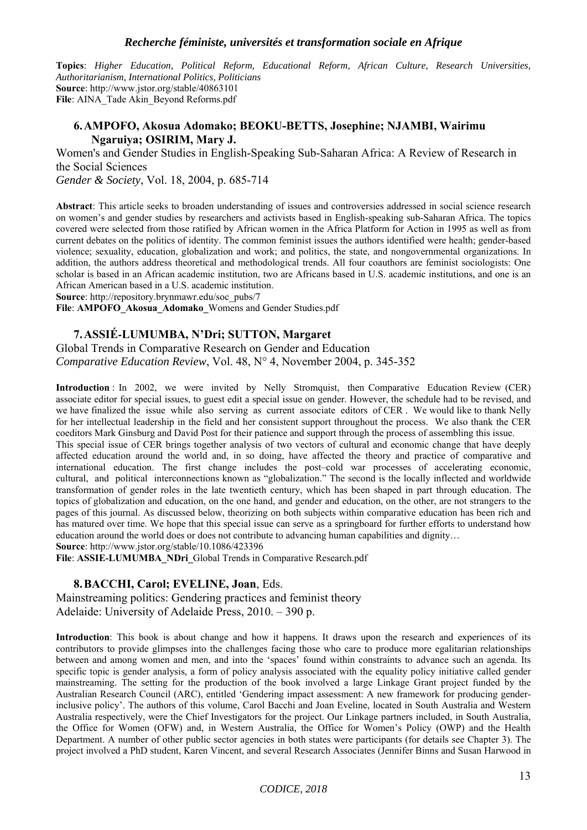**Topics**: *Higher Education, Political Reform, Educational Reform, African Culture, Research Universities, Authoritarianism, International Politics, Politicians* **Source**: http://www.jstor.org/stable/40863101 **File**: AINA\_Tade Akin\_Beyond Reforms.pdf

#### **6.AMPOFO, Akosua Adomako; BEOKU-BETTS, Josephine; NJAMBI, Wairimu Ngaruiya; OSIRIM, Mary J.**

Women's and Gender Studies in English-Speaking Sub-Saharan Africa: A Review of Research in the Social Sciences

*Gender & Society*, Vol. 18, 2004, p. 685-714

**Abstract**: This article seeks to broaden understanding of issues and controversies addressed in social science research on women's and gender studies by researchers and activists based in English-speaking sub-Saharan Africa. The topics covered were selected from those ratified by African women in the Africa Platform for Action in 1995 as well as from current debates on the politics of identity. The common feminist issues the authors identified were health; gender-based violence; sexuality, education, globalization and work; and politics, the state, and nongovernmental organizations. In addition, the authors address theoretical and methodological trends. All four coauthors are feminist sociologists: One scholar is based in an African academic institution, two are Africans based in U.S. academic institutions, and one is an African American based in a U.S. academic institution.

**Source**: http://repository.brynmawr.edu/soc\_pubs/7

**File**: **AMPOFO\_Akosua\_Adomako\_**Womens and Gender Studies.pdf

#### **7.ASSIÉ**‐**LUMUMBA, N'Dri; SUTTON, Margaret**

Global Trends in Comparative Research on Gender and Education *Comparative Education Review*, Vol. 48, N° 4, November 2004, p. 345-352

**Introduction** : In 2002, we were invited by Nelly Stromquist, then Comparative Education Review (CER) associate editor for special issues, to guest edit a special issue on gender. However, the schedule had to be revised, and we have finalized the issue while also serving as current associate editors of CER . We would like to thank Nelly for her intellectual leadership in the field and her consistent support throughout the process. We also thank the CER coeditors Mark Ginsburg and David Post for their patience and support through the process of assembling this issue.

This special issue of CER brings together analysis of two vectors of cultural and economic change that have deeply affected education around the world and, in so doing, have affected the theory and practice of comparative and international education. The first change includes the post–cold war processes of accelerating economic, cultural, and political interconnections known as "globalization." The second is the locally inflected and worldwide transformation of gender roles in the late twentieth century, which has been shaped in part through education. The topics of globalization and education, on the one hand, and gender and education, on the other, are not strangers to the pages of this journal. As discussed below, theorizing on both subjects within comparative education has been rich and has matured over time. We hope that this special issue can serve as a springboard for further efforts to understand how education around the world does or does not contribute to advancing human capabilities and dignity…

**Source**: http://www.jstor.org/stable/10.1086/423396

**File**: **ASSIE**‐**LUMUMBA\_NDri\_**Global Trends in Comparative Research.pdf

#### **8.BACCHI, Carol; EVELINE, Joan**, Eds.

Mainstreaming politics: Gendering practices and feminist theory Adelaide: University of Adelaide Press, 2010. – 390 p.

**Introduction**: This book is about change and how it happens. It draws upon the research and experiences of its contributors to provide glimpses into the challenges facing those who care to produce more egalitarian relationships between and among women and men, and into the 'spaces' found within constraints to advance such an agenda. Its specific topic is gender analysis, a form of policy analysis associated with the equality policy initiative called gender mainstreaming. The setting for the production of the book involved a large Linkage Grant project funded by the Australian Research Council (ARC), entitled 'Gendering impact assessment: A new framework for producing genderinclusive policy'. The authors of this volume, Carol Bacchi and Joan Eveline, located in South Australia and Western Australia respectively, were the Chief Investigators for the project. Our Linkage partners included, in South Australia, the Office for Women (OFW) and, in Western Australia, the Office for Women's Policy (OWP) and the Health Department. A number of other public sector agencies in both states were participants (for details see Chapter 3). The project involved a PhD student, Karen Vincent, and several Research Associates (Jennifer Binns and Susan Harwood in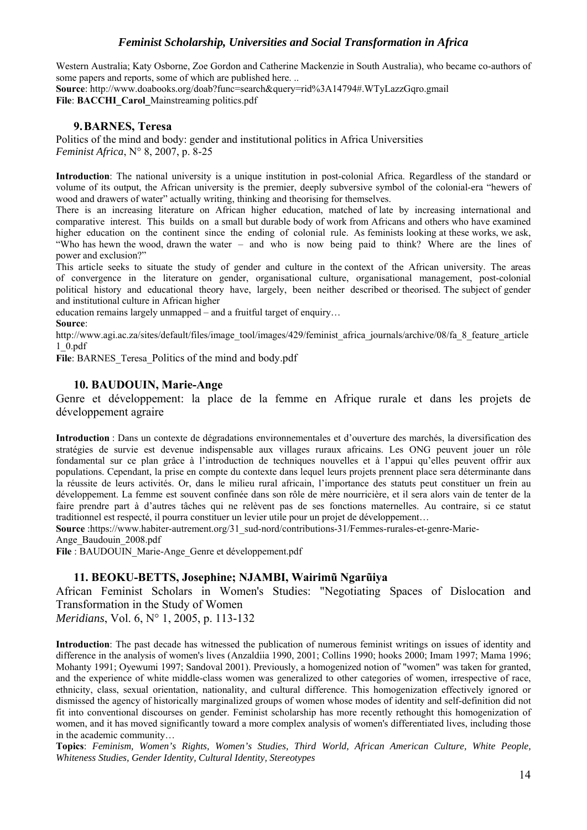Western Australia; Katy Osborne, Zoe Gordon and Catherine Mackenzie in South Australia), who became co-authors of some papers and reports, some of which are published here. ..

**Source**: http://www.doabooks.org/doab?func=search&query=rid%3A14794#.WTyLazzGqro.gmail File: **BACCHI** Carol Mainstreaming politics.pdf

## **9.BARNES, Teresa**

Politics of the mind and body: gender and institutional politics in Africa Universities *Feminist Africa*, N° 8, 2007, p. 8-25

**Introduction**: The national university is a unique institution in post-colonial Africa. Regardless of the standard or volume of its output, the African university is the premier, deeply subversive symbol of the colonial-era "hewers of wood and drawers of water" actually writing, thinking and theorising for themselves.

There is an increasing literature on African higher education, matched of late by increasing international and comparative interest. This builds on a small but durable body of work from Africans and others who have examined higher education on the continent since the ending of colonial rule. As feminists looking at these works, we ask, "Who has hewn the wood, drawn the water – and who is now being paid to think? Where are the lines of power and exclusion?"

This article seeks to situate the study of gender and culture in the context of the African university. The areas of convergence in the literature on gender, organisational culture, organisational management, post-colonial political history and educational theory have, largely, been neither described or theorised. The subject of gender and institutional culture in African higher

education remains largely unmapped – and a fruitful target of enquiry…

#### **Source**:

http://www.agi.ac.za/sites/default/files/image\_tool/images/429/feminist\_africa\_journals/archive/08/fa\_8\_feature\_article 1\_0.pdf

File: BARNES Teresa Politics of the mind and body.pdf

## **10. BAUDOUIN, Marie-Ange**

Genre et développement: la place de la femme en Afrique rurale et dans les projets de développement agraire

**Introduction** : Dans un contexte de dégradations environnementales et d'ouverture des marchés, la diversification des stratégies de survie est devenue indispensable aux villages ruraux africains. Les ONG peuvent jouer un rôle fondamental sur ce plan grâce à l'introduction de techniques nouvelles et à l'appui qu'elles peuvent offrir aux populations. Cependant, la prise en compte du contexte dans lequel leurs projets prennent place sera déterminante dans la réussite de leurs activités. Or, dans le milieu rural africain, l'importance des statuts peut constituer un frein au développement. La femme est souvent confinée dans son rôle de mère nourricière, et il sera alors vain de tenter de la faire prendre part à d'autres tâches qui ne relèvent pas de ses fonctions maternelles. Au contraire, si ce statut traditionnel est respecté, il pourra constituer un levier utile pour un projet de développement…

**Source** :https://www.habiter-autrement.org/31\_sud-nord/contributions-31/Femmes-rurales-et-genre-Marie-

Ange\_Baudouin\_2008.pdf

**File** : BAUDOUIN\_Marie-Ange\_Genre et développement.pdf

## **11. BEOKU-BETTS, Josephine; NJAMBI, Wairimũ Ngarũiya**

African Feminist Scholars in Women's Studies: "Negotiating Spaces of Dislocation and Transformation in the Study of Women

*Meridians*, Vol. 6, N° 1, 2005, p. 113-132

**Introduction**: The past decade has witnessed the publication of numerous feminist writings on issues of identity and difference in the analysis of women's lives (Anzaldiia 1990, 2001; Collins 1990; hooks 2000; Imam 1997; Mama 1996; Mohanty 1991; Oyewumi 1997; Sandoval 2001). Previously, a homogenized notion of "women" was taken for granted, and the experience of white middle-class women was generalized to other categories of women, irrespective of race, ethnicity, class, sexual orientation, nationality, and cultural difference. This homogenization effectively ignored or dismissed the agency of historically marginalized groups of women whose modes of identity and self-definition did not fit into conventional discourses on gender. Feminist scholarship has more recently rethought this homogenization of women, and it has moved significantly toward a more complex analysis of women's differentiated lives, including those in the academic community…

**Topics**: *Feminism, Women's Rights, Women's Studies, Third World, African American Culture, White People, Whiteness Studies, Gender Identity, Cultural Identity, Stereotypes*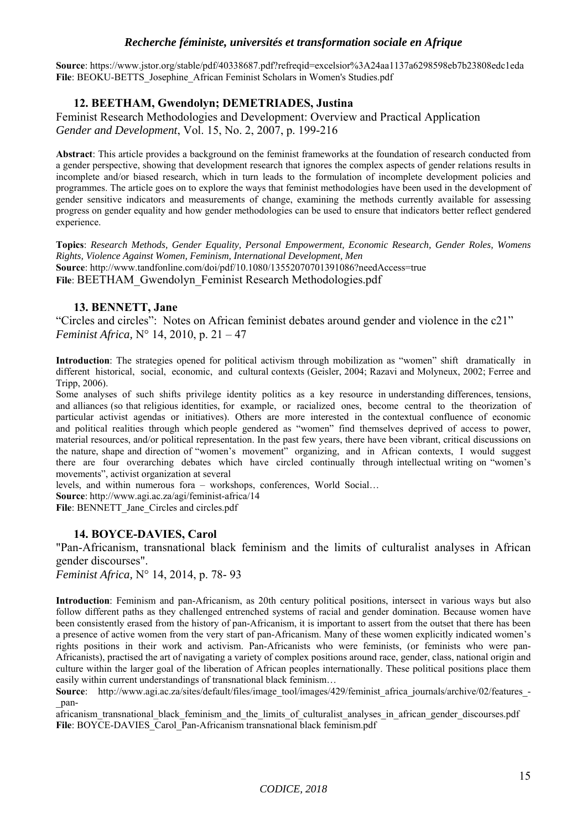**Source**: https://www.jstor.org/stable/pdf/40338687.pdf?refreqid=excelsior%3A24aa1137a6298598eb7b23808edc1eda File: BEOKU-BETTS\_Josephine\_African Feminist Scholars in Women's Studies.pdf

## **12. BEETHAM, Gwendolyn; DEMETRIADES, Justina**

Feminist Research Methodologies and Development: Overview and Practical Application *Gender and Development*, Vol. 15, No. 2, 2007, p. 199-216

**Abstract**: This article provides a background on the feminist frameworks at the foundation of research conducted from a gender perspective, showing that development research that ignores the complex aspects of gender relations results in incomplete and/or biased research, which in turn leads to the formulation of incomplete development policies and programmes. The article goes on to explore the ways that feminist methodologies have been used in the development of gender sensitive indicators and measurements of change, examining the methods currently available for assessing progress on gender equality and how gender methodologies can be used to ensure that indicators better reflect gendered experience.

**Topics**: *Research Methods, Gender Equality, Personal Empowerment, Economic Research, Gender Roles, Womens Rights, Violence Against Women, Feminism, International Development, Men* **Source**: http://www.tandfonline.com/doi/pdf/10.1080/13552070701391086?needAccess=true File: BEETHAM\_Gwendolyn\_Feminist Research Methodologies.pdf

## **13. BENNETT, Jane**

"Circles and circles": Notes on African feminist debates around gender and violence in the c21" *Feminist Africa,* N° 14, 2010, p. 21 – 47

**Introduction**: The strategies opened for political activism through mobilization as "women" shift dramatically in different historical, social, economic, and cultural contexts (Geisler, 2004; Razavi and Molyneux, 2002; Ferree and Tripp, 2006).

Some analyses of such shifts privilege identity politics as a key resource in understanding differences, tensions, and alliances (so that religious identities, for example, or racialized ones, become central to the theorization of particular activist agendas or initiatives). Others are more interested in the contextual confluence of economic and political realities through which people gendered as "women" find themselves deprived of access to power, material resources, and/or political representation. In the past few years, there have been vibrant, critical discussions on the nature, shape and direction of "women's movement" organizing, and in African contexts, I would suggest there are four overarching debates which have circled continually through intellectual writing on "women's movements", activist organization at several

levels, and within numerous fora – workshops, conferences, World Social…

**Source**: http://www.agi.ac.za/agi/feminist-africa/14

File: BENNETT\_Jane\_Circles and circles.pdf

## **14. BOYCE-DAVIES, Carol**

"Pan-Africanism, transnational black feminism and the limits of culturalist analyses in African gender discourses".

*Feminist Africa,* N° 14, 2014, p. 78- 93

**Introduction**: Feminism and pan-Africanism, as 20th century political positions, intersect in various ways but also follow different paths as they challenged entrenched systems of racial and gender domination. Because women have been consistently erased from the history of pan-Africanism, it is important to assert from the outset that there has been a presence of active women from the very start of pan-Africanism. Many of these women explicitly indicated women's rights positions in their work and activism. Pan-Africanists who were feminists, (or feminists who were pan-Africanists), practised the art of navigating a variety of complex positions around race, gender, class, national origin and culture within the larger goal of the liberation of African peoples internationally. These political positions place them easily within current understandings of transnational black feminism…

**Source**: http://www.agi.ac.za/sites/default/files/image\_tool/images/429/feminist\_africa\_journals/archive/02/features\_-\_pan-

africanism transnational black feminism and the limits of culturalist analyses in african gender discourses.pdf File: BOYCE-DAVIES\_Carol\_Pan-Africanism transnational black feminism.pdf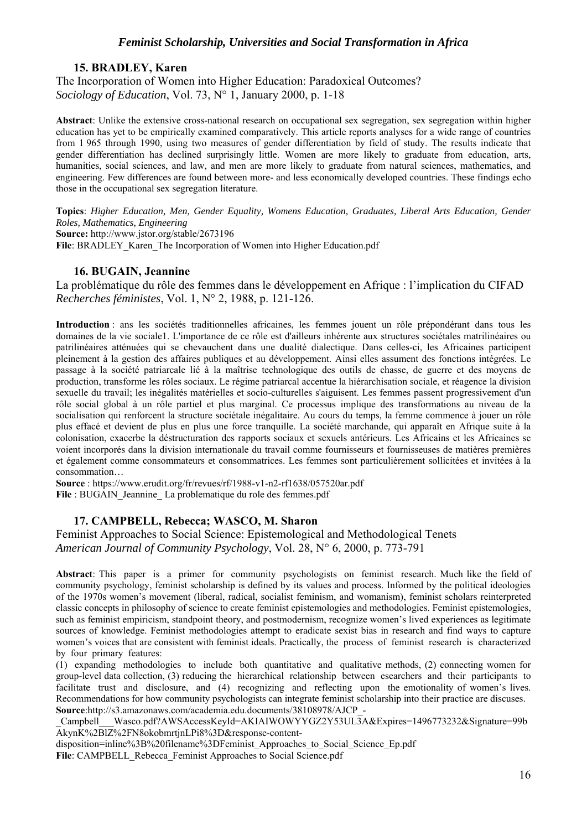#### **15. BRADLEY, Karen**

The Incorporation of Women into Higher Education: Paradoxical Outcomes? *Sociology of Education*, Vol. 73, N° 1, January 2000, p. 1-18

**Abstract**: Unlike the extensive cross-national research on occupational sex segregation, sex segregation within higher education has yet to be empirically examined comparatively. This article reports analyses for a wide range of countries from 1 965 through 1990, using two measures of gender differentiation by field of study. The results indicate that gender differentiation has declined surprisingly little. Women are more likely to graduate from education, arts, humanities, social sciences, and law, and men are more likely to graduate from natural sciences, mathematics, and engineering. Few differences are found between more- and less economically developed countries. These findings echo those in the occupational sex segregation literature.

**Topics**: *Higher Education, Men, Gender Equality, Womens Education, Graduates, Liberal Arts Education, Gender Roles, Mathematics, Engineering* **Source:** http://www.jstor.org/stable/2673196 File: BRADLEY\_Karen\_The Incorporation of Women into Higher Education.pdf

## **16. BUGAIN, Jeannine**

La problématique du rôle des femmes dans le développement en Afrique : l'implication du CIFAD *Recherches féministes*, Vol. 1, N° 2, 1988, p. 121-126.

**Introduction** : ans les sociétés traditionnelles africaines, les femmes jouent un rôle prépondérant dans tous les domaines de la vie sociale1. L'importance de ce rôle est d'ailleurs inhérente aux structures sociétales matrilinéaires ou patrilinéaires atténuées qui se chevauchent dans une dualité dialectique. Dans celles-ci, les Africaines participent pleinement à la gestion des affaires publiques et au développement. Ainsi elles assument des fonctions intégrées. Le passage à la société patriarcale lié à la maîtrise technologique des outils de chasse, de guerre et des moyens de production, transforme les rôles sociaux. Le régime patriarcal accentue la hiérarchisation sociale, et réagence la division sexuelle du travail; les inégalités matérielles et socio-culturelles s'aiguisent. Les femmes passent progressivement d'un rôle social global à un rôle partiel et plus marginal. Ce processus implique des transformations au niveau de la socialisation qui renforcent la structure sociétale inégalitaire. Au cours du temps, la femme commence à jouer un rôle plus effacé et devient de plus en plus une force tranquille. La société marchande, qui apparaît en Afrique suite à la colonisation, exacerbe la déstructuration des rapports sociaux et sexuels antérieurs. Les Africains et les Africaines se voient incorporés dans la division internationale du travail comme fournisseurs et fournisseuses de matières premières et également comme consommateurs et consommatrices. Les femmes sont particulièrement sollicitées et invitées à la consommation…

**Source** : https://www.erudit.org/fr/revues/rf/1988-v1-n2-rf1638/057520ar.pdf File : BUGAIN Jeannine La problematique du role des femmes.pdf

## **17. CAMPBELL, Rebecca; WASCO, M. Sharon**

Feminist Approaches to Social Science: Epistemological and Methodological Tenets *American Journal of Community Psychology*, Vol. 28, N° 6, 2000, p. 773-791

**Abstract**: This paper is a primer for community psychologists on feminist research. Much like the field of community psychology, feminist scholarship is defined by its values and process. Informed by the political ideologies of the 1970s women's movement (liberal, radical, socialist feminism, and womanism), feminist scholars reinterpreted classic concepts in philosophy of science to create feminist epistemologies and methodologies. Feminist epistemologies, such as feminist empiricism, standpoint theory, and postmodernism, recognize women's lived experiences as legitimate sources of knowledge. Feminist methodologies attempt to eradicate sexist bias in research and find ways to capture women's voices that are consistent with feminist ideals. Practically, the process of feminist research is characterized by four primary features:

(1) expanding methodologies to include both quantitative and qualitative methods, (2) connecting women for group-level data collection, (3) reducing the hierarchical relationship between esearchers and their participants to facilitate trust and disclosure, and (4) recognizing and reflecting upon the emotionality of women's lives. Recommendations for how community psychologists can integrate feminist scholarship into their practice are discuses. **Source**:http://s3.amazonaws.com/academia.edu.documents/38108978/AJCP\_-

Campbell\_\_Wasco.pdf?AWSAccessKeyId=AKIAIWOWYYGZ2Y53UL3A&Expires=1496773232&Signature=99b AkynK%2BlZ%2FN8okobmrtjnLPi8%3D&response-content-

disposition=inline%3B%20filename%3DFeminist\_Approaches\_to\_Social\_Science\_Ep.pdf File: CAMPBELL\_Rebecca\_Feminist Approaches to Social Science.pdf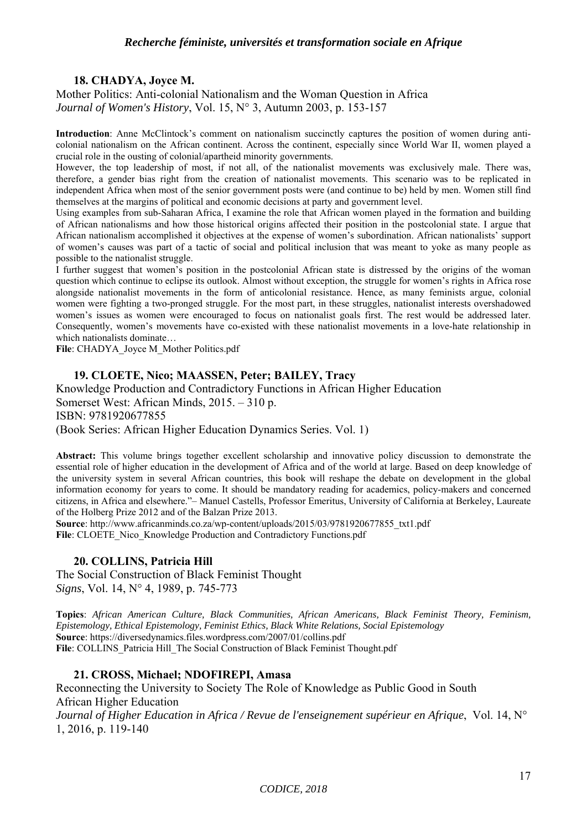## **18. CHADYA, Joyce M.**

Mother Politics: Anti-colonial Nationalism and the Woman Question in Africa *Journal of Women's History*, Vol. 15, N° 3, Autumn 2003, p. 153-157

**Introduction**: Anne McClintock's comment on nationalism succinctly captures the position of women during anticolonial nationalism on the African continent. Across the continent, especially since World War II, women played a crucial role in the ousting of colonial/apartheid minority governments.

However, the top leadership of most, if not all, of the nationalist movements was exclusively male. There was, therefore, a gender bias right from the creation of nationalist movements. This scenario was to be replicated in independent Africa when most of the senior government posts were (and continue to be) held by men. Women still find themselves at the margins of political and economic decisions at party and government level.

Using examples from sub-Saharan Africa, I examine the role that African women played in the formation and building of African nationalisms and how those historical origins affected their position in the postcolonial state. I argue that African nationalism accomplished it objectives at the expense of women's subordination. African nationalists' support of women's causes was part of a tactic of social and political inclusion that was meant to yoke as many people as possible to the nationalist struggle.

I further suggest that women's position in the postcolonial African state is distressed by the origins of the woman question which continue to eclipse its outlook. Almost without exception, the struggle for women's rights in Africa rose alongside nationalist movements in the form of anticolonial resistance. Hence, as many feminists argue, colonial women were fighting a two-pronged struggle. For the most part, in these struggles, nationalist interests overshadowed women's issues as women were encouraged to focus on nationalist goals first. The rest would be addressed later. Consequently, women's movements have co-existed with these nationalist movements in a love-hate relationship in which nationalists dominate…

File: CHADYA\_Joyce M\_Mother Politics.pdf

## **19. CLOETE, Nico; MAASSEN, Peter; BAILEY, Tracy**

Knowledge Production and Contradictory Functions in African Higher Education Somerset West: African Minds, 2015. – 310 p. ISBN: 9781920677855 (Book Series: African Higher Education Dynamics Series. Vol. 1)

**Abstract:** This volume brings together excellent scholarship and innovative policy discussion to demonstrate the essential role of higher education in the development of Africa and of the world at large. Based on deep knowledge of the university system in several African countries, this book will reshape the debate on development in the global information economy for years to come. It should be mandatory reading for academics, policy-makers and concerned citizens, in Africa and elsewhere."– Manuel Castells, Professor Emeritus, University of California at Berkeley, Laureate of the Holberg Prize 2012 and of the Balzan Prize 2013.

**Source**: http://www.africanminds.co.za/wp-content/uploads/2015/03/9781920677855\_txt1.pdf File: CLOETE\_Nico\_Knowledge Production and Contradictory Functions.pdf

## **20. COLLINS, Patricia Hill**

The Social Construction of Black Feminist Thought *Signs*, Vol. 14, N° 4, 1989, p. 745-773

**Topics**: *African American Culture, Black Communities, African Americans, Black Feminist Theory, Feminism, Epistemology, Ethical Epistemology, Feminist Ethics, Black White Relations, Social Epistemology* **Source**: https://diversedynamics.files.wordpress.com/2007/01/collins.pdf **File**: COLLINS\_Patricia Hill\_The Social Construction of Black Feminist Thought.pdf

## **21. CROSS, Michael; NDOFIREPI, Amasa**

Reconnecting the University to Society The Role of Knowledge as Public Good in South African Higher Education *Journal of Higher Education in Africa / Revue de l'enseignement supérieur en Afrique*, Vol. 14, N°

1, 2016, p. 119-140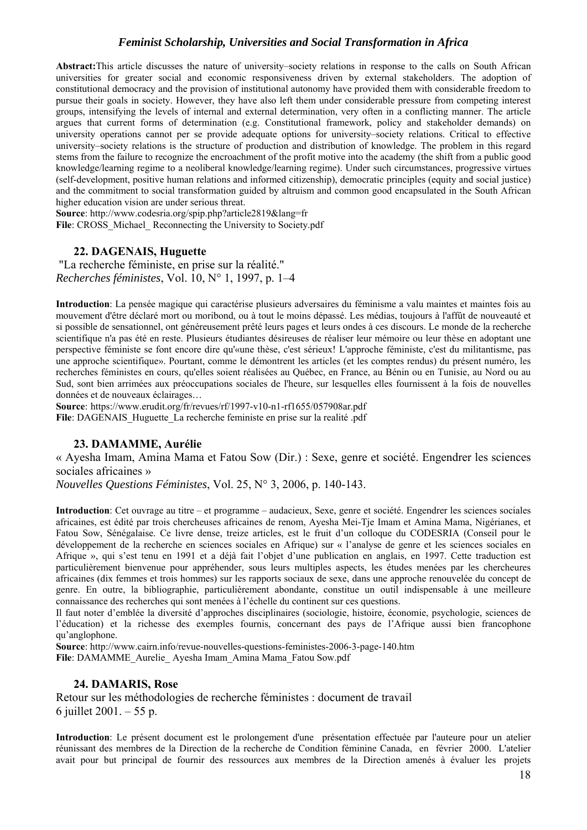**Abstract:**This article discusses the nature of university–society relations in response to the calls on South African universities for greater social and economic responsiveness driven by external stakeholders. The adoption of constitutional democracy and the provision of institutional autonomy have provided them with considerable freedom to pursue their goals in society. However, they have also left them under considerable pressure from competing interest groups, intensifying the levels of internal and external determination, very often in a conflicting manner. The article argues that current forms of determination (e.g. Constitutional framework, policy and stakeholder demands) on university operations cannot per se provide adequate options for university–society relations. Critical to effective university–society relations is the structure of production and distribution of knowledge. The problem in this regard stems from the failure to recognize the encroachment of the profit motive into the academy (the shift from a public good knowledge/learning regime to a neoliberal knowledge/learning regime). Under such circumstances, progressive virtues (self-development, positive human relations and informed citizenship), democratic principles (equity and social justice) and the commitment to social transformation guided by altruism and common good encapsulated in the South African higher education vision are under serious threat.

**Source**: http://www.codesria.org/spip.php?article2819&lang=fr File: CROSS\_Michael\_ Reconnecting the University to Society.pdf

## **22. DAGENAIS, Huguette**

 "La recherche féministe, en prise sur la réalité." *Recherches féministes*, Vol. 10, N° 1, 1997, p. 1–4

**Introduction**: La pensée magique qui caractérise plusieurs adversaires du féminisme a valu maintes et maintes fois au mouvement d'être déclaré mort ou moribond, ou à tout le moins dépassé. Les médias, toujours à l'affût de nouveauté et si possible de sensationnel, ont généreusement prêté leurs pages et leurs ondes à ces discours. Le monde de la recherche scientifique n'a pas été en reste. Plusieurs étudiantes désireuses de réaliser leur mémoire ou leur thèse en adoptant une perspective féministe se font encore dire qu'«une thèse, c'est sérieux! L'approche féministe, c'est du militantisme, pas une approche scientifique». Pourtant, comme le démontrent les articles (et les comptes rendus) du présent numéro, les recherches féministes en cours, qu'elles soient réalisées au Québec, en France, au Bénin ou en Tunisie, au Nord ou au Sud, sont bien arrimées aux préoccupations sociales de l'heure, sur lesquelles elles fournissent à la fois de nouvelles données et de nouveaux éclairages…

**Source**: https://www.erudit.org/fr/revues/rf/1997-v10-n1-rf1655/057908ar.pdf File: DAGENAIS Huguette La recherche feministe en prise sur la realité .pdf

#### **23. DAMAMME, Aurélie**

« Ayesha Imam, Amina Mama et Fatou Sow (Dir.) : Sexe, genre et société. Engendrer les sciences sociales africaines »

*Nouvelles Questions Féministes*, Vol. 25, N° 3, 2006, p. 140-143.

**Introduction**: Cet ouvrage au titre – et programme – audacieux, Sexe, genre et société. Engendrer les sciences sociales africaines, est édité par trois chercheuses africaines de renom, Ayesha Mei-Tje Imam et Amina Mama, Nigérianes, et Fatou Sow, Sénégalaise. Ce livre dense, treize articles, est le fruit d'un colloque du CODESRIA (Conseil pour le développement de la recherche en sciences sociales en Afrique) sur « l'analyse de genre et les sciences sociales en Afrique », qui s'est tenu en 1991 et a déjà fait l'objet d'une publication en anglais, en 1997. Cette traduction est particulièrement bienvenue pour appréhender, sous leurs multiples aspects, les études menées par les chercheures africaines (dix femmes et trois hommes) sur les rapports sociaux de sexe, dans une approche renouvelée du concept de genre. En outre, la bibliographie, particulièrement abondante, constitue un outil indispensable à une meilleure connaissance des recherches qui sont menées à l'échelle du continent sur ces questions.

Il faut noter d'emblée la diversité d'approches disciplinaires (sociologie, histoire, économie, psychologie, sciences de l'éducation) et la richesse des exemples fournis, concernant des pays de l'Afrique aussi bien francophone qu'anglophone.

**Source**: http://www.cairn.info/revue-nouvelles-questions-feministes-2006-3-page-140.htm **File**: DAMAMME\_Aurelie\_ Ayesha Imam\_Amina Mama\_Fatou Sow.pdf

#### **24. DAMARIS, Rose**

Retour sur les méthodologies de recherche féministes : document de travail 6 juillet 2001. – 55 p.

**Introduction**: Le présent document est le prolongement d'une présentation effectuée par l'auteure pour un atelier réunissant des membres de la Direction de la recherche de Condition féminine Canada, en février 2000. L'atelier avait pour but principal de fournir des ressources aux membres de la Direction amenés à évaluer les projets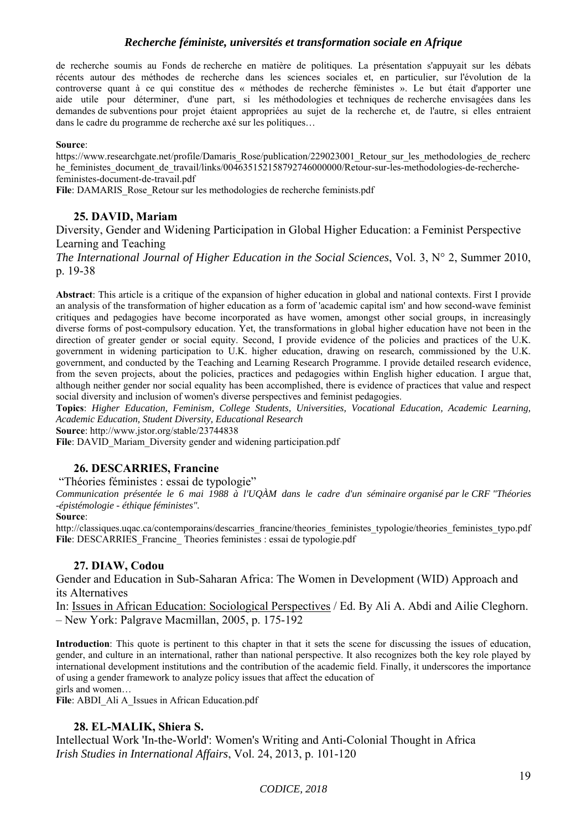de recherche soumis au Fonds de recherche en matière de politiques. La présentation s'appuyait sur les débats récents autour des méthodes de recherche dans les sciences sociales et, en particulier, sur l'évolution de la controverse quant à ce qui constitue des « méthodes de recherche féministes ». Le but était d'apporter une aide utile pour déterminer, d'une part, si les méthodologies et techniques de recherche envisagées dans les demandes de subventions pour projet étaient appropriées au sujet de la recherche et, de l'autre, si elles entraient dans le cadre du programme de recherche axé sur les politiques…

#### **Source**:

https://www.researchgate.net/profile/Damaris\_Rose/publication/229023001\_Retour\_sur\_les\_methodologies\_de\_recherc he\_feministes\_document\_de\_travail/links/004635152158792746000000/Retour-sur-les-methodologies-de-recherchefeministes-document-de-travail.pdf

File: DAMARIS Rose Retour sur les methodologies de recherche feminists.pdf

## **25. DAVID, Mariam**

Diversity, Gender and Widening Participation in Global Higher Education: a Feminist Perspective Learning and Teaching

*The International Journal of Higher Education in the Social Sciences*, Vol. 3, N° 2, Summer 2010, p. 19-38

**Abstract**: This article is a critique of the expansion of higher education in global and national contexts. First I provide an analysis of the transformation of higher education as a form of 'academic capital ism' and how second-wave feminist critiques and pedagogies have become incorporated as have women, amongst other social groups, in increasingly diverse forms of post-compulsory education. Yet, the transformations in global higher education have not been in the direction of greater gender or social equity. Second, I provide evidence of the policies and practices of the U.K. government in widening participation to U.K. higher education, drawing on research, commissioned by the U.K. government, and conducted by the Teaching and Learning Research Programme. I provide detailed research evidence, from the seven projects, about the policies, practices and pedagogies within English higher education. I argue that, although neither gender nor social equality has been accomplished, there is evidence of practices that value and respect social diversity and inclusion of women's diverse perspectives and feminist pedagogies.

**Topics**: *Higher Education, Feminism, College Students, Universities, Vocational Education, Academic Learning, Academic Education, Student Diversity, Educational Research* 

**Source**: http://www.jstor.org/stable/23744838

File: DAVID\_Mariam\_Diversity gender and widening participation.pdf

## **26. DESCARRIES, Francine**

"Théories féministes : essai de typologie"

*Communication présentée le 6 mai 1988 à l'UQÀM dans le cadre d'un séminaire organisé par le CRF "Théories -épistémologie - éthique féministes".* 

#### **Source**:

http://classiques.uqac.ca/contemporains/descarries\_francine/theories\_feministes\_typologie/theories\_feministes\_typo.pdf File: DESCARRIES Francine Theories feministes : essai de typologie.pdf

#### **27. DIAW, Codou**

Gender and Education in Sub-Saharan Africa: The Women in Development (WID) Approach and its Alternatives

In: Issues in African Education: Sociological Perspectives / Ed. By Ali A. Abdi and Ailie Cleghorn. – New York: Palgrave Macmillan, 2005, p. 175-192

**Introduction**: This quote is pertinent to this chapter in that it sets the scene for discussing the issues of education, gender, and culture in an international, rather than national perspective. It also recognizes both the key role played by international development institutions and the contribution of the academic field. Finally, it underscores the importance of using a gender framework to analyze policy issues that affect the education of girls and women…

File: ABDI\_Ali A\_Issues in African Education.pdf

#### **28. EL-MALIK, Shiera S.**

Intellectual Work 'In-the-World': Women's Writing and Anti-Colonial Thought in Africa *Irish Studies in International Affairs*, Vol. 24, 2013, p. 101-120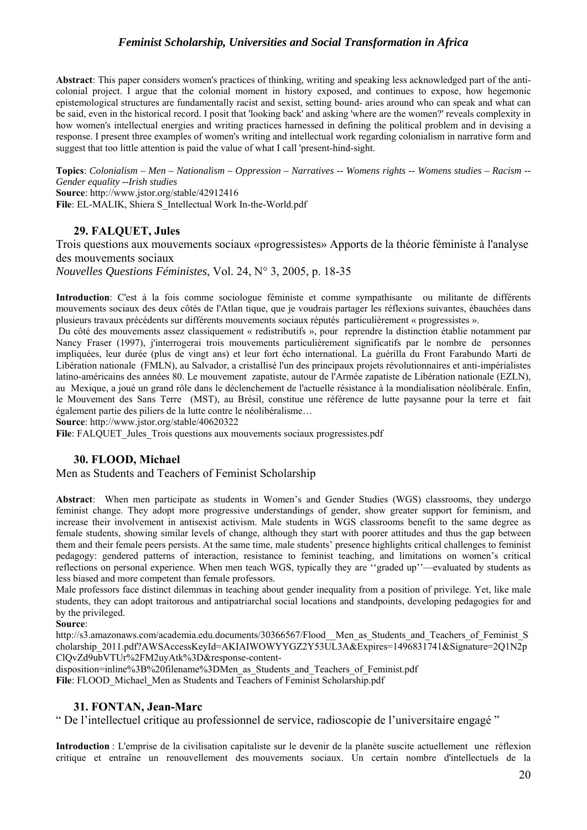**Abstract**: This paper considers women's practices of thinking, writing and speaking less acknowledged part of the anticolonial project. I argue that the colonial moment in history exposed, and continues to expose, how hegemonic epistemological structures are fundamentally racist and sexist, setting bound- aries around who can speak and what can be said, even in the historical record. I posit that 'looking back' and asking 'where are the women?' reveals complexity in how women's intellectual energies and writing practices harnessed in defining the political problem and in devising a response. I present three examples of women's writing and intellectual work regarding colonialism in narrative form and suggest that too little attention is paid the value of what I call 'present-hind-sight.

**Topics**: *Colonialism – Men – Nationalism – Oppression – Narratives -- Womens rights -- Womens studies – Racism -- Gender equality --Irish studies* **Source**: http://www.jstor.org/stable/42912416

**File**: EL-MALIK, Shiera S\_Intellectual Work In-the-World.pdf

## **29. FALQUET, Jules**

Trois questions aux mouvements sociaux «progressistes» Apports de la théorie féministe à l'analyse des mouvements sociaux

*Nouvelles Questions Féministes*, Vol. 24, N° 3, 2005, p. 18-35

**Introduction**: C'est à la fois comme sociologue féministe et comme sympathisante ou militante de différents mouvements sociaux des deux côtés de l'Atlan tique, que je voudrais partager les réflexions suivantes, ébauchées dans plusieurs travaux précédents sur différents mouvements sociaux réputés particulièrement « progressistes ».

 Du côté des mouvements assez classiquement « redistributifs », pour reprendre la distinction établie notamment par Nancy Fraser (1997), j'interrogerai trois mouvements particulièrement significatifs par le nombre de personnes impliquées, leur durée (plus de vingt ans) et leur fort écho international. La guérilla du Front Farabundo Marti de Libération nationale (FMLN), au Salvador, a cristallisé l'un des principaux projets révolutionnaires et anti-impérialistes latino-américains des années 80. Le mouvement zapatiste, autour de l'Armée zapatiste de Libération nationale (EZLN), au Mexique, a joué un grand rôle dans le déclenchement de l'actuelle résistance à la mondialisation néolibérale. Enfin, le Mouvement des Sans Terre (MST), au Brésil, constitue une référence de lutte paysanne pour la terre et fait également partie des piliers de la lutte contre le néolibéralisme…

**Source**: http://www.jstor.org/stable/40620322

File: FALQUET\_Jules\_Trois questions aux mouvements sociaux progressistes.pdf

## **30. FLOOD, Michael**

Men as Students and Teachers of Feminist Scholarship

**Abstract**: When men participate as students in Women's and Gender Studies (WGS) classrooms, they undergo feminist change. They adopt more progressive understandings of gender, show greater support for feminism, and increase their involvement in antisexist activism. Male students in WGS classrooms benefit to the same degree as female students, showing similar levels of change, although they start with poorer attitudes and thus the gap between them and their female peers persists. At the same time, male students' presence highlights critical challenges to feminist pedagogy: gendered patterns of interaction, resistance to feminist teaching, and limitations on women's critical reflections on personal experience. When men teach WGS, typically they are ''graded up''—evaluated by students as less biased and more competent than female professors.

Male professors face distinct dilemmas in teaching about gender inequality from a position of privilege. Yet, like male students, they can adopt traitorous and antipatriarchal social locations and standpoints, developing pedagogies for and by the privileged.

**Source**:

http://s3.amazonaws.com/academia.edu.documents/30366567/Flood Men as Students and Teachers of Feminist S cholarship\_2011.pdf?AWSAccessKeyId=AKIAIWOWYYGZ2Y53UL3A&Expires=1496831741&Signature=2Q1N2p ClQvZd9ubVTUr%2FM2uyAtk%3D&response-content-

disposition=inline%3B%20filename%3DMen\_as\_Students\_and\_Teachers\_of\_Feminist.pdf **File**: FLOOD\_Michael**\_**Men as Students and Teachers of Feminist Scholarship.pdf

## **31. FONTAN, Jean-Marc**

" De l'intellectuel critique au professionnel de service, radioscopie de l'universitaire engagé "

**Introduction** : L'emprise de la civilisation capitaliste sur le devenir de la planète suscite actuellement une réflexion critique et entraîne un renouvellement des mouvements sociaux. Un certain nombre d'intellectuels de la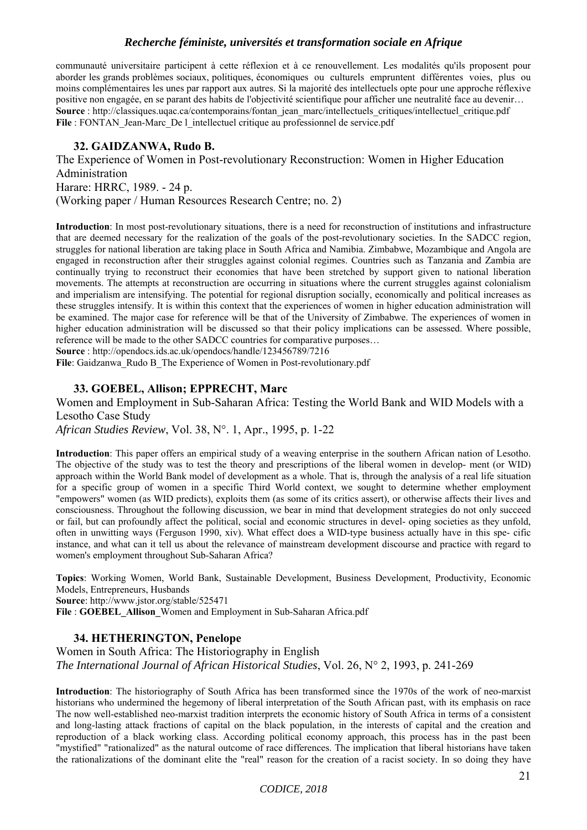communauté universitaire participent à cette réflexion et à ce renouvellement. Les modalités qu'ils proposent pour aborder les grands problèmes sociaux, politiques, économiques ou culturels empruntent différentes voies, plus ou moins complémentaires les unes par rapport aux autres. Si la majorité des intellectuels opte pour une approche réflexive positive non engagée, en se parant des habits de l'objectivité scientifique pour afficher une neutralité face au devenir… **Source** : http://classiques.uqac.ca/contemporains/fontan\_jean\_marc/intellectuels\_critiques/intellectuel\_critique.pdf File : FONTAN\_Jean-Marc\_De l\_intellectuel critique au professionnel de service.pdf

## **32. GAIDZANWA, Rudo B.**

The Experience of Women in Post-revolutionary Reconstruction: Women in Higher Education Administration Harare: HRRC, 1989. - 24 p. (Working paper / Human Resources Research Centre; no. 2)

**Introduction**: In most post-revolutionary situations, there is a need for reconstruction of institutions and infrastructure that are deemed necessary for the realization of the goals of the post-revolutionary societies. In the SADCC region, struggles for national liberation are taking place in South Africa and Namibia. Zimbabwe, Mozambique and Angola are engaged in reconstruction after their struggles against colonial regimes. Countries such as Tanzania and Zambia are continually trying to reconstruct their economies that have been stretched by support given to national liberation movements. The attempts at reconstruction are occurring in situations where the current struggles against colonialism and imperialism are intensifying. The potential for regional disruption socially, economically and political increases as these struggles intensify. It is within this context that the experiences of women in higher education administration will be examined. The major case for reference will be that of the University of Zimbabwe. The experiences of women in higher education administration will be discussed so that their policy implications can be assessed. Where possible, reference will be made to the other SADCC countries for comparative purposes…

**Source** : http://opendocs.ids.ac.uk/opendocs/handle/123456789/7216

File: Gaidzanwa\_Rudo B\_The Experience of Women in Post-revolutionary.pdf

## **33. GOEBEL, Allison; EPPRECHT, Marc**

Women and Employment in Sub-Saharan Africa: Testing the World Bank and WID Models with a Lesotho Case Study *African Studies Review*, Vol. 38, N°. 1, Apr., 1995, p. 1-22

**Introduction**: This paper offers an empirical study of a weaving enterprise in the southern African nation of Lesotho. The objective of the study was to test the theory and prescriptions of the liberal women in develop- ment (or WID) approach within the World Bank model of development as a whole. That is, through the analysis of a real life situation for a specific group of women in a specific Third World context, we sought to determine whether employment "empowers" women (as WID predicts), exploits them (as some of its critics assert), or otherwise affects their lives and consciousness. Throughout the following discussion, we bear in mind that development strategies do not only succeed or fail, but can profoundly affect the political, social and economic structures in devel- oping societies as they unfold, often in unwitting ways (Ferguson 1990, xiv). What effect does a WID-type business actually have in this spe- cific instance, and what can it tell us about the relevance of mainstream development discourse and practice with regard to women's employment throughout Sub-Saharan Africa?

**Topics**: Working Women, World Bank, Sustainable Development, Business Development, Productivity, Economic Models, Entrepreneurs, Husbands **Source**: http://www.jstor.org/stable/525471

**File** : **GOEBEL\_Allison\_**Women and Employment in Sub-Saharan Africa.pdf

#### **34. HETHERINGTON, Penelope**

Women in South Africa: The Historiography in English *The International Journal of African Historical Studies*, Vol. 26, N° 2, 1993, p. 241-269

**Introduction**: The historiography of South Africa has been transformed since the 1970s of the work of neo-marxist historians who undermined the hegemony of liberal interpretation of the South African past, with its emphasis on race The now well-established neo-marxist tradition interprets the economic history of South Africa in terms of a consistent and long-lasting attack fractions of capital on the black population, in the interests of capital and the creation and reproduction of a black working class. According political economy approach, this process has in the past been "mystified" "rationalized" as the natural outcome of race differences. The implication that liberal historians have taken the rationalizations of the dominant elite the "real" reason for the creation of a racist society. In so doing they have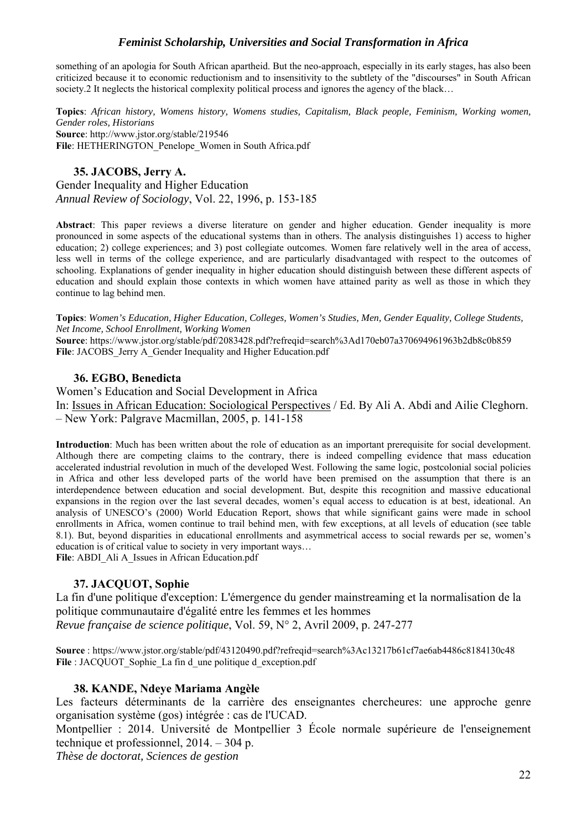something of an apologia for South African apartheid. But the neo-approach, especially in its early stages, has also been criticized because it to economic reductionism and to insensitivity to the subtlety of the "discourses" in South African society.2 It neglects the historical complexity political process and ignores the agency of the black…

**Topics**: *African history, Womens history, Womens studies, Capitalism, Black people, Feminism, Working women, Gender roles, Historians*  **Source**: http://www.jstor.org/stable/219546 File: HETHERINGTON\_Penelope\_Women in South Africa.pdf

## **35. JACOBS, Jerry A.**

Gender Inequality and Higher Education *Annual Review of Sociology*, Vol. 22, 1996, p. 153-185

**Abstract**: This paper reviews a diverse literature on gender and higher education. Gender inequality is more pronounced in some aspects of the educational systems than in others. The analysis distinguishes 1) access to higher education; 2) college experiences; and 3) post collegiate outcomes. Women fare relatively well in the area of access, less well in terms of the college experience, and are particularly disadvantaged with respect to the outcomes of schooling. Explanations of gender inequality in higher education should distinguish between these different aspects of education and should explain those contexts in which women have attained parity as well as those in which they continue to lag behind men.

**Topics**: *Women's Education, Higher Education, Colleges, Women's Studies, Men, Gender Equality, College Students, Net Income, School Enrollment, Working Women*

**Source**: https://www.jstor.org/stable/pdf/2083428.pdf?refreqid=search%3Ad170eb07a370694961963b2db8c0b859 File: JACOBS Jerry A Gender Inequality and Higher Education.pdf

## **36. EGBO, Benedicta**

Women's Education and Social Development in Africa In: Issues in African Education: Sociological Perspectives / Ed. By Ali A. Abdi and Ailie Cleghorn. – New York: Palgrave Macmillan, 2005, p. 141-158

**Introduction**: Much has been written about the role of education as an important prerequisite for social development. Although there are competing claims to the contrary, there is indeed compelling evidence that mass education accelerated industrial revolution in much of the developed West. Following the same logic, postcolonial social policies in Africa and other less developed parts of the world have been premised on the assumption that there is an interdependence between education and social development. But, despite this recognition and massive educational expansions in the region over the last several decades, women's equal access to education is at best, ideational. An analysis of UNESCO's (2000) World Education Report, shows that while significant gains were made in school enrollments in Africa, women continue to trail behind men, with few exceptions, at all levels of education (see table 8.1). But, beyond disparities in educational enrollments and asymmetrical access to social rewards per se, women's education is of critical value to society in very important ways…

File: ABDI\_Ali A\_Issues in African Education.pdf

## **37. JACQUOT, Sophie**

La fin d'une politique d'exception: L'émergence du gender mainstreaming et la normalisation de la politique communautaire d'égalité entre les femmes et les hommes *Revue française de science politique*, Vol. 59, N° 2, Avril 2009, p. 247-277

**Source** : https://www.jstor.org/stable/pdf/43120490.pdf?refreqid=search%3Ac13217b61cf7ae6ab4486c8184130c48 File : JACQUOT\_Sophie\_La fin d\_une politique d\_exception.pdf

## **38. KANDE, Ndeye Mariama Angèle**

Les facteurs déterminants de la carrière des enseignantes chercheures: une approche genre organisation système (gos) intégrée : cas de l'UCAD.

Montpellier : 2014. Université de Montpellier 3 École normale supérieure de l'enseignement technique et professionnel, 2014. – 304 p.

*Thèse de doctorat, Sciences de gestion*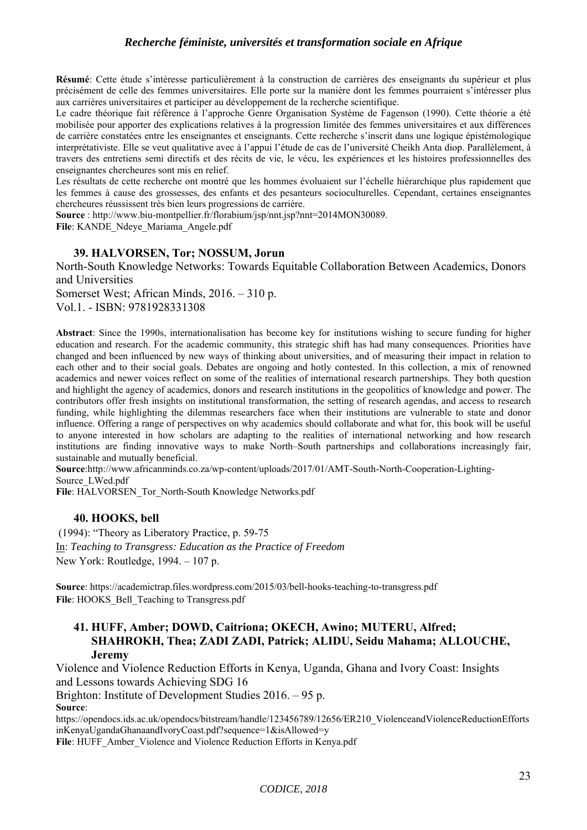**Résumé**: Cette étude s'intéresse particulièrement à la construction de carrières des enseignants du supérieur et plus précisément de celle des femmes universitaires. Elle porte sur la manière dont les femmes pourraient s'intéresser plus aux carrières universitaires et participer au développement de la recherche scientifique.

Le cadre théorique fait référence à l'approche Genre Organisation Système de Fagenson (1990). Cette théorie a été mobilisée pour apporter des explications relatives à la progression limitée des femmes universitaires et aux différences de carrière constatées entre les enseignantes et enseignants. Cette recherche s'inscrit dans une logique épistémologique interprétativiste. Elle se veut qualitative avec à l'appui l'étude de cas de l'université Cheikh Anta diop. Parallèlement, à travers des entretiens semi directifs et des récits de vie, le vécu, les expériences et les histoires professionnelles des enseignantes chercheures sont mis en relief.

Les résultats de cette recherche ont montré que les hommes évoluaient sur l'échelle hiérarchique plus rapidement que les femmes à cause des grossesses, des enfants et des pesanteurs socioculturelles. Cependant, certaines enseignantes chercheures réussissent très bien leurs progressions de carrière.

**Source** : http://www.biu-montpellier.fr/florabium/jsp/nnt.jsp?nnt=2014MON30089.

**File**: KANDE\_Ndeye\_Mariama\_Angele.pdf

## **39. HALVORSEN, Tor; NOSSUM, Jorun**

North-South Knowledge Networks: Towards Equitable Collaboration Between Academics, Donors and Universities Somerset West; African Minds, 2016. – 310 p.

Vol.1. - ISBN: 9781928331308

**Abstract**: Since the 1990s, internationalisation has become key for institutions wishing to secure funding for higher education and research. For the academic community, this strategic shift has had many consequences. Priorities have changed and been influenced by new ways of thinking about universities, and of measuring their impact in relation to each other and to their social goals. Debates are ongoing and hotly contested. In this collection, a mix of renowned academics and newer voices reflect on some of the realities of international research partnerships. They both question and highlight the agency of academics, donors and research institutions in the geopolitics of knowledge and power. The contributors offer fresh insights on institutional transformation, the setting of research agendas, and access to research funding, while highlighting the dilemmas researchers face when their institutions are vulnerable to state and donor influence. Offering a range of perspectives on why academics should collaborate and what for, this book will be useful to anyone interested in how scholars are adapting to the realities of international networking and how research institutions are finding innovative ways to make North–South partnerships and collaborations increasingly fair, sustainable and mutually beneficial.

**Source**:http://www.africanminds.co.za/wp-content/uploads/2017/01/AMT-South-North-Cooperation-Lighting-Source\_LWed.pdf

**File**: HALVORSEN\_Tor\_North-South Knowledge Networks.pdf

## **40. HOOKS, bell**

 (1994): "Theory as Liberatory Practice, p. 59-75 In: *Teaching to Transgress: Education as the Practice of Freedom*  New York: Routledge, 1994. – 107 p.

**Source**: https://academictrap.files.wordpress.com/2015/03/bell-hooks-teaching-to-transgress.pdf File: HOOKS Bell Teaching to Transgress.pdf

## **41. HUFF, Amber; DOWD, Caitriona; OKECH, Awino; MUTERU, Alfred; SHAHROKH, Thea; ZADI ZADI, Patrick; ALIDU, Seidu Mahama; ALLOUCHE, Jeremy**

Violence and Violence Reduction Efforts in Kenya, Uganda, Ghana and Ivory Coast: Insights and Lessons towards Achieving SDG 16

Brighton: Institute of Development Studies 2016. – 95 p.

**Source**:

https://opendocs.ids.ac.uk/opendocs/bitstream/handle/123456789/12656/ER210\_ViolenceandViolenceReductionEfforts inKenyaUgandaGhanaandIvoryCoast.pdf?sequence=1&isAllowed=y

File: HUFF\_Amber\_Violence and Violence Reduction Efforts in Kenya.pdf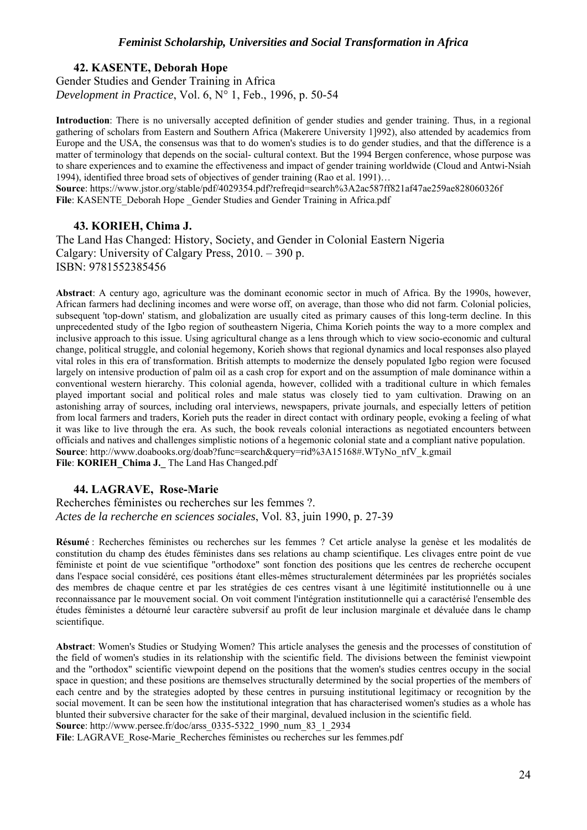## **42. KASENTE, Deborah Hope**  Gender Studies and Gender Training in Africa *Development in Practice*, Vol. 6, N° 1, Feb., 1996, p. 50-54

**Introduction**: There is no universally accepted definition of gender studies and gender training. Thus, in a regional gathering of scholars from Eastern and Southern Africa (Makerere University 1]992), also attended by academics from Europe and the USA, the consensus was that to do women's studies is to do gender studies, and that the difference is a matter of terminology that depends on the social- cultural context. But the 1994 Bergen conference, whose purpose was to share experiences and to examine the effectiveness and impact of gender training worldwide (Cloud and Antwi-Nsiah 1994), identified three broad sets of objectives of gender training (Rao et al. 1991)…

**Source**: https://www.jstor.org/stable/pdf/4029354.pdf?refreqid=search%3A2ac587ff821af47ae259ae828060326f File: KASENTE\_Deborah Hope Gender Studies and Gender Training in Africa.pdf

#### **43. KORIEH, Chima J.**

The Land Has Changed: History, Society, and Gender in Colonial Eastern Nigeria Calgary: University of Calgary Press, 2010. – 390 p. ISBN: 9781552385456

**Abstract**: A century ago, agriculture was the dominant economic sector in much of Africa. By the 1990s, however, African farmers had declining incomes and were worse off, on average, than those who did not farm. Colonial policies, subsequent 'top-down' statism, and globalization are usually cited as primary causes of this long-term decline. In this unprecedented study of the Igbo region of southeastern Nigeria, Chima Korieh points the way to a more complex and inclusive approach to this issue. Using agricultural change as a lens through which to view socio-economic and cultural change, political struggle, and colonial hegemony, Korieh shows that regional dynamics and local responses also played vital roles in this era of transformation. British attempts to modernize the densely populated Igbo region were focused largely on intensive production of palm oil as a cash crop for export and on the assumption of male dominance within a conventional western hierarchy. This colonial agenda, however, collided with a traditional culture in which females played important social and political roles and male status was closely tied to yam cultivation. Drawing on an astonishing array of sources, including oral interviews, newspapers, private journals, and especially letters of petition from local farmers and traders, Korieh puts the reader in direct contact with ordinary people, evoking a feeling of what it was like to live through the era. As such, the book reveals colonial interactions as negotiated encounters between officials and natives and challenges simplistic notions of a hegemonic colonial state and a compliant native population. **Source**: http://www.doabooks.org/doab?func=search&query=rid%3A15168#.WTyNo\_nfV\_k.gmail **File**: **KORIEH\_Chima J.\_** The Land Has Changed.pdf

#### **44. LAGRAVE, Rose-Marie**

Recherches féministes ou recherches sur les femmes ?. *Actes de la recherche en sciences sociales*, Vol. 83, juin 1990, p. 27-39

**Résumé** : Recherches féministes ou recherches sur les femmes ? Cet article analyse la genèse et les modalités de constitution du champ des études féministes dans ses relations au champ scientifique. Les clivages entre point de vue féministe et point de vue scientifique "orthodoxe" sont fonction des positions que les centres de recherche occupent dans l'espace social considéré, ces positions étant elles-mêmes structuralement déterminées par les propriétés sociales des membres de chaque centre et par les stratégies de ces centres visant à une légitimité institutionnelle ou à une reconnaissance par le mouvement social. On voit comment l'intégration institutionnelle qui a caractérisé l'ensemble des études féministes a détourné leur caractère subversif au profit de leur inclusion marginale et dévaluée dans le champ scientifique.

**Abstract**: Women's Studies or Studying Women? This article analyses the genesis and the processes of constitution of the field of women's studies in its relationship with the scientific field. The divisions between the feminist viewpoint and the "orthodox" scientific viewpoint depend on the positions that the women's studies centres occupy in the social space in question; and these positions are themselves structurally determined by the social properties of the members of each centre and by the strategies adopted by these centres in pursuing institutional legitimacy or recognition by the social movement. It can be seen how the institutional integration that has characterised women's studies as a whole has blunted their subversive character for the sake of their marginal, devalued inclusion in the scientific field.

**Source**: http://www.persee.fr/doc/arss\_0335-5322\_1990\_num\_83\_1\_2934

File: LAGRAVE\_Rose-Marie\_Recherches féministes ou recherches sur les femmes.pdf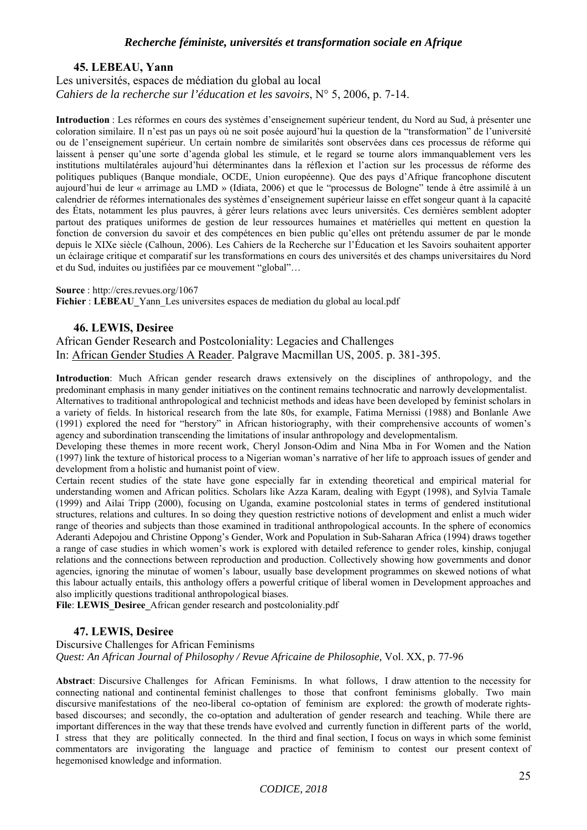#### **45. LEBEAU, Yann**

## Les universités, espaces de médiation du global au local *Cahiers de la recherche sur l'éducation et les savoirs*, N° 5, 2006, p. 7-14.

**Introduction** : Les réformes en cours des systèmes d'enseignement supérieur tendent, du Nord au Sud, à présenter une coloration similaire. Il n'est pas un pays où ne soit posée aujourd'hui la question de la "transformation" de l'université ou de l'enseignement supérieur. Un certain nombre de similarités sont observées dans ces processus de réforme qui laissent à penser qu'une sorte d'agenda global les stimule, et le regard se tourne alors immanquablement vers les institutions multilatérales aujourd'hui déterminantes dans la réflexion et l'action sur les processus de réforme des politiques publiques (Banque mondiale, OCDE, Union européenne). Que des pays d'Afrique francophone discutent aujourd'hui de leur « arrimage au LMD » (Idiata, 2006) et que le "processus de Bologne" tende à être assimilé à un calendrier de réformes internationales des systèmes d'enseignement supérieur laisse en effet songeur quant à la capacité des États, notamment les plus pauvres, à gérer leurs relations avec leurs universités. Ces dernières semblent adopter partout des pratiques uniformes de gestion de leur ressources humaines et matérielles qui mettent en question la fonction de conversion du savoir et des compétences en bien public qu'elles ont prétendu assumer de par le monde depuis le XIXe siècle (Calhoun, 2006). Les Cahiers de la Recherche sur l'Éducation et les Savoirs souhaitent apporter un éclairage critique et comparatif sur les transformations en cours des universités et des champs universitaires du Nord et du Sud, induites ou justifiées par ce mouvement "global"…

#### **Source** : http://cres.revues.org/1067

**Fichier : LEBEAU** Yann Les universites espaces de mediation du global au local.pdf

#### **46. LEWIS, Desiree**

African Gender Research and Postcoloniality: Legacies and Challenges In: African Gender Studies A Reader. Palgrave Macmillan US, 2005. p. 381-395.

**Introduction**: Much African gender research draws extensively on the disciplines of anthropology, and the predominant emphasis in many gender initiatives on the continent remains technocratic and narrowly developmentalist. Alternatives to traditional anthropological and technicist methods and ideas have been developed by feminist scholars in a variety of fields. In historical research from the late 80s, for example, Fatima Mernissi (1988) and Bonlanle Awe (1991) explored the need for "herstory" in African historiography, with their comprehensive accounts of women's agency and subordination transcending the limitations of insular anthropology and developmentalism.

Developing these themes in more recent work, Cheryl Jonson-Odim and Nina Mba in For Women and the Nation (1997) link the texture of historical process to a Nigerian woman's narrative of her life to approach issues of gender and development from a holistic and humanist point of view.

Certain recent studies of the state have gone especially far in extending theoretical and empirical material for understanding women and African politics. Scholars like Azza Karam, dealing with Egypt (1998), and Sylvia Tamale (1999) and Ailai Tripp (2000), focusing on Uganda, examine postcolonial states in terms of gendered institutional structures, relations and cultures. In so doing they question restrictive notions of development and enlist a much wider range of theories and subjects than those examined in traditional anthropological accounts. In the sphere of economics Aderanti Adepojou and Christine Oppong's Gender, Work and Population in Sub-Saharan Africa (1994) draws together a range of case studies in which women's work is explored with detailed reference to gender roles, kinship, conjugal relations and the connections between reproduction and production. Collectively showing how governments and donor agencies, ignoring the minutae of women's labour, usually base development programmes on skewed notions of what this labour actually entails, this anthology offers a powerful critique of liberal women in Development approaches and also implicitly questions traditional anthropological biases.

File: LEWIS\_Desiree\_African gender research and postcoloniality.pdf

#### **47. LEWIS, Desiree**

Discursive Challenges for African Feminisms *Quest: An African Journal of Philosophy / Revue Africaine de Philosophie,* Vol. XX, p. 77-96

**Abstract**: Discursive Challenges for African Feminisms. In what follows, I draw attention to the necessity for connecting national and continental feminist challenges to those that confront feminisms globally. Two main discursive manifestations of the neo-liberal co-optation of feminism are explored: the growth of moderate rightsbased discourses; and secondly, the co-optation and adulteration of gender research and teaching. While there are important differences in the way that these trends have evolved and currently function in different parts of the world, I stress that they are politically connected. In the third and final section, I focus on ways in which some feminist commentators are invigorating the language and practice of feminism to contest our present context of hegemonised knowledge and information.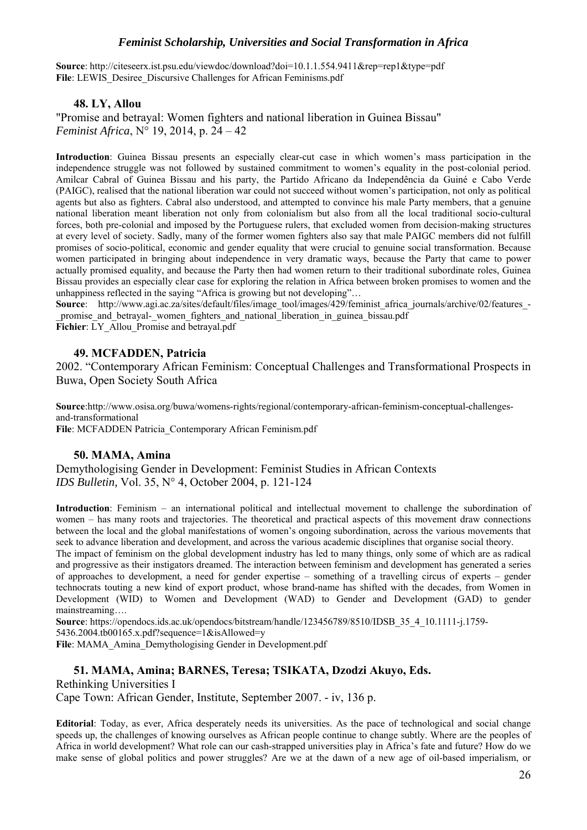**Source**: http://citeseerx.ist.psu.edu/viewdoc/download?doi=10.1.1.554.9411&rep=rep1&type=pdf File: LEWIS Desiree Discursive Challenges for African Feminisms.pdf

## **48. LY, Allou**

"Promise and betrayal: Women fighters and national liberation in Guinea Bissau" *Feminist Africa*, N° 19, 2014, p. 24 – 42

**Introduction**: Guinea Bissau presents an especially clear-cut case in which women's mass participation in the independence struggle was not followed by sustained commitment to women's equality in the post-colonial period. Amilcar Cabral of Guinea Bissau and his party, the Partido Africano da Independência da Guiné e Cabo Verde (PAIGC), realised that the national liberation war could not succeed without women's participation, not only as political agents but also as fighters. Cabral also understood, and attempted to convince his male Party members, that a genuine national liberation meant liberation not only from colonialism but also from all the local traditional socio-cultural forces, both pre-colonial and imposed by the Portuguese rulers, that excluded women from decision-making structures at every level of society. Sadly, many of the former women fighters also say that male PAIGC members did not fulfill promises of socio-political, economic and gender equality that were crucial to genuine social transformation. Because women participated in bringing about independence in very dramatic ways, because the Party that came to power actually promised equality, and because the Party then had women return to their traditional subordinate roles, Guinea Bissau provides an especially clear case for exploring the relation in Africa between broken promises to women and the unhappiness reflected in the saying "Africa is growing but not developing"…

**Source**: http://www.agi.ac.za/sites/default/files/image\_tool/images/429/feminist\_africa\_journals/archive/02/features\_-\_promise\_and\_betrayal-\_women\_fighters\_and\_national\_liberation\_in\_guinea\_bissau.pdf Fichier: LY\_Allou\_Promise and betrayal.pdf

## **49. MCFADDEN, Patricia**

2002. "Contemporary African Feminism: Conceptual Challenges and Transformational Prospects in Buwa, Open Society South Africa

**Source**:http://www.osisa.org/buwa/womens-rights/regional/contemporary-african-feminism-conceptual-challengesand-transformational **File**: MCFADDEN Patricia\_Contemporary African Feminism.pdf

#### **50. MAMA, Amina**

Demythologising Gender in Development: Feminist Studies in African Contexts *IDS Bulletin,* Vol. 35, N° 4, October 2004, p. 121-124

**Introduction**: Feminism – an international political and intellectual movement to challenge the subordination of women – has many roots and trajectories. The theoretical and practical aspects of this movement draw connections between the local and the global manifestations of women's ongoing subordination, across the various movements that seek to advance liberation and development, and across the various academic disciplines that organise social theory.

The impact of feminism on the global development industry has led to many things, only some of which are as radical and progressive as their instigators dreamed. The interaction between feminism and development has generated a series of approaches to development, a need for gender expertise – something of a travelling circus of experts – gender technocrats touting a new kind of export product, whose brand-name has shifted with the decades, from Women in Development (WID) to Women and Development (WAD) to Gender and Development (GAD) to gender mainstreaming….

**Source**: https://opendocs.ids.ac.uk/opendocs/bitstream/handle/123456789/8510/IDSB\_35\_4\_10.1111-j.1759- 5436.2004.tb00165.x.pdf?sequence=1&isAllowed=y **File**: MAMA\_Amina\_Demythologising Gender in Development.pdf

#### **51. MAMA, Amina; BARNES, Teresa; TSIKATA, Dzodzi Akuyo, Eds.**

Rethinking Universities I

Cape Town: African Gender, Institute, September 2007. - iv, 136 p.

**Editorial**: Today, as ever, Africa desperately needs its universities. As the pace of technological and social change speeds up, the challenges of knowing ourselves as African people continue to change subtly. Where are the peoples of Africa in world development? What role can our cash-strapped universities play in Africa's fate and future? How do we make sense of global politics and power struggles? Are we at the dawn of a new age of oil-based imperialism, or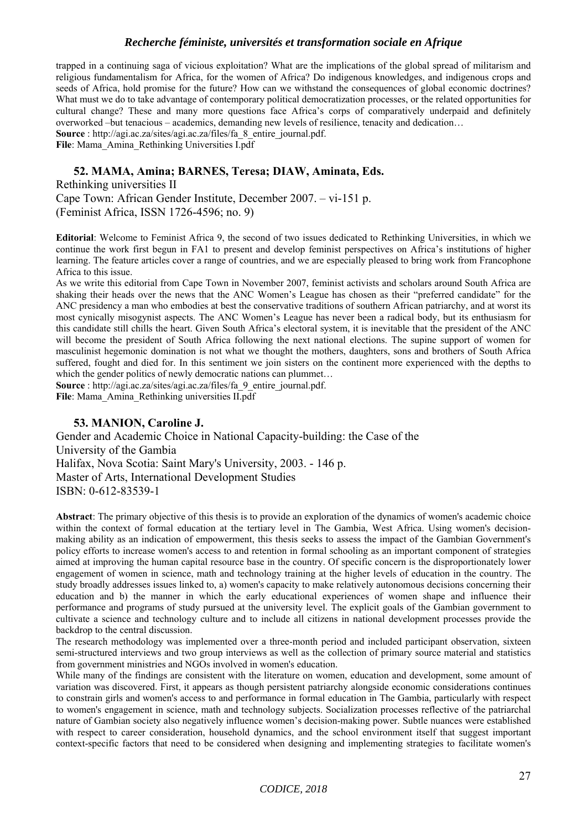trapped in a continuing saga of vicious exploitation? What are the implications of the global spread of militarism and religious fundamentalism for Africa, for the women of Africa? Do indigenous knowledges, and indigenous crops and seeds of Africa, hold promise for the future? How can we withstand the consequences of global economic doctrines? What must we do to take advantage of contemporary political democratization processes, or the related opportunities for cultural change? These and many more questions face Africa's corps of comparatively underpaid and definitely overworked –but tenacious – academics, demanding new levels of resilience, tenacity and dedication…

**Source** : http://agi.ac.za/sites/agi.ac.za/files/fa\_8\_entire\_journal.pdf.

File: Mama<sup>Amina</sup> Rethinking Universities I.pdf

## **52. MAMA, Amina; BARNES, Teresa; DIAW, Aminata, Eds.**

Rethinking universities II Cape Town: African Gender Institute, December 2007. – vi-151 p. (Feminist Africa, ISSN 1726-4596; no. 9)

**Editorial**: Welcome to Feminist Africa 9, the second of two issues dedicated to Rethinking Universities, in which we continue the work first begun in FA1 to present and develop feminist perspectives on Africa's institutions of higher learning. The feature articles cover a range of countries, and we are especially pleased to bring work from Francophone Africa to this issue.

As we write this editorial from Cape Town in November 2007, feminist activists and scholars around South Africa are shaking their heads over the news that the ANC Women's League has chosen as their "preferred candidate" for the ANC presidency a man who embodies at best the conservative traditions of southern African patriarchy, and at worst its most cynically misogynist aspects. The ANC Women's League has never been a radical body, but its enthusiasm for this candidate still chills the heart. Given South Africa's electoral system, it is inevitable that the president of the ANC will become the president of South Africa following the next national elections. The supine support of women for masculinist hegemonic domination is not what we thought the mothers, daughters, sons and brothers of South Africa suffered, fought and died for. In this sentiment we join sisters on the continent more experienced with the depths to which the gender politics of newly democratic nations can plummet...

**Source** : http://agi.ac.za/sites/agi.ac.za/files/fa\_9\_entire\_journal.pdf. **File**: Mama\_Amina\_Rethinking universities II.pdf

## **53. MANION, Caroline J.**

Gender and Academic Choice in National Capacity-building: the Case of the University of the Gambia Halifax, Nova Scotia: Saint Mary's University, 2003. - 146 p. Master of Arts, International Development Studies ISBN: 0-612-83539-1

**Abstract**: The primary objective of this thesis is to provide an exploration of the dynamics of women's academic choice within the context of formal education at the tertiary level in The Gambia, West Africa. Using women's decisionmaking ability as an indication of empowerment, this thesis seeks to assess the impact of the Gambian Government's policy efforts to increase women's access to and retention in formal schooling as an important component of strategies aimed at improving the human capital resource base in the country. Of specific concern is the disproportionately lower engagement of women in science, math and technology training at the higher levels of education in the country. The study broadly addresses issues linked to, a) women's capacity to make relatively autonomous decisions concerning their education and b) the manner in which the early educational experiences of women shape and influence their performance and programs of study pursued at the university level. The explicit goals of the Gambian government to cultivate a science and technology culture and to include all citizens in national development processes provide the backdrop to the central discussion.

The research methodology was implemented over a three-month period and included participant observation, sixteen semi-structured interviews and two group interviews as well as the collection of primary source material and statistics from government ministries and NGOs involved in women's education.

While many of the findings are consistent with the literature on women, education and development, some amount of variation was discovered. First, it appears as though persistent patriarchy alongside economic considerations continues to constrain girls and women's access to and performance in formal education in The Gambia, particularly with respect to women's engagement in science, math and technology subjects. Socialization processes reflective of the patriarchal nature of Gambian society also negatively influence women's decision-making power. Subtle nuances were established with respect to career consideration, household dynamics, and the school environment itself that suggest important context-specific factors that need to be considered when designing and implementing strategies to facilitate women's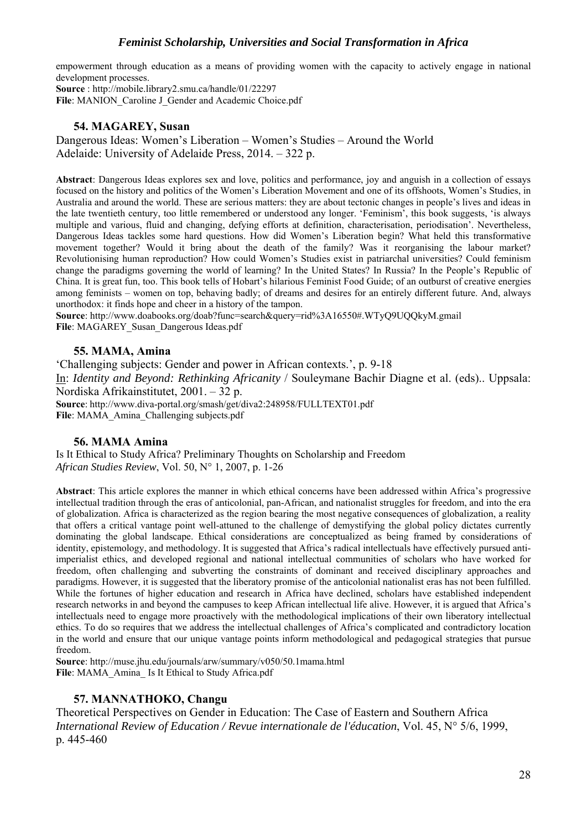empowerment through education as a means of providing women with the capacity to actively engage in national development processes.

**Source** : http://mobile.library2.smu.ca/handle/01/22297 File: MANION Caroline J Gender and Academic Choice.pdf

## **54. MAGAREY, Susan**

Dangerous Ideas: Women's Liberation – Women's Studies – Around the World Adelaide: University of Adelaide Press, 2014. – 322 p.

**Abstract**: Dangerous Ideas explores sex and love, politics and performance, joy and anguish in a collection of essays focused on the history and politics of the Women's Liberation Movement and one of its offshoots, Women's Studies, in Australia and around the world. These are serious matters: they are about tectonic changes in people's lives and ideas in the late twentieth century, too little remembered or understood any longer. 'Feminism', this book suggests, 'is always multiple and various, fluid and changing, defying efforts at definition, characterisation, periodisation'. Nevertheless, Dangerous Ideas tackles some hard questions. How did Women's Liberation begin? What held this transformative movement together? Would it bring about the death of the family? Was it reorganising the labour market? Revolutionising human reproduction? How could Women's Studies exist in patriarchal universities? Could feminism change the paradigms governing the world of learning? In the United States? In Russia? In the People's Republic of China. It is great fun, too. This book tells of Hobart's hilarious Feminist Food Guide; of an outburst of creative energies among feminists – women on top, behaving badly; of dreams and desires for an entirely different future. And, always unorthodox: it finds hope and cheer in a history of the tampon.

**Source**: http://www.doabooks.org/doab?func=search&query=rid%3A16550#.WTyQ9UQQkyM.gmail **File**: MAGAREY\_Susan\_Dangerous Ideas.pdf

## **55. MAMA, Amina**

'Challenging subjects: Gender and power in African contexts.', p. 9-18 In: *Identity and Beyond: Rethinking Africanity* / Souleymane Bachir Diagne et al. (eds).. Uppsala: Nordiska Afrikainstitutet, 2001. – 32 p. **Source**: http://www.diva-portal.org/smash/get/diva2:248958/FULLTEXT01.pdf **File**: MAMA\_Amina\_Challenging subjects.pdf

#### **56. MAMA Amina**

Is It Ethical to Study Africa? Preliminary Thoughts on Scholarship and Freedom *African Studies Review*, Vol. 50, N° 1, 2007, p. 1-26

**Abstract**: This article explores the manner in which ethical concerns have been addressed within Africa's progressive intellectual tradition through the eras of anticolonial, pan-African, and nationalist struggles for freedom, and into the era of globalization. Africa is characterized as the region bearing the most negative consequences of globalization, a reality that offers a critical vantage point well-attuned to the challenge of demystifying the global policy dictates currently dominating the global landscape. Ethical considerations are conceptualized as being framed by considerations of identity, epistemology, and methodology. It is suggested that Africa's radical intellectuals have effectively pursued antiimperialist ethics, and developed regional and national intellectual communities of scholars who have worked for freedom, often challenging and subverting the constraints of dominant and received disciplinary approaches and paradigms. However, it is suggested that the liberatory promise of the anticolonial nationalist eras has not been fulfilled. While the fortunes of higher education and research in Africa have declined, scholars have established independent research networks in and beyond the campuses to keep African intellectual life alive. However, it is argued that Africa's intellectuals need to engage more proactively with the methodological implications of their own liberatory intellectual ethics. To do so requires that we address the intellectual challenges of Africa's complicated and contradictory location in the world and ensure that our unique vantage points inform methodological and pedagogical strategies that pursue freedom.

**Source**: http://muse.jhu.edu/journals/arw/summary/v050/50.1mama.html **File**: MAMA\_Amina\_ Is It Ethical to Study Africa.pdf

## **57. MANNATHOKO, Changu**

Theoretical Perspectives on Gender in Education: The Case of Eastern and Southern Africa *International Review of Education / Revue internationale de l'éducation*, Vol. 45, N° 5/6, 1999, p. 445-460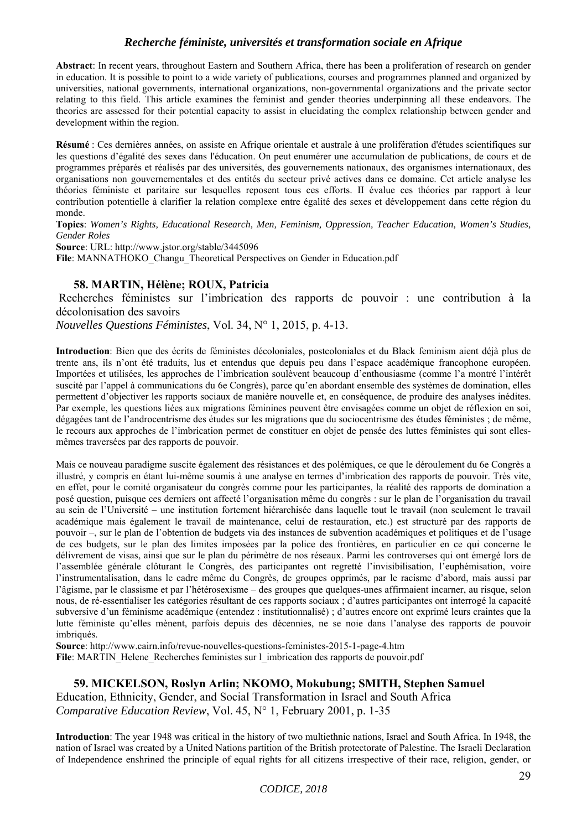**Abstract**: In recent years, throughout Eastern and Southern Africa, there has been a proliferation of research on gender in education. It is possible to point to a wide variety of publications, courses and programmes planned and organized by universities, national governments, international organizations, non-governmental organizations and the private sector relating to this field. This article examines the feminist and gender theories underpinning all these endeavors. The theories are assessed for their potential capacity to assist in elucidating the complex relationship between gender and development within the region.

**Résumé** : Ces dernières années, on assiste en Afrique orientale et australe à une prolifération d'études scientifiques sur les questions d'égalité des sexes dans l'éducation. On peut enumérer une accumulation de publications, de cours et de programmes préparés et réalisés par des universités, des gouvernements nationaux, des organismes internationaux, des organisations non gouvernementales et des entités du secteur privé actives dans ce domaine. Cet article analyse les théories féministe et paritaire sur lesquelles reposent tous ces efforts. II évalue ces théories par rapport à leur contribution potentielle à clarifier la relation complexe entre égalité des sexes et développement dans cette région du monde.

**Topics**: *Women's Rights, Educational Research, Men, Feminism, Oppression, Teacher Education, Women's Studies, Gender Roles*

**Source**: URL: http://www.jstor.org/stable/3445096

File: MANNATHOKO\_Changu\_Theoretical Perspectives on Gender in Education.pdf

## **58. MARTIN, Hélène; ROUX, Patricia**

 Recherches féministes sur l'imbrication des rapports de pouvoir : une contribution à la décolonisation des savoirs

*Nouvelles Questions Féministes*, Vol. 34, N° 1, 2015, p. 4-13.

**Introduction**: Bien que des écrits de féministes décoloniales, postcoloniales et du Black feminism aient déjà plus de trente ans, ils n'ont été traduits, lus et entendus que depuis peu dans l'espace académique francophone européen. Importées et utilisées, les approches de l'imbrication soulèvent beaucoup d'enthousiasme (comme l'a montré l'intérêt suscité par l'appel à communications du 6e Congrès), parce qu'en abordant ensemble des systèmes de domination, elles permettent d'objectiver les rapports sociaux de manière nouvelle et, en conséquence, de produire des analyses inédites. Par exemple, les questions liées aux migrations féminines peuvent être envisagées comme un objet de réflexion en soi, dégagées tant de l'androcentrisme des études sur les migrations que du sociocentrisme des études féministes ; de même, le recours aux approches de l'imbrication permet de constituer en objet de pensée des luttes féministes qui sont ellesmêmes traversées par des rapports de pouvoir.

Mais ce nouveau paradigme suscite également des résistances et des polémiques, ce que le déroulement du 6e Congrès a illustré, y compris en étant lui-même soumis à une analyse en termes d'imbrication des rapports de pouvoir. Très vite, en effet, pour le comité organisateur du congrès comme pour les participantes, la réalité des rapports de domination a posé question, puisque ces derniers ont affecté l'organisation même du congrès : sur le plan de l'organisation du travail au sein de l'Université – une institution fortement hiérarchisée dans laquelle tout le travail (non seulement le travail académique mais également le travail de maintenance, celui de restauration, etc.) est structuré par des rapports de pouvoir –, sur le plan de l'obtention de budgets via des instances de subvention académiques et politiques et de l'usage de ces budgets, sur le plan des limites imposées par la police des frontières, en particulier en ce qui concerne le délivrement de visas, ainsi que sur le plan du périmètre de nos réseaux. Parmi les controverses qui ont émergé lors de l'assemblée générale clôturant le Congrès, des participantes ont regretté l'invisibilisation, l'euphémisation, voire l'instrumentalisation, dans le cadre même du Congrès, de groupes opprimés, par le racisme d'abord, mais aussi par l'âgisme, par le classisme et par l'hétérosexisme – des groupes que quelques-unes affirmaient incarner, au risque, selon nous, de ré-essentialiser les catégories résultant de ces rapports sociaux ; d'autres participantes ont interrogé la capacité subversive d'un féminisme académique (entendez : institutionnalisé) ; d'autres encore ont exprimé leurs craintes que la lutte féministe qu'elles mènent, parfois depuis des décennies, ne se noie dans l'analyse des rapports de pouvoir imbriqués.

**Source**: http://www.cairn.info/revue-nouvelles-questions-feministes-2015-1-page-4.htm File: MARTIN\_Helene\_Recherches feministes sur l\_imbrication des rapports de pouvoir.pdf

## **59. MICKELSON, Roslyn Arlin; NKOMO, Mokubung; SMITH, Stephen Samuel**  Education, Ethnicity, Gender, and Social Transformation in Israel and South Africa

*Comparative Education Review*, Vol. 45, N° 1, February 2001, p. 1-35

**Introduction**: The year 1948 was critical in the history of two multiethnic nations, Israel and South Africa. In 1948, the nation of Israel was created by a United Nations partition of the British protectorate of Palestine. The Israeli Declaration of Independence enshrined the principle of equal rights for all citizens irrespective of their race, religion, gender, or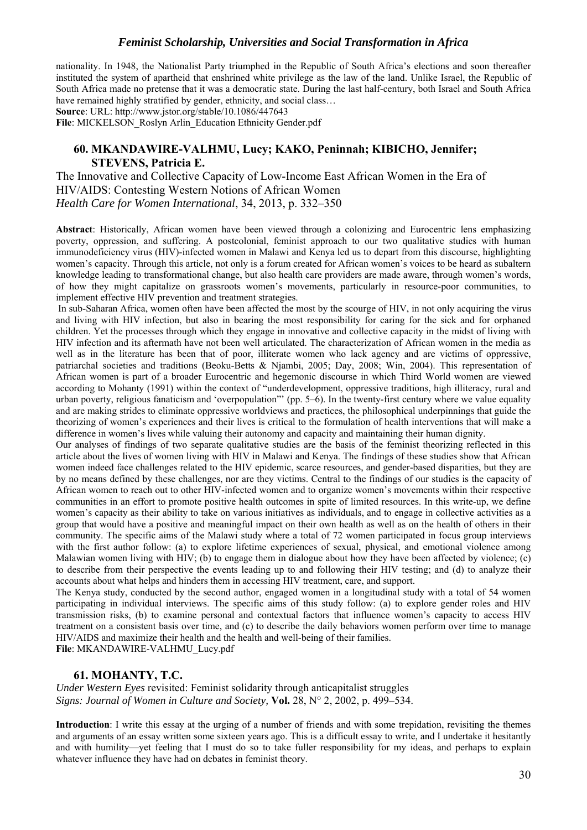nationality. In 1948, the Nationalist Party triumphed in the Republic of South Africa's elections and soon thereafter instituted the system of apartheid that enshrined white privilege as the law of the land. Unlike Israel, the Republic of South Africa made no pretense that it was a democratic state. During the last half-century, both Israel and South Africa have remained highly stratified by gender, ethnicity, and social class...

**Source**: URL: http://www.jstor.org/stable/10.1086/447643

**File**: MICKELSON\_Roslyn Arlin\_Education Ethnicity Gender.pdf

## **60. MKANDAWIRE-VALHMU, Lucy; KAKO, Peninnah; KIBICHO, Jennifer; STEVENS, Patricia E.**

The Innovative and Collective Capacity of Low-Income East African Women in the Era of HIV/AIDS: Contesting Western Notions of African Women *Health Care for Women International*, 34, 2013, p. 332–350

**Abstract**: Historically, African women have been viewed through a colonizing and Eurocentric lens emphasizing poverty, oppression, and suffering. A postcolonial, feminist approach to our two qualitative studies with human immunodeficiency virus (HIV)-infected women in Malawi and Kenya led us to depart from this discourse, highlighting women's capacity. Through this article, not only is a forum created for African women's voices to be heard as subaltern knowledge leading to transformational change, but also health care providers are made aware, through women's words, of how they might capitalize on grassroots women's movements, particularly in resource-poor communities, to implement effective HIV prevention and treatment strategies.

In sub-Saharan Africa, women often have been affected the most by the scourge of HIV, in not only acquiring the virus and living with HIV infection, but also in bearing the most responsibility for caring for the sick and for orphaned children. Yet the processes through which they engage in innovative and collective capacity in the midst of living with HIV infection and its aftermath have not been well articulated. The characterization of African women in the media as well as in the literature has been that of poor, illiterate women who lack agency and are victims of oppressive, patriarchal societies and traditions (Beoku-Betts & Njambi, 2005; Day, 2008; Win, 2004). This representation of African women is part of a broader Eurocentric and hegemonic discourse in which Third World women are viewed according to Mohanty (1991) within the context of "underdevelopment, oppressive traditions, high illiteracy, rural and urban poverty, religious fanaticism and 'overpopulation"' (pp. 5–6). In the twenty-first century where we value equality and are making strides to eliminate oppressive worldviews and practices, the philosophical underpinnings that guide the theorizing of women's experiences and their lives is critical to the formulation of health interventions that will make a difference in women's lives while valuing their autonomy and capacity and maintaining their human dignity.

Our analyses of findings of two separate qualitative studies are the basis of the feminist theorizing reflected in this article about the lives of women living with HIV in Malawi and Kenya. The findings of these studies show that African women indeed face challenges related to the HIV epidemic, scarce resources, and gender-based disparities, but they are by no means defined by these challenges, nor are they victims. Central to the findings of our studies is the capacity of African women to reach out to other HIV-infected women and to organize women's movements within their respective communities in an effort to promote positive health outcomes in spite of limited resources. In this write-up, we define women's capacity as their ability to take on various initiatives as individuals, and to engage in collective activities as a group that would have a positive and meaningful impact on their own health as well as on the health of others in their community. The specific aims of the Malawi study where a total of 72 women participated in focus group interviews with the first author follow: (a) to explore lifetime experiences of sexual, physical, and emotional violence among Malawian women living with HIV; (b) to engage them in dialogue about how they have been affected by violence; (c) to describe from their perspective the events leading up to and following their HIV testing; and (d) to analyze their accounts about what helps and hinders them in accessing HIV treatment, care, and support.

The Kenya study, conducted by the second author, engaged women in a longitudinal study with a total of 54 women participating in individual interviews. The specific aims of this study follow: (a) to explore gender roles and HIV transmission risks, (b) to examine personal and contextual factors that influence women's capacity to access HIV treatment on a consistent basis over time, and (c) to describe the daily behaviors women perform over time to manage HIV/AIDS and maximize their health and the health and well-being of their families. **File**: MKANDAWIRE-VALHMU\_Lucy.pdf

#### **61. MOHANTY, T.C.**

*Under Western Eyes* revisited: Feminist solidarity through anticapitalist struggles *Signs: Journal of Women in Culture and Society,* **Vol.** 28, N° 2, 2002, p. 499–534.

**Introduction**: I write this essay at the urging of a number of friends and with some trepidation, revisiting the themes and arguments of an essay written some sixteen years ago. This is a difficult essay to write, and I undertake it hesitantly and with humility—yet feeling that I must do so to take fuller responsibility for my ideas, and perhaps to explain whatever influence they have had on debates in feminist theory.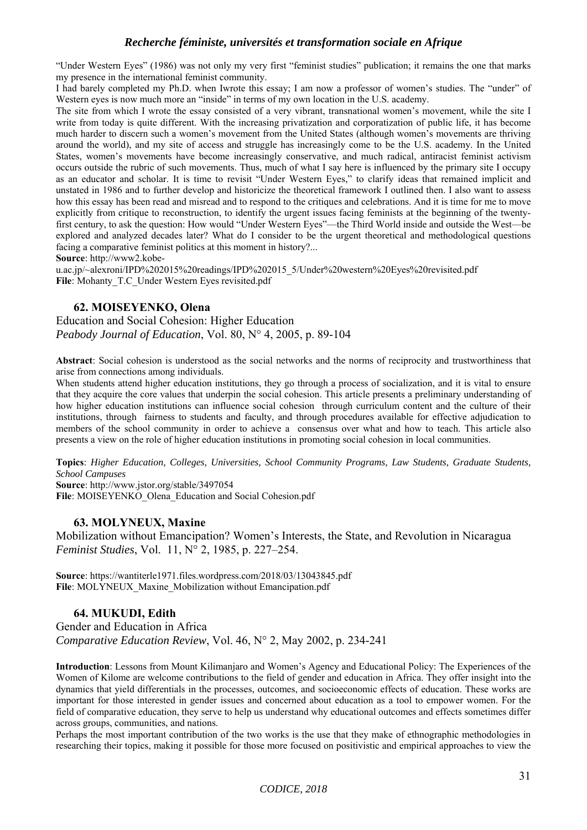"Under Western Eyes" (1986) was not only my very first "feminist studies" publication; it remains the one that marks my presence in the international feminist community.

I had barely completed my Ph.D. when Iwrote this essay; I am now a professor of women's studies. The "under" of Western eyes is now much more an "inside" in terms of my own location in the U.S. academy.

The site from which I wrote the essay consisted of a very vibrant, transnational women's movement, while the site I write from today is quite different. With the increasing privatization and corporatization of public life, it has become much harder to discern such a women's movement from the United States (although women's movements are thriving around the world), and my site of access and struggle has increasingly come to be the U.S. academy. In the United States, women's movements have become increasingly conservative, and much radical, antiracist feminist activism occurs outside the rubric of such movements. Thus, much of what I say here is influenced by the primary site I occupy as an educator and scholar. It is time to revisit "Under Western Eyes," to clarify ideas that remained implicit and unstated in 1986 and to further develop and historicize the theoretical framework I outlined then. I also want to assess how this essay has been read and misread and to respond to the critiques and celebrations. And it is time for me to move explicitly from critique to reconstruction, to identify the urgent issues facing feminists at the beginning of the twentyfirst century, to ask the question: How would "Under Western Eyes"—the Third World inside and outside the West—be explored and analyzed decades later? What do I consider to be the urgent theoretical and methodological questions facing a comparative feminist politics at this moment in history?...

**Source**: http://www2.kobe-

u.ac.jp/~alexroni/IPD%202015%20readings/IPD%202015\_5/Under%20western%20Eyes%20revisited.pdf File: Mohanty T.C Under Western Eyes revisited.pdf

## **62. MOISEYENKO, Olena**

Education and Social Cohesion: Higher Education *Peabody Journal of Education*, Vol. 80, N° 4, 2005, p. 89-104

**Abstract**: Social cohesion is understood as the social networks and the norms of reciprocity and trustworthiness that arise from connections among individuals.

When students attend higher education institutions, they go through a process of socialization, and it is vital to ensure that they acquire the core values that underpin the social cohesion. This article presents a preliminary understanding of how higher education institutions can influence social cohesion through curriculum content and the culture of their institutions, through fairness to students and faculty, and through procedures available for effective adjudication to members of the school community in order to achieve a consensus over what and how to teach. This article also presents a view on the role of higher education institutions in promoting social cohesion in local communities.

**Topics**: *Higher Education, Colleges, Universities, School Community Programs, Law Students, Graduate Students, School Campuses*

**Source**: http://www.jstor.org/stable/3497054 **File**: MOISEYENKO\_Olena\_Education and Social Cohesion.pdf

## **63. MOLYNEUX, Maxine**

Mobilization without Emancipation? Women's Interests, the State, and Revolution in Nicaragua *Feminist Studies*, Vol. 11, N° 2, 1985, p. 227–254.

**Source**: https://wantiterle1971.files.wordpress.com/2018/03/13043845.pdf **File**: MOLYNEUX\_Maxine\_Mobilization without Emancipation.pdf

## **64. MUKUDI, Edith**

Gender and Education in Africa *Comparative Education Review*, Vol. 46, N° 2, May 2002, p. 234-241

**Introduction**: Lessons from Mount Kilimanjaro and Women's Agency and Educational Policy: The Experiences of the Women of Kilome are welcome contributions to the field of gender and education in Africa. They offer insight into the dynamics that yield differentials in the processes, outcomes, and socioeconomic effects of education. These works are important for those interested in gender issues and concerned about education as a tool to empower women. For the field of comparative education, they serve to help us understand why educational outcomes and effects sometimes differ across groups, communities, and nations.

Perhaps the most important contribution of the two works is the use that they make of ethnographic methodologies in researching their topics, making it possible for those more focused on positivistic and empirical approaches to view the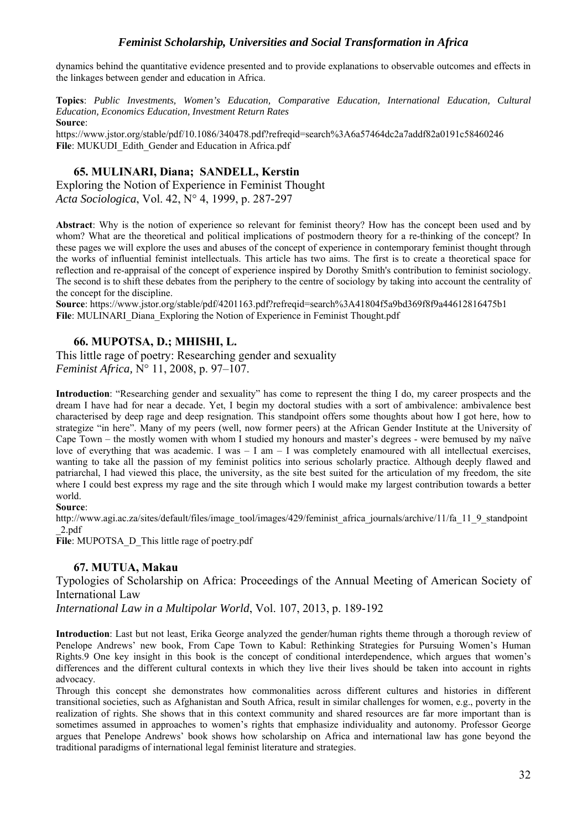dynamics behind the quantitative evidence presented and to provide explanations to observable outcomes and effects in the linkages between gender and education in Africa.

**Topics**: *Public Investments, Women's Education, Comparative Education, International Education, Cultural Education, Economics Education, Investment Return Rates* **Source**:

https://www.jstor.org/stable/pdf/10.1086/340478.pdf?refreqid=search%3A6a57464dc2a7addf82a0191c58460246 File: MUKUDI\_Edith\_Gender and Education in Africa.pdf

## **65. MULINARI, Diana; SANDELL, Kerstin**

Exploring the Notion of Experience in Feminist Thought *Acta Sociologica*, Vol. 42, N° 4, 1999, p. 287-297

**Abstract**: Why is the notion of experience so relevant for feminist theory? How has the concept been used and by whom? What are the theoretical and political implications of postmodern theory for a re-thinking of the concept? In these pages we will explore the uses and abuses of the concept of experience in contemporary feminist thought through the works of influential feminist intellectuals. This article has two aims. The first is to create a theoretical space for reflection and re-appraisal of the concept of experience inspired by Dorothy Smith's contribution to feminist sociology. The second is to shift these debates from the periphery to the centre of sociology by taking into account the centrality of the concept for the discipline.

**Source**: https://www.jstor.org/stable/pdf/4201163.pdf?refreqid=search%3A41804f5a9bd369f8f9a44612816475b1 **File**: MULINARI\_Diana\_Exploring the Notion of Experience in Feminist Thought.pdf

## **66. MUPOTSA, D.; MHISHI, L.**

This little rage of poetry: Researching gender and sexuality *Feminist Africa,* N° 11, 2008, p. 97–107.

**Introduction**: "Researching gender and sexuality" has come to represent the thing I do, my career prospects and the dream I have had for near a decade. Yet, I begin my doctoral studies with a sort of ambivalence: ambivalence best characterised by deep rage and deep resignation. This standpoint offers some thoughts about how I got here, how to strategize "in here". Many of my peers (well, now former peers) at the African Gender Institute at the University of Cape Town – the mostly women with whom I studied my honours and master's degrees - were bemused by my naïve love of everything that was academic. I was  $-1$  am  $-1$  was completely enamoured with all intellectual exercises, wanting to take all the passion of my feminist politics into serious scholarly practice. Although deeply flawed and patriarchal, I had viewed this place, the university, as the site best suited for the articulation of my freedom, the site where I could best express my rage and the site through which I would make my largest contribution towards a better world.

#### **Source**:

http://www.agi.ac.za/sites/default/files/image\_tool/images/429/feminist\_africa\_journals/archive/11/fa\_11\_9\_standpoint \_2.pdf

File: MUPOTSA\_D\_This little rage of poetry.pdf

## **67. MUTUA, Makau**

Typologies of Scholarship on Africa: Proceedings of the Annual Meeting of American Society of International Law

*International Law in a Multipolar World*, Vol. 107, 2013, p. 189-192

**Introduction**: Last but not least, Erika George analyzed the gender/human rights theme through a thorough review of Penelope Andrews' new book, From Cape Town to Kabul: Rethinking Strategies for Pursuing Women's Human Rights.9 One key insight in this book is the concept of conditional interdependence, which argues that women's differences and the different cultural contexts in which they live their lives should be taken into account in rights advocacy.

Through this concept she demonstrates how commonalities across different cultures and histories in different transitional societies, such as Afghanistan and South Africa, result in similar challenges for women, e.g., poverty in the realization of rights. She shows that in this context community and shared resources are far more important than is sometimes assumed in approaches to women's rights that emphasize individuality and autonomy. Professor George argues that Penelope Andrews' book shows how scholarship on Africa and international law has gone beyond the traditional paradigms of international legal feminist literature and strategies.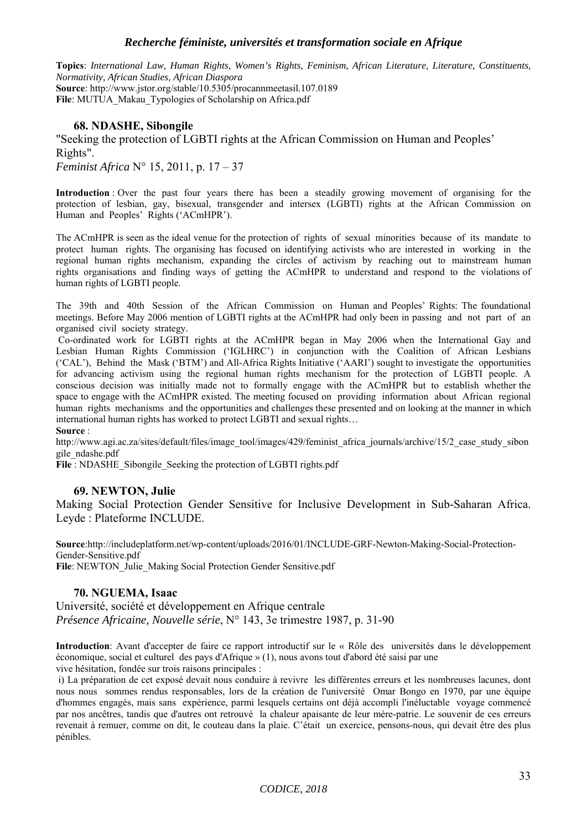**Topics**: *International Law, Human Rights, Women's Rights, Feminism, African Literature, Literature, Constituents, Normativity, African Studies, African Diaspora* **Source**: http://www.jstor.org/stable/10.5305/procannmeetasil.107.0189 **File**: MUTUA\_Makau\_Typologies of Scholarship on Africa.pdf

## **68. NDASHE, Sibongile**

"Seeking the protection of LGBTI rights at the African Commission on Human and Peoples' Rights".

*Feminist Africa* N° 15, 2011, p. 17 – 37

**Introduction** : Over the past four years there has been a steadily growing movement of organising for the protection of lesbian, gay, bisexual, transgender and intersex (LGBTI) rights at the African Commission on Human and Peoples' Rights ('ACmHPR').

The ACmHPR is seen as the ideal venue for the protection of rights of sexual minorities because of its mandate to protect human rights. The organising has focused on identifying activists who are interested in working in the regional human rights mechanism, expanding the circles of activism by reaching out to mainstream human rights organisations and finding ways of getting the ACmHPR to understand and respond to the violations of human rights of LGBTI people.

The 39th and 40th Session of the African Commission on Human and Peoples' Rights: The foundational meetings. Before May 2006 mention of LGBTI rights at the ACmHPR had only been in passing and not part of an organised civil society strategy.

 Co-ordinated work for LGBTI rights at the ACmHPR began in May 2006 when the International Gay and Lesbian Human Rights Commission ('IGLHRC') in conjunction with the Coalition of African Lesbians ('CAL'), Behind the Mask ('BTM') and All-Africa Rights Initiative ('AARI') sought to investigate the opportunities for advancing activism using the regional human rights mechanism for the protection of LGBTI people. A conscious decision was initially made not to formally engage with the ACmHPR but to establish whether the space to engage with the ACmHPR existed. The meeting focused on providing information about African regional human rights mechanisms and the opportunities and challenges these presented and on looking at the manner in which international human rights has worked to protect LGBTI and sexual rights…

**Source** :

http://www.agi.ac.za/sites/default/files/image\_tool/images/429/feminist\_africa\_journals/archive/15/2\_case\_study\_sibon gile\_ndashe.pdf

**File** : NDASHE\_Sibongile\_Seeking the protection of LGBTI rights.pdf

## **69. NEWTON, Julie**

Making Social Protection Gender Sensitive for Inclusive Development in Sub-Saharan Africa. Leyde : Plateforme INCLUDE.

**Source**:http://includeplatform.net/wp-content/uploads/2016/01/INCLUDE-GRF-Newton-Making-Social-Protection-Gender-Sensitive.pdf File: NEWTON\_Julie\_Making Social Protection Gender Sensitive.pdf

## **70. NGUEMA, Isaac**

Université, société et développement en Afrique centrale *Présence Africaine, Nouvelle série*, N° 143, 3e trimestre 1987, p. 31-90

**Introduction**: Avant d'accepter de faire ce rapport introductif sur le « Rôle des universités dans le développement économique, social et culturel des pays d'Afrique » (1), nous avons tout d'abord été saisi par une vive hésitation, fondée sur trois raisons principales :

 i) La préparation de cet exposé devait nous conduire à revivre les différentes erreurs et les nombreuses lacunes, dont nous nous sommes rendus responsables, lors de la création de l'université Omar Bongo en 1970, par une équipe d'hommes engagés, mais sans expérience, parmi lesquels certains ont déjà accompli l'inéluctable voyage commencé par nos ancêtres, tandis que d'autres ont retrouvé la chaleur apaisante de leur mère-patrie. Le souvenir de ces erreurs revenait à remuer, comme on dit, le couteau dans la plaie. C'était un exercice, pensons-nous, qui devait être des plus pénibles.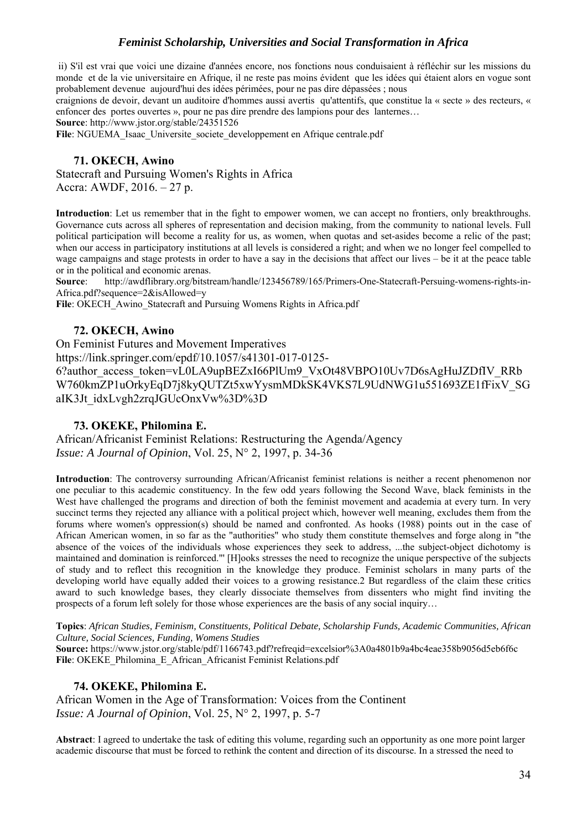ii) S'il est vrai que voici une dizaine d'années encore, nos fonctions nous conduisaient à réfléchir sur les missions du monde et de la vie universitaire en Afrique, il ne reste pas moins évident que les idées qui étaient alors en vogue sont probablement devenue aujourd'hui des idées périmées, pour ne pas dire dépassées ; nous

craignions de devoir, devant un auditoire d'hommes aussi avertis qu'attentifs, que constitue la « secte » des recteurs, « enfoncer des portes ouvertes », pour ne pas dire prendre des lampions pour des lanternes…

**Source**: http://www.jstor.org/stable/24351526

File: NGUEMA\_Isaac\_Universite\_societe\_developpement en Afrique centrale.pdf

## **71. OKECH, Awino**

Statecraft and Pursuing Women's Rights in Africa Accra: AWDF, 2016. – 27 p.

**Introduction**: Let us remember that in the fight to empower women, we can accept no frontiers, only breakthroughs. Governance cuts across all spheres of representation and decision making, from the community to national levels. Full political participation will become a reality for us, as women, when quotas and set-asides become a relic of the past; when our access in participatory institutions at all levels is considered a right; and when we no longer feel compelled to wage campaigns and stage protests in order to have a say in the decisions that affect our lives – be it at the peace table or in the political and economic arenas.

**Source**: http://awdflibrary.org/bitstream/handle/123456789/165/Primers-One-Statecraft-Persuing-womens-rights-in-Africa.pdf?sequence=2&isAllowed=y

File: OKECH\_Awino\_Statecraft and Pursuing Womens Rights in Africa.pdf

## **72. OKECH, Awino**

On Feminist Futures and Movement Imperatives https://link.springer.com/epdf/10.1057/s41301-017-0125- 6?author\_access\_token=vL0LA9upBEZxI66PlUm9\_VxOt48VBPO10Uv7D6sAgHuJZDfIV\_RRb W760kmZP1uOrkyEqD7j8kyOUTZt5xwYysmMDkSK4VKS7L9UdNWG1u551693ZE1fFixV\_SG aIK3Jt\_idxLvgh2zrqJGUcOnxVw%3D%3D

## **73. OKEKE, Philomina E.**

African/Africanist Feminist Relations: Restructuring the Agenda/Agency *Issue: A Journal of Opinion*, Vol. 25, N° 2, 1997, p. 34-36

**Introduction**: The controversy surrounding African/Africanist feminist relations is neither a recent phenomenon nor one peculiar to this academic constituency. In the few odd years following the Second Wave, black feminists in the West have challenged the programs and direction of both the feminist movement and academia at every turn. In very succinct terms they rejected any alliance with a political project which, however well meaning, excludes them from the forums where women's oppression(s) should be named and confronted. As hooks (1988) points out in the case of African American women, in so far as the "authorities" who study them constitute themselves and forge along in "the absence of the voices of the individuals whose experiences they seek to address, ...the subject-object dichotomy is maintained and domination is reinforced."' [H]ooks stresses the need to recognize the unique perspective of the subjects of study and to reflect this recognition in the knowledge they produce. Feminist scholars in many parts of the developing world have equally added their voices to a growing resistance.2 But regardless of the claim these critics award to such knowledge bases, they clearly dissociate themselves from dissenters who might find inviting the prospects of a forum left solely for those whose experiences are the basis of any social inquiry…

**Topics**: *African Studies, Feminism, Constituents, Political Debate, Scholarship Funds, Academic Communities, African Culture, Social Sciences, Funding, Womens Studies* 

**Source:** https://www.jstor.org/stable/pdf/1166743.pdf?refreqid=excelsior%3A0a4801b9a4bc4eae358b9056d5eb6f6c File: OKEKE\_Philomina\_E\_African\_Africanist Feminist Relations.pdf

## **74. OKEKE, Philomina E.**

African Women in the Age of Transformation: Voices from the Continent *Issue: A Journal of Opinion*, Vol. 25, N° 2, 1997, p. 5-7

**Abstract**: I agreed to undertake the task of editing this volume, regarding such an opportunity as one more point larger academic discourse that must be forced to rethink the content and direction of its discourse. In a stressed the need to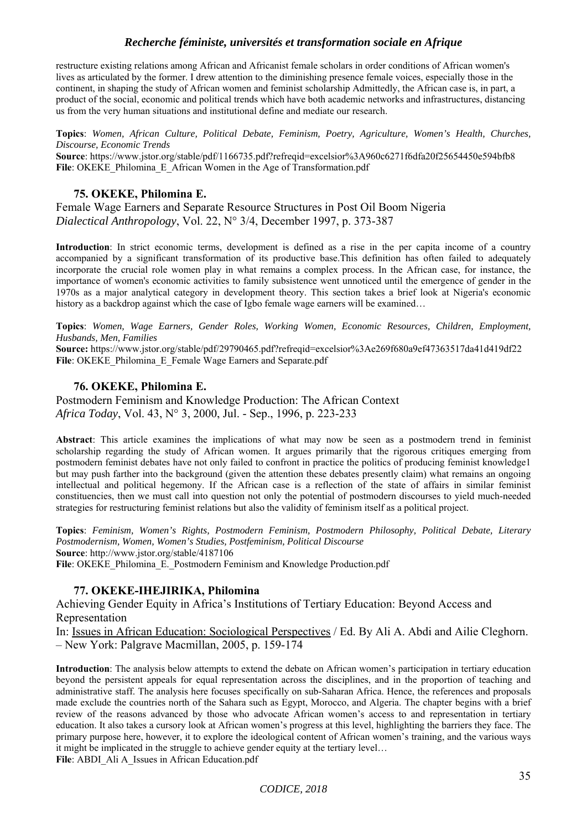restructure existing relations among African and Africanist female scholars in order conditions of African women's lives as articulated by the former. I drew attention to the diminishing presence female voices, especially those in the continent, in shaping the study of African women and feminist scholarship Admittedly, the African case is, in part, a product of the social, economic and political trends which have both academic networks and infrastructures, distancing us from the very human situations and institutional define and mediate our research.

**Topics**: *Women, African Culture, Political Debate, Feminism, Poetry, Agriculture, Women's Health, Churches, Discourse, Economic Trends*  **Source**: https://www.jstor.org/stable/pdf/1166735.pdf?refreqid=excelsior%3A960c6271f6dfa20f25654450e594bfb8

#### **75. OKEKE, Philomina E.**

Female Wage Earners and Separate Resource Structures in Post Oil Boom Nigeria *Dialectical Anthropology*, Vol. 22, N° 3/4, December 1997, p. 373-387

File: OKEKE\_Philomina\_E\_African Women in the Age of Transformation.pdf

**Introduction**: In strict economic terms, development is defined as a rise in the per capita income of a country accompanied by a significant transformation of its productive base.This definition has often failed to adequately incorporate the crucial role women play in what remains a complex process. In the African case, for instance, the importance of women's economic activities to family subsistence went unnoticed until the emergence of gender in the 1970s as a major analytical category in development theory. This section takes a brief look at Nigeria's economic history as a backdrop against which the case of Igbo female wage earners will be examined...

**Topics**: *Women, Wage Earners, Gender Roles, Working Women, Economic Resources, Children, Employment, Husbands, Men, Families*

**Source:** https://www.jstor.org/stable/pdf/29790465.pdf?refreqid=excelsior%3Ae269f680a9ef47363517da41d419df22 File: OKEKE\_Philomina\_E\_Female Wage Earners and Separate.pdf

#### **76. OKEKE, Philomina E.**

Postmodern Feminism and Knowledge Production: The African Context *Africa Today*, Vol. 43, N° 3, 2000, Jul. - Sep., 1996, p. 223-233

**Abstract**: This article examines the implications of what may now be seen as a postmodern trend in feminist scholarship regarding the study of African women. It argues primarily that the rigorous critiques emerging from postmodern feminist debates have not only failed to confront in practice the politics of producing feminist knowledge1 but may push farther into the background (given the attention these debates presently claim) what remains an ongoing intellectual and political hegemony. If the African case is a reflection of the state of affairs in similar feminist constituencies, then we must call into question not only the potential of postmodern discourses to yield much-needed strategies for restructuring feminist relations but also the validity of feminism itself as a political project.

**Topics**: *Feminism, Women's Rights, Postmodern Feminism, Postmodern Philosophy, Political Debate, Literary Postmodernism, Women, Women's Studies, Postfeminism, Political Discourse* **Source**: http://www.jstor.org/stable/4187106 File: OKEKE\_Philomina\_E.\_Postmodern Feminism and Knowledge Production.pdf

## **77. OKEKE-IHEJIRIKA, Philomina**

Achieving Gender Equity in Africa's Institutions of Tertiary Education: Beyond Access and Representation

In: Issues in African Education: Sociological Perspectives / Ed. By Ali A. Abdi and Ailie Cleghorn. – New York: Palgrave Macmillan, 2005, p. 159-174

**Introduction**: The analysis below attempts to extend the debate on African women's participation in tertiary education beyond the persistent appeals for equal representation across the disciplines, and in the proportion of teaching and administrative staff. The analysis here focuses specifically on sub-Saharan Africa. Hence, the references and proposals made exclude the countries north of the Sahara such as Egypt, Morocco, and Algeria. The chapter begins with a brief review of the reasons advanced by those who advocate African women's access to and representation in tertiary education. It also takes a cursory look at African women's progress at this level, highlighting the barriers they face. The primary purpose here, however, it to explore the ideological content of African women's training, and the various ways it might be implicated in the struggle to achieve gender equity at the tertiary level… File: ABDI\_Ali A\_Issues in African Education.pdf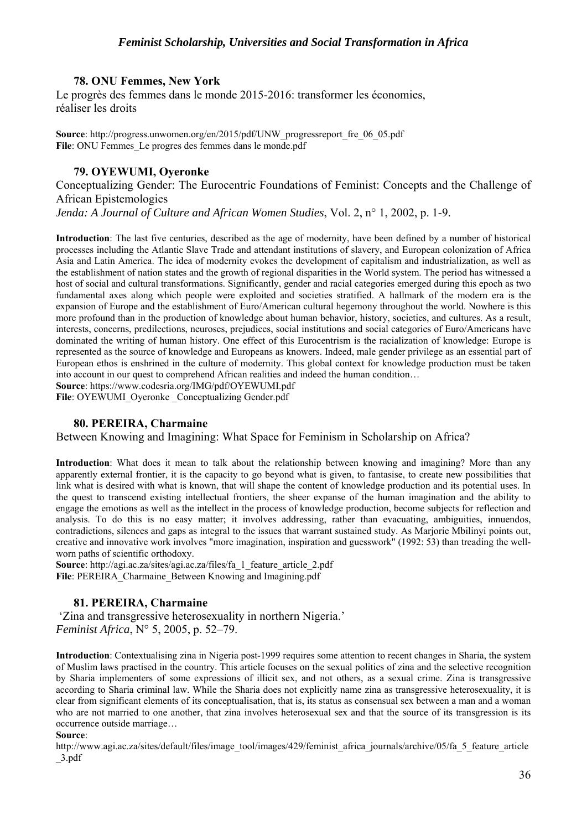**78. ONU Femmes, New York** 

Le progrès des femmes dans le monde 2015-2016: transformer les économies, réaliser les droits

**Source**: http://progress.unwomen.org/en/2015/pdf/UNW\_progressreport\_fre\_06\_05.pdf **File**: ONU Femmes\_Le progres des femmes dans le monde.pdf

## **79. OYEWUMI, Oyeronke**

Conceptualizing Gender: The Eurocentric Foundations of Feminist: Concepts and the Challenge of African Epistemologies

*Jenda: A Journal of Culture and African Women Studies*, Vol. 2, n° 1, 2002, p. 1-9.

**Introduction**: The last five centuries, described as the age of modernity, have been defined by a number of historical processes including the Atlantic Slave Trade and attendant institutions of slavery, and European colonization of Africa Asia and Latin America. The idea of modernity evokes the development of capitalism and industrialization, as well as the establishment of nation states and the growth of regional disparities in the World system. The period has witnessed a host of social and cultural transformations. Significantly, gender and racial categories emerged during this epoch as two fundamental axes along which people were exploited and societies stratified. A hallmark of the modern era is the expansion of Europe and the establishment of Euro/American cultural hegemony throughout the world. Nowhere is this more profound than in the production of knowledge about human behavior, history, societies, and cultures. As a result, interests, concerns, predilections, neuroses, prejudices, social institutions and social categories of Euro/Americans have dominated the writing of human history. One effect of this Eurocentrism is the racialization of knowledge: Europe is represented as the source of knowledge and Europeans as knowers. Indeed, male gender privilege as an essential part of European ethos is enshrined in the culture of modernity. This global context for knowledge production must be taken into account in our quest to comprehend African realities and indeed the human condition…

**Source**: https://www.codesria.org/IMG/pdf/OYEWUMI.pdf

File: OYEWUMI\_Oyeronke \_Conceptualizing Gender.pdf

## **80. PEREIRA, Charmaine**

Between Knowing and Imagining: What Space for Feminism in Scholarship on Africa?

**Introduction**: What does it mean to talk about the relationship between knowing and imagining? More than any apparently external frontier, it is the capacity to go beyond what is given, to fantasise, to create new possibilities that link what is desired with what is known, that will shape the content of knowledge production and its potential uses. In the quest to transcend existing intellectual frontiers, the sheer expanse of the human imagination and the ability to engage the emotions as well as the intellect in the process of knowledge production, become subjects for reflection and analysis. To do this is no easy matter; it involves addressing, rather than evacuating, ambiguities, innuendos, contradictions, silences and gaps as integral to the issues that warrant sustained study. As Marjorie Mbilinyi points out, creative and innovative work involves "more imagination, inspiration and guesswork" (1992: 53) than treading the wellworn paths of scientific orthodoxy.

**Source**: http://agi.ac.za/sites/agi.ac.za/files/fa\_1\_feature\_article\_2.pdf **File**: PEREIRA\_Charmaine\_Between Knowing and Imagining.pdf

## **81. PEREIRA, Charmaine**

 'Zina and transgressive heterosexuality in northern Nigeria.' *Feminist Africa*, N° 5, 2005, p. 52–79.

**Introduction**: Contextualising zina in Nigeria post-1999 requires some attention to recent changes in Sharia, the system of Muslim laws practised in the country. This article focuses on the sexual politics of zina and the selective recognition by Sharia implementers of some expressions of illicit sex, and not others, as a sexual crime. Zina is transgressive according to Sharia criminal law. While the Sharia does not explicitly name zina as transgressive heterosexuality, it is clear from significant elements of its conceptualisation, that is, its status as consensual sex between a man and a woman who are not married to one another, that zina involves heterosexual sex and that the source of its transgression is its occurrence outside marriage…

#### **Source**:

http://www.agi.ac.za/sites/default/files/image\_tool/images/429/feminist\_africa\_journals/archive/05/fa\_5\_feature\_article \_3.pdf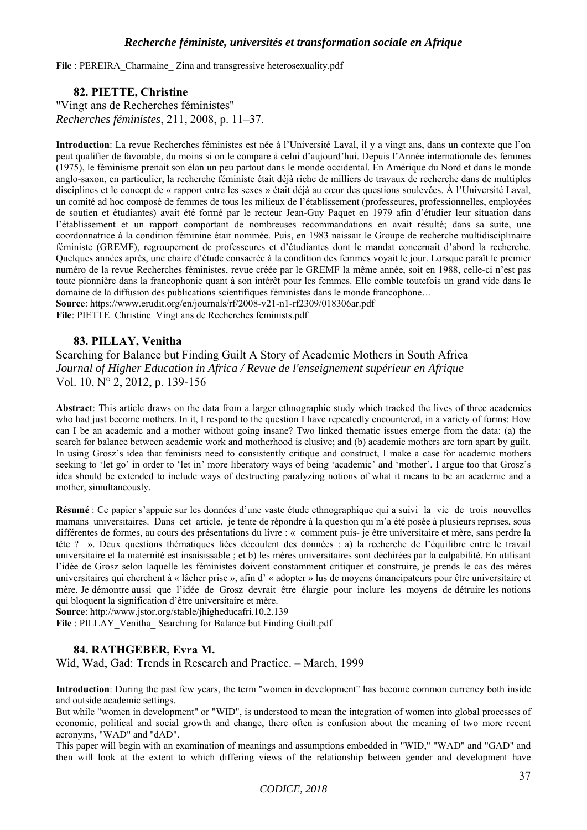File : PEREIRA\_Charmaine\_Zina and transgressive heterosexuality.pdf

## **82. PIETTE, Christine**

"Vingt ans de Recherches féministes" *Recherches féministes*, 211, 2008, p. 11–37.

**Introduction**: La revue Recherches féministes est née à l'Université Laval, il y a vingt ans, dans un contexte que l'on peut qualifier de favorable, du moins si on le compare à celui d'aujourd'hui. Depuis l'Année internationale des femmes (1975), le féminisme prenait son élan un peu partout dans le monde occidental. En Amérique du Nord et dans le monde anglo-saxon, en particulier, la recherche féministe était déjà riche de milliers de travaux de recherche dans de multiples disciplines et le concept de « rapport entre les sexes » était déjà au cœur des questions soulevées. À l'Université Laval, un comité ad hoc composé de femmes de tous les milieux de l'établissement (professeures, professionnelles, employées de soutien et étudiantes) avait été formé par le recteur Jean-Guy Paquet en 1979 afin d'étudier leur situation dans l'établissement et un rapport comportant de nombreuses recommandations en avait résulté; dans sa suite, une coordonnatrice à la condition féminine était nommée. Puis, en 1983 naissait le Groupe de recherche multidisciplinaire féministe (GREMF), regroupement de professeures et d'étudiantes dont le mandat concernait d'abord la recherche. Quelques années après, une chaire d'étude consacrée à la condition des femmes voyait le jour. Lorsque paraît le premier numéro de la revue Recherches féministes, revue créée par le GREMF la même année, soit en 1988, celle-ci n'est pas toute pionnière dans la francophonie quant à son intérêt pour les femmes. Elle comble toutefois un grand vide dans le domaine de la diffusion des publications scientifiques féministes dans le monde francophone… **Source**: https://www.erudit.org/en/journals/rf/2008-v21-n1-rf2309/018306ar.pdf

File: PIETTE\_Christine\_Vingt ans de Recherches feminists.pdf

## **83. PILLAY, Venitha**

Searching for Balance but Finding Guilt A Story of Academic Mothers in South Africa *Journal of Higher Education in Africa / Revue de l'enseignement supérieur en Afrique*  Vol. 10, N° 2, 2012, p. 139-156

**Abstract**: This article draws on the data from a larger ethnographic study which tracked the lives of three academics who had just become mothers. In it, I respond to the question I have repeatedly encountered, in a variety of forms: How can I be an academic and a mother without going insane? Two linked thematic issues emerge from the data: (a) the search for balance between academic work and motherhood is elusive; and (b) academic mothers are torn apart by guilt. In using Grosz's idea that feminists need to consistently critique and construct, I make a case for academic mothers seeking to 'let go' in order to 'let in' more liberatory ways of being 'academic' and 'mother'. I argue too that Grosz's idea should be extended to include ways of destructing paralyzing notions of what it means to be an academic and a mother, simultaneously.

**Résumé** : Ce papier s'appuie sur les données d'une vaste étude ethnographique qui a suivi la vie de trois nouvelles mamans universitaires. Dans cet article, je tente de répondre à la question qui m'a été posée à plusieurs reprises, sous différentes de formes, au cours des présentations du livre : « comment puis- je être universitaire et mère, sans perdre la tête ? ». Deux questions thématiques liées découlent des données : a) la recherche de l'équilibre entre le travail universitaire et la maternité est insaisissable ; et b) les mères universitaires sont déchirées par la culpabilité. En utilisant l'idée de Grosz selon laquelle les féministes doivent constamment critiquer et construire, je prends le cas des mères universitaires qui cherchent à « lâcher prise », afin d' « adopter » lus de moyens émancipateurs pour être universitaire et mère. Je démontre aussi que l'idée de Grosz devrait être élargie pour inclure les moyens de détruire les notions qui bloquent la signification d'être universitaire et mère.

**Source**: http://www.jstor.org/stable/jhigheducafri.10.2.139

File : PILLAY Venitha Searching for Balance but Finding Guilt.pdf

#### **84. RATHGEBER, Evra M.**

Wid, Wad, Gad: Trends in Research and Practice. – March, 1999

**Introduction**: During the past few years, the term "women in development" has become common currency both inside and outside academic settings.

But while "women in development" or "WID", is understood to mean the integration of women into global processes of economic, political and social growth and change, there often is confusion about the meaning of two more recent acronyms, "WAD" and "dAD".

This paper will begin with an examination of meanings and assumptions embedded in "WID," "WAD" and "GAD" and then will look at the extent to which differing views of the relationship between gender and development have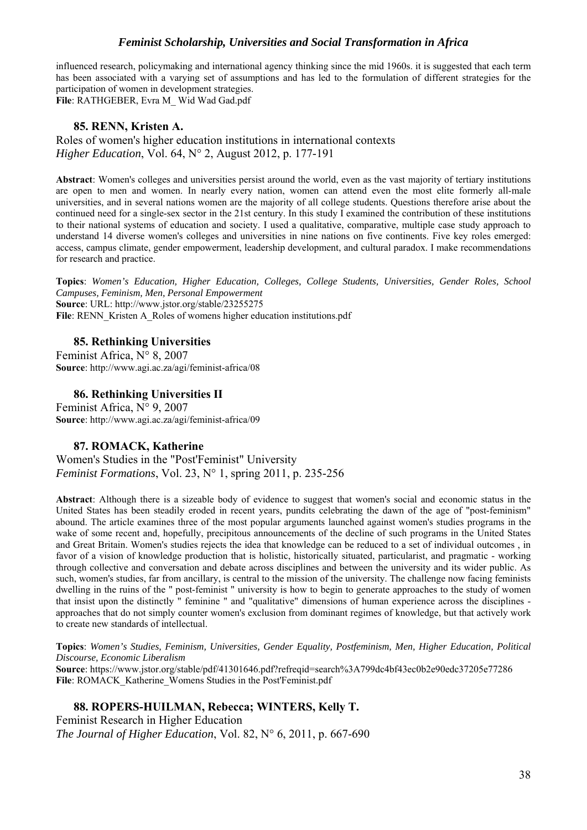influenced research, policymaking and international agency thinking since the mid 1960s. it is suggested that each term has been associated with a varying set of assumptions and has led to the formulation of different strategies for the participation of women in development strategies.

**File**: RATHGEBER, Evra M\_ Wid Wad Gad.pdf

#### **85. RENN, Kristen A.**

Roles of women's higher education institutions in international contexts *Higher Education*, Vol. 64, N° 2, August 2012, p. 177-191

**Abstract**: Women's colleges and universities persist around the world, even as the vast majority of tertiary institutions are open to men and women. In nearly every nation, women can attend even the most elite formerly all-male universities, and in several nations women are the majority of all college students. Questions therefore arise about the continued need for a single-sex sector in the 21st century. In this study I examined the contribution of these institutions to their national systems of education and society. I used a qualitative, comparative, multiple case study approach to understand 14 diverse women's colleges and universities in nine nations on five continents. Five key roles emerged: access, campus climate, gender empowerment, leadership development, and cultural paradox. I make recommendations for research and practice.

**Topics**: *Women's Education, Higher Education, Colleges, College Students, Universities, Gender Roles, School Campuses, Feminism, Men, Personal Empowerment* **Source**: URL: http://www.jstor.org/stable/23255275 File: RENN\_Kristen A\_Roles of womens higher education institutions.pdf

#### **85. Rethinking Universities**

Feminist Africa, N° 8, 2007 **Source**: http://www.agi.ac.za/agi/feminist-africa/08

#### **86. Rethinking Universities II**

Feminist Africa, N° 9, 2007 **Source**: http://www.agi.ac.za/agi/feminist-africa/09

#### **87. ROMACK, Katherine**

Women's Studies in the "Post'Feminist" University *Feminist Formations*, Vol. 23, N° 1, spring 2011, p. 235-256

**Abstract**: Although there is a sizeable body of evidence to suggest that women's social and economic status in the United States has been steadily eroded in recent years, pundits celebrating the dawn of the age of "post-feminism" abound. The article examines three of the most popular arguments launched against women's studies programs in the wake of some recent and, hopefully, precipitous announcements of the decline of such programs in the United States and Great Britain. Women's studies rejects the idea that knowledge can be reduced to a set of individual outcomes , in favor of a vision of knowledge production that is holistic, historically situated, particularist, and pragmatic - working through collective and conversation and debate across disciplines and between the university and its wider public. As such, women's studies, far from ancillary, is central to the mission of the university. The challenge now facing feminists dwelling in the ruins of the " post-feminist " university is how to begin to generate approaches to the study of women that insist upon the distinctly " feminine " and "qualitative" dimensions of human experience across the disciplines approaches that do not simply counter women's exclusion from dominant regimes of knowledge, but that actively work to create new standards of intellectual.

**Topics**: *Women's Studies, Feminism, Universities, Gender Equality, Postfeminism, Men, Higher Education, Political Discourse, Economic Liberalism* **Source**: https://www.jstor.org/stable/pdf/41301646.pdf?refreqid=search%3A799dc4bf43ec0b2e90edc37205e77286 **File**: ROMACK\_Katherine\_Womens Studies in the Post'Feminist.pdf

**88. ROPERS-HUILMAN, Rebecca; WINTERS, Kelly T.**  Feminist Research in Higher Education *The Journal of Higher Education*, Vol. 82, N° 6, 2011, p. 667-690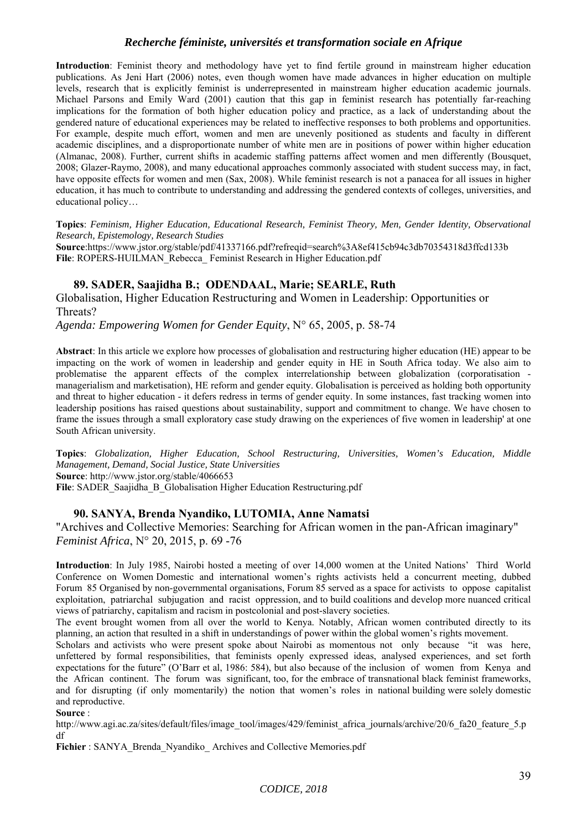**Introduction**: Feminist theory and methodology have yet to find fertile ground in mainstream higher education publications. As Jeni Hart (2006) notes, even though women have made advances in higher education on multiple levels, research that is explicitly feminist is underrepresented in mainstream higher education academic journals. Michael Parsons and Emily Ward (2001) caution that this gap in feminist research has potentially far-reaching implications for the formation of both higher education policy and practice, as a lack of understanding about the gendered nature of educational experiences may be related to ineffective responses to both problems and opportunities. For example, despite much effort, women and men are unevenly positioned as students and faculty in different academic disciplines, and a disproportionate number of white men are in positions of power within higher education (Almanac, 2008). Further, current shifts in academic staffing patterns affect women and men differently (Bousquet, 2008; Glazer-Raymo, 2008), and many educational approaches commonly associated with student success may, in fact, have opposite effects for women and men (Sax, 2008). While feminist research is not a panacea for all issues in higher education, it has much to contribute to understanding and addressing the gendered contexts of colleges, universities, and educational policy…

**Topics**: *Feminism, Higher Education, Educational Research, Feminist Theory, Men, Gender Identity, Observational Research, Epistemology, Research Studies*

**Source**:https://www.jstor.org/stable/pdf/41337166.pdf?refreqid=search%3A8ef415cb94c3db70354318d3ffcd133b File: ROPERS-HUILMAN\_Rebecca\_ Feminist Research in Higher Education.pdf

## **89. SADER, Saajidha B.; ODENDAAL, Marie; SEARLE, Ruth**

Globalisation, Higher Education Restructuring and Women in Leadership: Opportunities or Threats?

*Agenda: Empowering Women for Gender Equity*, N° 65, 2005, p. 58-74

**Abstract**: In this article we explore how processes of globalisation and restructuring higher education (HE) appear to be impacting on the work of women in leadership and gender equity in HE in South Africa today. We also aim to problematise the apparent effects of the complex interrelationship between globalization (corporatisation managerialism and marketisation), HE reform and gender equity. Globalisation is perceived as holding both opportunity and threat to higher education - it defers redress in terms of gender equity. In some instances, fast tracking women into leadership positions has raised questions about sustainability, support and commitment to change. We have chosen to frame the issues through a small exploratory case study drawing on the experiences of five women in leadership' at one South African university.

**Topics**: *Globalization, Higher Education, School Restructuring, Universities, Women's Education, Middle Management, Demand, Social Justice, State Universities* **Source**: http://www.jstor.org/stable/4066653

File: SADER\_Saajidha\_B\_Globalisation Higher Education Restructuring.pdf

#### **90. SANYA, Brenda Nyandiko, LUTOMIA, Anne Namatsi**

"Archives and Collective Memories: Searching for African women in the pan-African imaginary" *Feminist Africa*, N° 20, 2015, p. 69 -76

**Introduction**: In July 1985, Nairobi hosted a meeting of over 14,000 women at the United Nations' Third World Conference on Women Domestic and international women's rights activists held a concurrent meeting, dubbed Forum 85 Organised by non-governmental organisations, Forum 85 served as a space for activists to oppose capitalist exploitation, patriarchal subjugation and racist oppression, and to build coalitions and develop more nuanced critical views of patriarchy, capitalism and racism in postcolonial and post-slavery societies.

The event brought women from all over the world to Kenya. Notably, African women contributed directly to its planning, an action that resulted in a shift in understandings of power within the global women's rights movement.

Scholars and activists who were present spoke about Nairobi as momentous not only because "it was here, unfettered by formal responsibilities, that feminists openly expressed ideas, analysed experiences, and set forth expectations for the future" (O'Barr et al, 1986: 584), but also because of the inclusion of women from Kenya and the African continent. The forum was significant, too, for the embrace of transnational black feminist frameworks, and for disrupting (if only momentarily) the notion that women's roles in national building were solely domestic and reproductive.

**Source** :

http://www.agi.ac.za/sites/default/files/image\_tool/images/429/feminist\_africa\_journals/archive/20/6\_fa20\_feature\_5.p df

Fichier : SANYA\_Brenda\_Nyandiko\_Archives and Collective Memories.pdf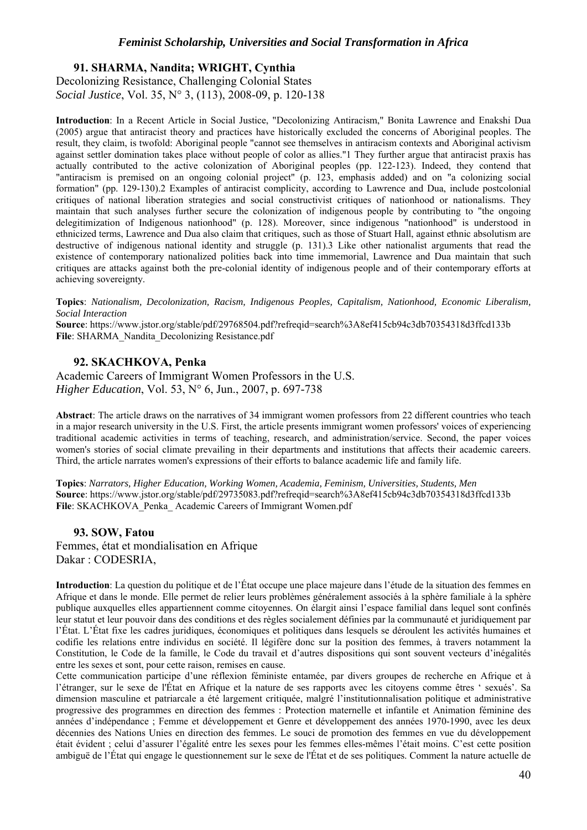**91. SHARMA, Nandita; WRIGHT, Cynthia**  Decolonizing Resistance, Challenging Colonial States *Social Justice*, Vol. 35, N° 3, (113), 2008-09, p. 120-138

**Introduction**: In a Recent Article in Social Justice, "Decolonizing Antiracism," Bonita Lawrence and Enakshi Dua (2005) argue that antiracist theory and practices have historically excluded the concerns of Aboriginal peoples. The result, they claim, is twofold: Aboriginal people "cannot see themselves in antiracism contexts and Aboriginal activism against settler domination takes place without people of color as allies."1 They further argue that antiracist praxis has actually contributed to the active colonization of Aboriginal peoples (pp. 122-123). Indeed, they contend that "antiracism is premised on an ongoing colonial project" (p. 123, emphasis added) and on "a colonizing social formation" (pp. 129-130).2 Examples of antiracist complicity, according to Lawrence and Dua, include postcolonial critiques of national liberation strategies and social constructivist critiques of nationhood or nationalisms. They maintain that such analyses further secure the colonization of indigenous people by contributing to "the ongoing delegitimization of Indigenous nationhood" (p. 128). Moreover, since indigenous "nationhood" is understood in ethnicized terms, Lawrence and Dua also claim that critiques, such as those of Stuart Hall, against ethnic absolutism are destructive of indigenous national identity and struggle (p. 131).3 Like other nationalist arguments that read the existence of contemporary nationalized polities back into time immemorial, Lawrence and Dua maintain that such critiques are attacks against both the pre-colonial identity of indigenous people and of their contemporary efforts at achieving sovereignty.

**Topics**: *Nationalism, Decolonization, Racism, Indigenous Peoples, Capitalism, Nationhood, Economic Liberalism, Social Interaction*

**Source**: https://www.jstor.org/stable/pdf/29768504.pdf?refreqid=search%3A8ef415cb94c3db70354318d3ffcd133b **File**: SHARMA\_Nandita\_Decolonizing Resistance.pdf

## **92. SKACHKOVA, Penka**

Academic Careers of Immigrant Women Professors in the U.S. *Higher Education*, Vol. 53, N° 6, Jun., 2007, p. 697-738

**Abstract**: The article draws on the narratives of 34 immigrant women professors from 22 different countries who teach in a major research university in the U.S. First, the article presents immigrant women professors' voices of experiencing traditional academic activities in terms of teaching, research, and administration/service. Second, the paper voices women's stories of social climate prevailing in their departments and institutions that affects their academic careers. Third, the article narrates women's expressions of their efforts to balance academic life and family life.

**Topics**: *Narrators, Higher Education, Working Women, Academia, Feminism, Universities, Students, Men* **Source**: https://www.jstor.org/stable/pdf/29735083.pdf?refreqid=search%3A8ef415cb94c3db70354318d3ffcd133b **File**: SKACHKOVA\_Penka\_ Academic Careers of Immigrant Women.pdf

#### **93. SOW, Fatou**

Femmes, état et mondialisation en Afrique Dakar : CODESRIA,

**Introduction**: La question du politique et de l'État occupe une place majeure dans l'étude de la situation des femmes en Afrique et dans le monde. Elle permet de relier leurs problèmes généralement associés à la sphère familiale à la sphère publique auxquelles elles appartiennent comme citoyennes. On élargit ainsi l'espace familial dans lequel sont confinés leur statut et leur pouvoir dans des conditions et des règles socialement définies par la communauté et juridiquement par l'État. L'État fixe les cadres juridiques, économiques et politiques dans lesquels se déroulent les activités humaines et codifie les relations entre individus en société. Il légifère donc sur la position des femmes, à travers notamment la Constitution, le Code de la famille, le Code du travail et d'autres dispositions qui sont souvent vecteurs d'inégalités entre les sexes et sont, pour cette raison, remises en cause.

Cette communication participe d'une réflexion féministe entamée, par divers groupes de recherche en Afrique et à l'étranger, sur le sexe de l'État en Afrique et la nature de ses rapports avec les citoyens comme êtres ' sexués'. Sa dimension masculine et patriarcale a été largement critiquée, malgré l'institutionnalisation politique et administrative progressive des programmes en direction des femmes : Protection maternelle et infantile et Animation féminine des années d'indépendance ; Femme et développement et Genre et développement des années 1970-1990, avec les deux décennies des Nations Unies en direction des femmes. Le souci de promotion des femmes en vue du développement était évident ; celui d'assurer l'égalité entre les sexes pour les femmes elles-mêmes l'était moins. C'est cette position ambiguë de l'État qui engage le questionnement sur le sexe de l'État et de ses politiques. Comment la nature actuelle de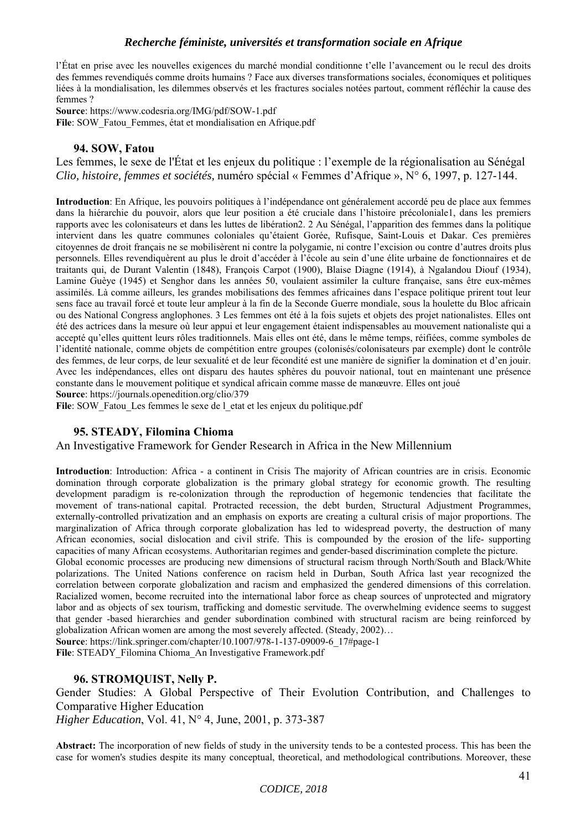l'État en prise avec les nouvelles exigences du marché mondial conditionne t'elle l'avancement ou le recul des droits des femmes revendiqués comme droits humains ? Face aux diverses transformations sociales, économiques et politiques liées à la mondialisation, les dilemmes observés et les fractures sociales notées partout, comment réfléchir la cause des femmes ?

**Source**: https://www.codesria.org/IMG/pdf/SOW-1.pdf

**File**: SOW\_Fatou\_Femmes, état et mondialisation en Afrique.pdf

## **94. SOW, Fatou**

Les femmes, le sexe de l'État et les enjeux du politique : l'exemple de la régionalisation au Sénégal *Clio, histoire, femmes et sociétés,* numéro spécial « Femmes d'Afrique », N° 6, 1997, p. 127-144.

**Introduction**: En Afrique, les pouvoirs politiques à l'indépendance ont généralement accordé peu de place aux femmes dans la hiérarchie du pouvoir, alors que leur position a été cruciale dans l'histoire précoloniale1, dans les premiers rapports avec les colonisateurs et dans les luttes de libération2. 2 Au Sénégal, l'apparition des femmes dans la politique intervient dans les quatre communes coloniales qu'étaient Gorée, Rufisque, Saint-Louis et Dakar. Ces premières citoyennes de droit français ne se mobilisèrent ni contre la polygamie, ni contre l'excision ou contre d'autres droits plus personnels. Elles revendiquèrent au plus le droit d'accéder à l'école au sein d'une élite urbaine de fonctionnaires et de traitants qui, de Durant Valentin (1848), François Carpot (1900), Blaise Diagne (1914), à Ngalandou Diouf (1934), Lamine Guèye (1945) et Senghor dans les années 50, voulaient assimiler la culture française, sans être eux-mêmes assimilés. Là comme ailleurs, les grandes mobilisations des femmes africaines dans l'espace politique prirent tout leur sens face au travail forcé et toute leur ampleur à la fin de la Seconde Guerre mondiale, sous la houlette du Bloc africain ou des National Congress anglophones. 3 Les femmes ont été à la fois sujets et objets des projet nationalistes. Elles ont été des actrices dans la mesure où leur appui et leur engagement étaient indispensables au mouvement nationaliste qui a accepté qu'elles quittent leurs rôles traditionnels. Mais elles ont été, dans le même temps, réifiées, comme symboles de l'identité nationale, comme objets de compétition entre groupes (colonisés/colonisateurs par exemple) dont le contrôle des femmes, de leur corps, de leur sexualité et de leur fécondité est une manière de signifier la domination et d'en jouir. Avec les indépendances, elles ont disparu des hautes sphères du pouvoir national, tout en maintenant une présence constante dans le mouvement politique et syndical africain comme masse de manœuvre. Elles ont joué **Source**: https://journals.openedition.org/clio/379

File: SOW\_Fatou\_Les femmes le sexe de l\_etat et les enjeux du politique.pdf

## **95. STEADY, Filomina Chioma**

An Investigative Framework for Gender Research in Africa in the New Millennium

**Introduction**: Introduction: Africa - a continent in Crisis The majority of African countries are in crisis. Economic domination through corporate globalization is the primary global strategy for economic growth. The resulting development paradigm is re-colonization through the reproduction of hegemonic tendencies that facilitate the movement of trans-national capital. Protracted recession, the debt burden, Structural Adjustment Programmes, externally-controlled privatization and an emphasis on exports are creating a cultural crisis of major proportions. The marginalization of Africa through corporate globalization has led to widespread poverty, the destruction of many African economies, social dislocation and civil strife. This is compounded by the erosion of the life- supporting capacities of many African ecosystems. Authoritarian regimes and gender-based discrimination complete the picture.

Global economic processes are producing new dimensions of structural racism through North/South and Black/White polarizations. The United Nations conference on racism held in Durban, South Africa last year recognized the correlation between corporate globalization and racism and emphasized the gendered dimensions of this correlation. Racialized women, become recruited into the international labor force as cheap sources of unprotected and migratory labor and as objects of sex tourism, trafficking and domestic servitude. The overwhelming evidence seems to suggest that gender -based hierarchies and gender subordination combined with structural racism are being reinforced by globalization African women are among the most severely affected. (Steady, 2002)…

**Source**: https://link.springer.com/chapter/10.1007/978-1-137-09009-6\_17#page-1

File: STEADY\_Filomina Chioma\_An Investigative Framework.pdf

## **96. STROMQUIST, Nelly P.**

Gender Studies: A Global Perspective of Their Evolution Contribution, and Challenges to Comparative Higher Education

*Higher Education*, Vol. 41, N° 4, June, 2001, p. 373-387

**Abstract:** The incorporation of new fields of study in the university tends to be a contested process. This has been the case for women's studies despite its many conceptual, theoretical, and methodological contributions. Moreover, these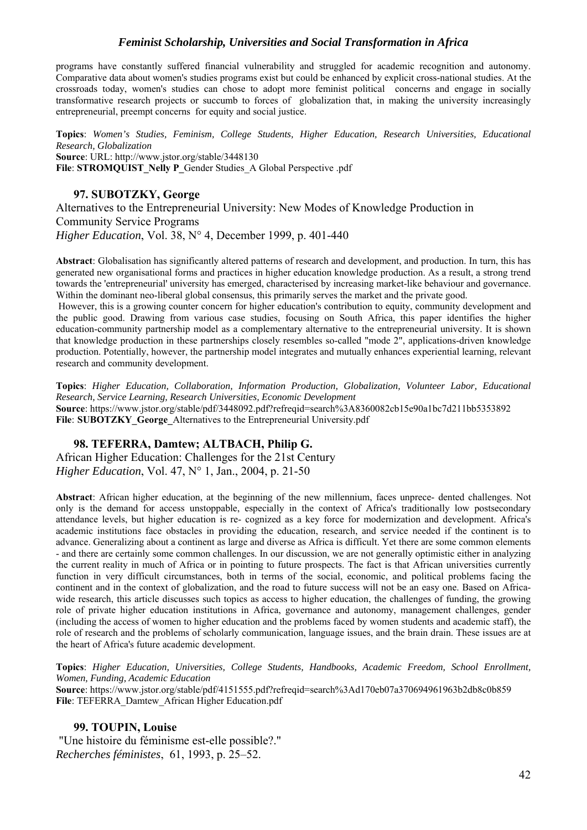programs have constantly suffered financial vulnerability and struggled for academic recognition and autonomy. Comparative data about women's studies programs exist but could be enhanced by explicit cross-national studies. At the crossroads today, women's studies can chose to adopt more feminist political concerns and engage in socially transformative research projects or succumb to forces of globalization that, in making the university increasingly entrepreneurial, preempt concerns for equity and social justice.

**Topics**: *Women's Studies, Feminism, College Students, Higher Education, Research Universities, Educational Research, Globalization* **Source**: URL: http://www.jstor.org/stable/3448130 File: **STROMOUIST** Nelly P\_Gender Studies\_A Global Perspective .pdf

#### **97. SUBOTZKY, George**

Alternatives to the Entrepreneurial University: New Modes of Knowledge Production in Community Service Programs *Higher Education*, Vol. 38, N° 4, December 1999, p. 401-440

**Abstract**: Globalisation has significantly altered patterns of research and development, and production. In turn, this has generated new organisational forms and practices in higher education knowledge production. As a result, a strong trend towards the 'entrepreneurial' university has emerged, characterised by increasing market-like behaviour and governance. Within the dominant neo-liberal global consensus, this primarily serves the market and the private good.

 However, this is a growing counter concern for higher education's contribution to equity, community development and the public good. Drawing from various case studies, focusing on South Africa, this paper identifies the higher education-community partnership model as a complementary alternative to the entrepreneurial university. It is shown that knowledge production in these partnerships closely resembles so-called "mode 2", applications-driven knowledge production. Potentially, however, the partnership model integrates and mutually enhances experiential learning, relevant research and community development.

**Topics**: *Higher Education, Collaboration, Information Production, Globalization, Volunteer Labor, Educational Research, Service Learning, Research Universities, Economic Development* **Source**: https://www.jstor.org/stable/pdf/3448092.pdf?refreqid=search%3A8360082cb15e90a1bc7d211bb5353892 **File**: **SUBOTZKY\_George\_**Alternatives to the Entrepreneurial University.pdf

#### **98. TEFERRA, Damtew; ALTBACH, Philip G.**

African Higher Education: Challenges for the 21st Century *Higher Education*, Vol. 47, N° 1, Jan., 2004, p. 21-50

**Abstract**: African higher education, at the beginning of the new millennium, faces unprece- dented challenges. Not only is the demand for access unstoppable, especially in the context of Africa's traditionally low postsecondary attendance levels, but higher education is re- cognized as a key force for modernization and development. Africa's academic institutions face obstacles in providing the education, research, and service needed if the continent is to advance. Generalizing about a continent as large and diverse as Africa is difficult. Yet there are some common elements - and there are certainly some common challenges. In our discussion, we are not generally optimistic either in analyzing the current reality in much of Africa or in pointing to future prospects. The fact is that African universities currently function in very difficult circumstances, both in terms of the social, economic, and political problems facing the continent and in the context of globalization, and the road to future success will not be an easy one. Based on Africawide research, this article discusses such topics as access to higher education, the challenges of funding, the growing role of private higher education institutions in Africa, governance and autonomy, management challenges, gender (including the access of women to higher education and the problems faced by women students and academic staff), the role of research and the problems of scholarly communication, language issues, and the brain drain. These issues are at the heart of Africa's future academic development.

**Topics**: *Higher Education, Universities, College Students, Handbooks, Academic Freedom, School Enrollment, Women, Funding, Academic Education*

**Source**: https://www.jstor.org/stable/pdf/4151555.pdf?refreqid=search%3Ad170eb07a370694961963b2db8c0b859 **File**: TEFERRA\_Damtew\_African Higher Education.pdf

**99. TOUPIN, Louise**  "Une histoire du féminisme est-elle possible?." *Recherches féministes*, 61, 1993, p. 25–52.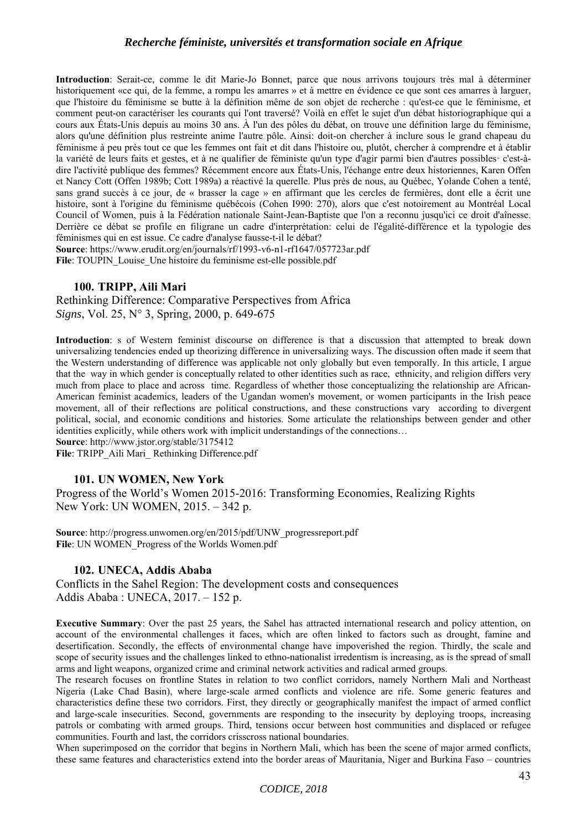**Introduction**: Serait-ce, comme le dit Marie-Jo Bonnet, parce que nous arrivons toujours très mal à déterminer historiquement «ce qui, de la femme, a rompu les amarres » et à mettre en évidence ce que sont ces amarres à larguer, que l'histoire du féminisme se butte à la définition même de son objet de recherche : qu'est-ce que le féminisme, et comment peut-on caractériser les courants qui l'ont traversé? Voilà en effet le sujet d'un débat historiographique qui a cours aux États-Unis depuis au moins 30 ans. À l'un des pôles du débat, on trouve une définition large du féminisme, alors qu'une définition plus restreinte anime l'autre pôle. Ainsi: doit-on chercher à inclure sous le grand chapeau du féminisme à peu près tout ce que les femmes ont fait et dit dans l'histoire ou, plutôt, chercher à comprendre et à établir la variété de leurs faits et gestes, et à ne qualifier de féministe qu'un type d'agir parmi bien d'autres possibles· c'est-àdire l'activité publique des femmes? Récemment encore aux États-Unis, l'échange entre deux historiennes, Karen Offen et Nancy Cott (Offen 1989b; Cott 1989a) a réactivé la querelle. Plus près de nous, au Québec, Yolande Cohen a tenté, sans grand succès à ce jour, de « brasser la cage » en affirmant que les cercles de fermières, dont elle a écrit une histoire, sont à l'origine du féminisme québécois (Cohen I990: 270), alors que c'est notoirement au Montréal Local Council of Women, puis à la Fédération nationale Saint-Jean-Baptiste que l'on a reconnu jusqu'ici ce droit d'aînesse. Derrière ce débat se profile en filigrane un cadre d'interprétation: celui de l'égalité-différence et la typologie des féminismes qui en est issue. Ce cadre d'analyse fausse-t-il le débat?

**Source**: https://www.erudit.org/en/journals/rf/1993-v6-n1-rf1647/057723ar.pdf File: TOUPIN\_Louise\_Une histoire du feminisme est-elle possible.pdf

## **100. TRIPP, Aili Mari**

Rethinking Difference: Comparative Perspectives from Africa *Signs*, Vol. 25, N° 3, Spring, 2000, p. 649-675

**Introduction**: s of Western feminist discourse on difference is that a discussion that attempted to break down universalizing tendencies ended up theorizing difference in universalizing ways. The discussion often made it seem that the Western understanding of difference was applicable not only globally but even temporally. In this article, I argue that the way in which gender is conceptually related to other identities such as race, ethnicity, and religion differs very much from place to place and across time. Regardless of whether those conceptualizing the relationship are African-American feminist academics, leaders of the Ugandan women's movement, or women participants in the Irish peace movement, all of their reflections are political constructions, and these constructions vary according to divergent political, social, and economic conditions and histories. Some articulate the relationships between gender and other identities explicitly, while others work with implicit understandings of the connections…

**Source**: http://www.jstor.org/stable/3175412

File: TRIPP\_Aili Mari\_ Rethinking Difference.pdf

#### **101. UN WOMEN, New York**

Progress of the World's Women 2015-2016: Transforming Economies, Realizing Rights New York: UN WOMEN, 2015. – 342 p.

**Source**: http://progress.unwomen.org/en/2015/pdf/UNW\_progressreport.pdf File: UN WOMEN\_Progress of the Worlds Women.pdf

#### **102. UNECA, Addis Ababa**

Conflicts in the Sahel Region: The development costs and consequences Addis Ababa : UNECA, 2017. – 152 p.

**Executive Summary**: Over the past 25 years, the Sahel has attracted international research and policy attention, on account of the environmental challenges it faces, which are often linked to factors such as drought, famine and desertification. Secondly, the effects of environmental change have impoverished the region. Thirdly, the scale and scope of security issues and the challenges linked to ethno-nationalist irredentism is increasing, as is the spread of small arms and light weapons, organized crime and criminal network activities and radical armed groups.

The research focuses on frontline States in relation to two conflict corridors, namely Northern Mali and Northeast Nigeria (Lake Chad Basin), where large-scale armed conflicts and violence are rife. Some generic features and characteristics define these two corridors. First, they directly or geographically manifest the impact of armed conflict and large-scale insecurities. Second, governments are responding to the insecurity by deploying troops, increasing patrols or combating with armed groups. Third, tensions occur between host communities and displaced or refugee communities. Fourth and last, the corridors crisscross national boundaries.

When superimposed on the corridor that begins in Northern Mali, which has been the scene of major armed conflicts, these same features and characteristics extend into the border areas of Mauritania, Niger and Burkina Faso – countries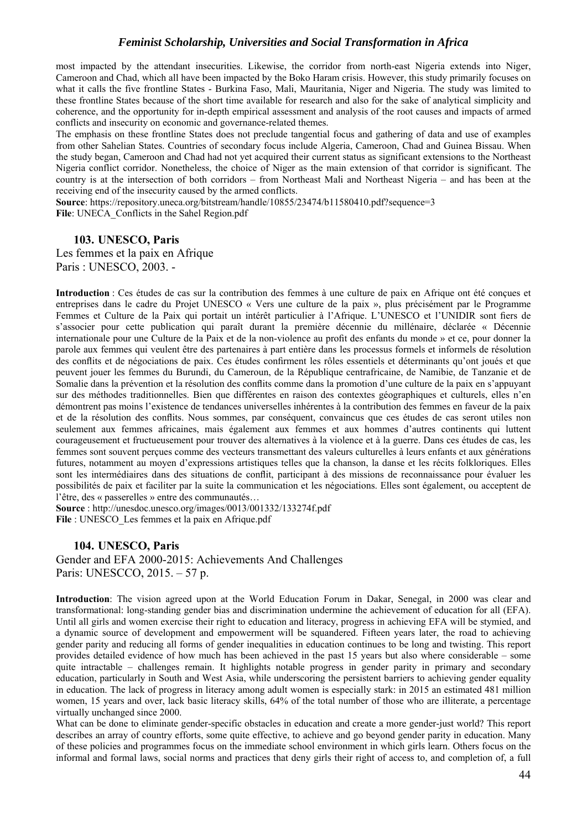most impacted by the attendant insecurities. Likewise, the corridor from north-east Nigeria extends into Niger, Cameroon and Chad, which all have been impacted by the Boko Haram crisis. However, this study primarily focuses on what it calls the five frontline States - Burkina Faso, Mali, Mauritania, Niger and Nigeria. The study was limited to these frontline States because of the short time available for research and also for the sake of analytical simplicity and coherence, and the opportunity for in-depth empirical assessment and analysis of the root causes and impacts of armed conflicts and insecurity on economic and governance-related themes.

The emphasis on these frontline States does not preclude tangential focus and gathering of data and use of examples from other Sahelian States. Countries of secondary focus include Algeria, Cameroon, Chad and Guinea Bissau. When the study began, Cameroon and Chad had not yet acquired their current status as significant extensions to the Northeast Nigeria conflict corridor. Nonetheless, the choice of Niger as the main extension of that corridor is significant. The country is at the intersection of both corridors – from Northeast Mali and Northeast Nigeria – and has been at the receiving end of the insecurity caused by the armed conflicts.

**Source**: https://repository.uneca.org/bitstream/handle/10855/23474/b11580410.pdf?sequence=3 **File**: UNECA\_Conflicts in the Sahel Region.pdf

#### **103. UNESCO, Paris**

Les femmes et la paix en Afrique Paris : UNESCO, 2003. -

**Introduction** : Ces études de cas sur la contribution des femmes à une culture de paix en Afrique ont été conçues et entreprises dans le cadre du Projet UNESCO « Vers une culture de la paix », plus précisément par le Programme Femmes et Culture de la Paix qui portait un intérêt particulier à l'Afrique. L'UNESCO et l'UNIDIR sont fiers de s'associer pour cette publication qui paraît durant la première décennie du millénaire, déclarée « Décennie internationale pour une Culture de la Paix et de la non-violence au profit des enfants du monde » et ce, pour donner la parole aux femmes qui veulent être des partenaires à part entière dans les processus formels et informels de résolution des conflits et de négociations de paix. Ces études confirment les rôles essentiels et déterminants qu'ont joués et que peuvent jouer les femmes du Burundi, du Cameroun, de la République centrafricaine, de Namibie, de Tanzanie et de Somalie dans la prévention et la résolution des conflits comme dans la promotion d'une culture de la paix en s'appuyant sur des méthodes traditionnelles. Bien que différentes en raison des contextes géographiques et culturels, elles n'en démontrent pas moins l'existence de tendances universelles inhérentes à la contribution des femmes en faveur de la paix et de la résolution des conflits. Nous sommes, par conséquent, convaincus que ces études de cas seront utiles non seulement aux femmes africaines, mais également aux femmes et aux hommes d'autres continents qui luttent courageusement et fructueusement pour trouver des alternatives à la violence et à la guerre. Dans ces études de cas, les femmes sont souvent perçues comme des vecteurs transmettant des valeurs culturelles à leurs enfants et aux générations futures, notamment au moyen d'expressions artistiques telles que la chanson, la danse et les récits folkloriques. Elles sont les intermédiaires dans des situations de conflit, participant à des missions de reconnaissance pour évaluer les possibilités de paix et faciliter par la suite la communication et les négociations. Elles sont également, ou acceptent de l'être, des « passerelles » entre des communautés…

**Source** : http://unesdoc.unesco.org/images/0013/001332/133274f.pdf **File** : UNESCO\_Les femmes et la paix en Afrique.pdf

#### **104. UNESCO, Paris**

Gender and EFA 2000-2015: Achievements And Challenges Paris: UNESCCO, 2015. – 57 p.

**Introduction**: The vision agreed upon at the World Education Forum in Dakar, Senegal, in 2000 was clear and transformational: long-standing gender bias and discrimination undermine the achievement of education for all (EFA). Until all girls and women exercise their right to education and literacy, progress in achieving EFA will be stymied, and a dynamic source of development and empowerment will be squandered. Fifteen years later, the road to achieving gender parity and reducing all forms of gender inequalities in education continues to be long and twisting. This report provides detailed evidence of how much has been achieved in the past 15 years but also where considerable – some quite intractable – challenges remain. It highlights notable progress in gender parity in primary and secondary education, particularly in South and West Asia, while underscoring the persistent barriers to achieving gender equality in education. The lack of progress in literacy among adult women is especially stark: in 2015 an estimated 481 million women, 15 years and over, lack basic literacy skills, 64% of the total number of those who are illiterate, a percentage virtually unchanged since 2000.

What can be done to eliminate gender-specific obstacles in education and create a more gender-just world? This report describes an array of country efforts, some quite effective, to achieve and go beyond gender parity in education. Many of these policies and programmes focus on the immediate school environment in which girls learn. Others focus on the informal and formal laws, social norms and practices that deny girls their right of access to, and completion of, a full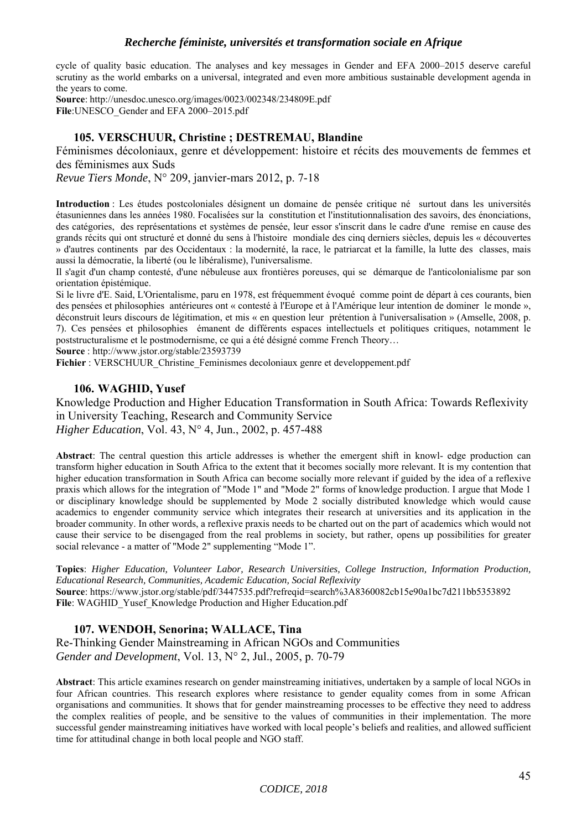cycle of quality basic education. The analyses and key messages in Gender and EFA 2000–2015 deserve careful scrutiny as the world embarks on a universal, integrated and even more ambitious sustainable development agenda in the years to come.

**Source**: http://unesdoc.unesco.org/images/0023/002348/234809E.pdf **File**:UNESCO\_Gender and EFA 2000–2015.pdf

## **105. VERSCHUUR, Christine ; DESTREMAU, Blandine**

Féminismes décoloniaux, genre et développement: histoire et récits des mouvements de femmes et des féminismes aux Suds

*Revue Tiers Monde*, N° 209, janvier-mars 2012, p. 7-18

**Introduction** : Les études postcoloniales désignent un domaine de pensée critique né surtout dans les universités étasuniennes dans les années 1980. Focalisées sur la constitution et l'institutionnalisation des savoirs, des énonciations, des catégories, des représentations et systèmes de pensée, leur essor s'inscrit dans le cadre d'une remise en cause des grands récits qui ont structuré et donné du sens à l'histoire mondiale des cinq derniers siècles, depuis les « découvertes » d'autres continents par des Occidentaux : la modernité, la race, le patriarcat et la famille, la lutte des classes, mais aussi la démocratie, la liberté (ou le libéralisme), l'universalisme.

Il s'agit d'un champ contesté, d'une nébuleuse aux frontières poreuses, qui se démarque de l'anticolonialisme par son orientation épistémique.

Si le livre d'E. Said, L'Orientalisme, paru en 1978, est fréquemment évoqué comme point de départ à ces courants, bien des pensées et philosophies antérieures ont « contesté à l'Europe et à l'Amérique leur intention de dominer le monde », déconstruit leurs discours de légitimation, et mis « en question leur prétention à l'universalisation » (Amselle, 2008, p. 7). Ces pensées et philosophies émanent de différents espaces intellectuels et politiques critiques, notamment le poststructuralisme et le postmodernisme, ce qui a été désigné comme French Theory…

**Source** : http://www.jstor.org/stable/23593739

**Fichier** : VERSCHUUR\_Christine\_Feminismes decoloniaux genre et developpement.pdf

## **106. WAGHID, Yusef**

Knowledge Production and Higher Education Transformation in South Africa: Towards Reflexivity in University Teaching, Research and Community Service *Higher Education*, Vol. 43, N° 4, Jun., 2002, p. 457-488

**Abstract**: The central question this article addresses is whether the emergent shift in knowl- edge production can transform higher education in South Africa to the extent that it becomes socially more relevant. It is my contention that higher education transformation in South Africa can become socially more relevant if guided by the idea of a reflexive praxis which allows for the integration of "Mode 1" and "Mode 2" forms of knowledge production. I argue that Mode 1 or disciplinary knowledge should be supplemented by Mode 2 socially distributed knowledge which would cause academics to engender community service which integrates their research at universities and its application in the broader community. In other words, a reflexive praxis needs to be charted out on the part of academics which would not cause their service to be disengaged from the real problems in society, but rather, opens up possibilities for greater social relevance - a matter of "Mode 2" supplementing "Mode 1".

**Topics**: *Higher Education, Volunteer Labor, Research Universities, College Instruction, Information Production, Educational Research, Communities, Academic Education, Social Reflexivity* **Source**: https://www.jstor.org/stable/pdf/3447535.pdf?refreqid=search%3A8360082cb15e90a1bc7d211bb5353892 File: WAGHID Yusef Knowledge Production and Higher Education.pdf

## **107. WENDOH, Senorina; WALLACE, Tina**

Re-Thinking Gender Mainstreaming in African NGOs and Communities *Gender and Development*, Vol. 13, N° 2, Jul., 2005, p. 70-79

**Abstract**: This article examines research on gender mainstreaming initiatives, undertaken by a sample of local NGOs in four African countries. This research explores where resistance to gender equality comes from in some African organisations and communities. It shows that for gender mainstreaming processes to be effective they need to address the complex realities of people, and be sensitive to the values of communities in their implementation. The more successful gender mainstreaming initiatives have worked with local people's beliefs and realities, and allowed sufficient time for attitudinal change in both local people and NGO staff.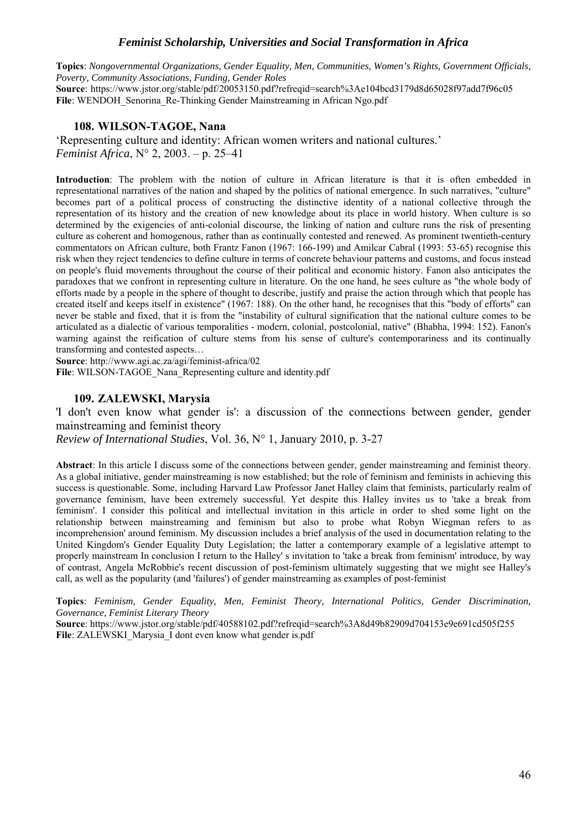**Topics**: *Nongovernmental Organizations, Gender Equality, Men, Communities, Women's Rights, Government Officials, Poverty, Community Associations, Funding, Gender Roles*

**Source**: https://www.jstor.org/stable/pdf/20053150.pdf?refreqid=search%3Ae104bcd3179d8d65028f97add7f96c05 File: WENDOH\_Senorina\_Re-Thinking Gender Mainstreaming in African Ngo.pdf

#### **108. WILSON-TAGOE, Nana**

'Representing culture and identity: African women writers and national cultures.' *Feminist Africa*, N° 2, 2003. – p. 25–41

**Introduction**: The problem with the notion of culture in African literature is that it is often embedded in representational narratives of the nation and shaped by the politics of national emergence. In such narratives, "culture" becomes part of a political process of constructing the distinctive identity of a national collective through the representation of its history and the creation of new knowledge about its place in world history. When culture is so determined by the exigencies of anti-colonial discourse, the linking of nation and culture runs the risk of presenting culture as coherent and homogenous, rather than as continually contested and renewed. As prominent twentieth-century commentators on African culture, both Frantz Fanon (1967: 166-199) and Amilcar Cabral (1993: 53-65) recognise this risk when they reject tendencies to define culture in terms of concrete behaviour patterns and customs, and focus instead on people's fluid movements throughout the course of their political and economic history. Fanon also anticipates the paradoxes that we confront in representing culture in literature. On the one hand, he sees culture as "the whole body of efforts made by a people in the sphere of thought to describe, justify and praise the action through which that people has created itself and keeps itself in existence" (1967: 188). On the other hand, he recognises that this "body of efforts" can never be stable and fixed, that it is from the "instability of cultural signification that the national culture comes to be articulated as a dialectic of various temporalities - modern, colonial, postcolonial, native" (Bhabha, 1994: 152). Fanon's warning against the reification of culture stems from his sense of culture's contemporariness and its continually transforming and contested aspects…

**Source**: http://www.agi.ac.za/agi/feminist-africa/02

File: WILSON-TAGOE\_Nana\_Representing culture and identity.pdf

## **109. ZALEWSKI, Marysia**

'I don't even know what gender is': a discussion of the connections between gender, gender mainstreaming and feminist theory

*Review of International Studies*, Vol. 36, N° 1, January 2010, p. 3-27

**Abstract**: In this article I discuss some of the connections between gender, gender mainstreaming and feminist theory. As a global initiative, gender mainstreaming is now established; but the role of feminism and feminists in achieving this success is questionable. Some, including Harvard Law Professor Janet Halley claim that feminists, particularly realm of governance feminism, have been extremely successful. Yet despite this Halley invites us to 'take a break from feminism'. I consider this political and intellectual invitation in this article in order to shed some light on the relationship between mainstreaming and feminism but also to probe what Robyn Wiegman refers to as incomprehension' around feminism. My discussion includes a brief analysis of the used in documentation relating to the United Kingdom's Gender Equality Duty Legislation; the latter a contemporary example of a legislative attempt to properly mainstream In conclusion I return to the Halley' s invitation to 'take a break from feminism' introduce, by way of contrast, Angela McRobbie's recent discussion of post-feminism ultimately suggesting that we might see Halley's call, as well as the popularity (and 'failures') of gender mainstreaming as examples of post-feminist

**Topics**: *Feminism, Gender Equality, Men, Feminist Theory, International Politics, Gender Discrimination, Governance, Feminist Literary Theory*

**Source**: https://www.jstor.org/stable/pdf/40588102.pdf?refreqid=search%3A8d49b82909d704153e9e691cd505f255 File: ZALEWSKI\_Marysia\_I dont even know what gender is.pdf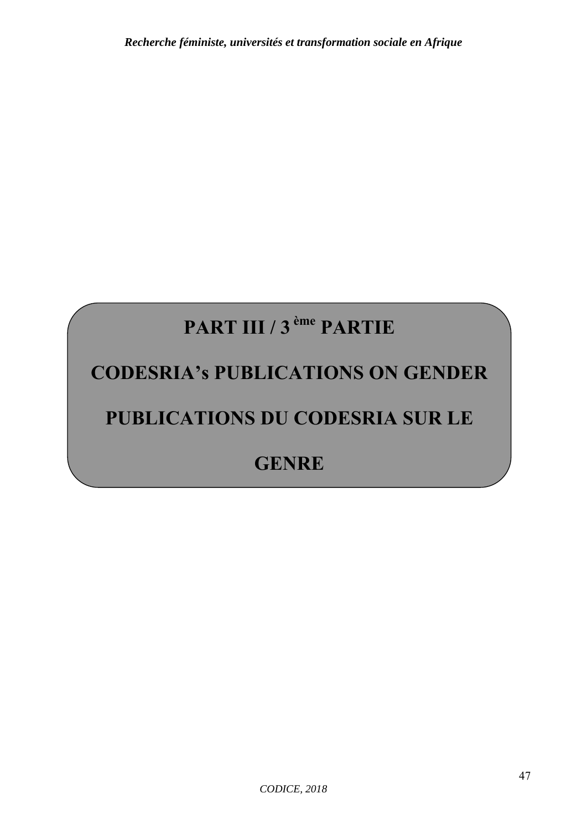# **PART III / 3 ème PARTIE**

# **CODESRIA's PUBLICATIONS ON GENDER**

# **PUBLICATIONS DU CODESRIA SUR LE**

## **GENRE**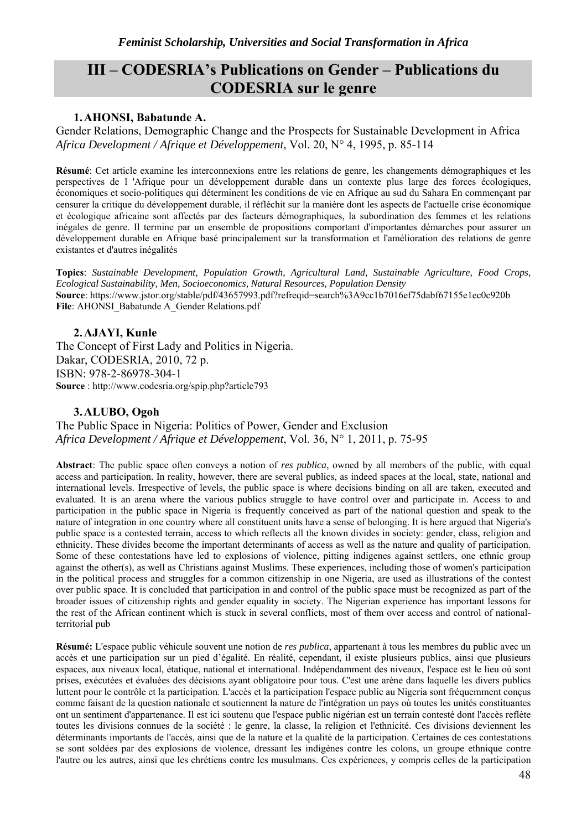## **III – CODESRIA's Publications on Gender – Publications du CODESRIA sur le genre**

## **1.AHONSI, Babatunde A.**

Gender Relations, Demographic Change and the Prospects for Sustainable Development in Africa *Africa Development / Afrique et Développement*, Vol. 20, N° 4, 1995, p. 85-114

**Résumé**: Cet article examine les interconnexions entre les relations de genre, les changements démographiques et les perspectives de l 'Afrique pour un développement durable dans un contexte plus large des forces écologiques, économiques et socio-politiques qui déterminent les conditions de vie en Afrique au sud du Sahara En commençant par censurer la critique du développement durable, il réfléchit sur la manière dont les aspects de l'actuelle crise économique et écologique africaine sont affectés par des facteurs démographiques, la subordination des femmes et les relations inégales de genre. Il termine par un ensemble de propositions comportant d'importantes démarches pour assurer un développement durable en Afrique basé principalement sur la transformation et l'amélioration des relations de genre existantes et d'autres inégalités

**Topics**: *Sustainable Development, Population Growth, Agricultural Land, Sustainable Agriculture, Food Crops, Ecological Sustainability, Men, Socioeconomics, Natural Resources, Population Density* **Source**: https://www.jstor.org/stable/pdf/43657993.pdf?refreqid=search%3A9cc1b7016ef75dabf67155e1ec0c920b File: AHONSI\_Babatunde A\_Gender Relations.pdf

## **2.AJAYI, Kunle**

The Concept of First Lady and Politics in Nigeria. Dakar, CODESRIA, 2010, 72 p. ISBN: 978-2-86978-304-1 **Source** : http://www.codesria.org/spip.php?article793

## **3.ALUBO, Ogoh**

The Public Space in Nigeria: Politics of Power, Gender and Exclusion *Africa Development / Afrique et Développement*, Vol. 36, N° 1, 2011, p. 75-95

**Abstract**: The public space often conveys a notion of *res publica*, owned by all members of the public, with equal access and participation. In reality, however, there are several publics, as indeed spaces at the local, state, national and international levels. Irrespective of levels, the public space is where decisions binding on all are taken, executed and evaluated. It is an arena where the various publics struggle to have control over and participate in. Access to and participation in the public space in Nigeria is frequently conceived as part of the national question and speak to the nature of integration in one country where all constituent units have a sense of belonging. It is here argued that Nigeria's public space is a contested terrain, access to which reflects all the known divides in society: gender, class, religion and ethnicity. These divides become the important determinants of access as well as the nature and quality of participation. Some of these contestations have led to explosions of violence, pitting indigenes against settlers, one ethnic group against the other(s), as well as Christians against Muslims. These experiences, including those of women's participation in the political process and struggles for a common citizenship in one Nigeria, are used as illustrations of the contest over public space. It is concluded that participation in and control of the public space must be recognized as part of the broader issues of citizenship rights and gender equality in society. The Nigerian experience has important lessons for the rest of the African continent which is stuck in several conflicts, most of them over access and control of nationalterritorial pub

**Résumé:** L'espace public véhicule souvent une notion de *res publica*, appartenant à tous les membres du public avec un accès et une participation sur un pied d'égalité. En réalité, cependant, il existe plusieurs publics, ainsi que plusieurs espaces, aux niveaux local, étatique, national et international. Indépendamment des niveaux, l'espace est le lieu où sont prises, exécutées et évaluées des décisions ayant obligatoire pour tous. C'est une arène dans laquelle les divers publics luttent pour le contrôle et la participation. L'accès et la participation l'espace public au Nigeria sont fréquemment conçus comme faisant de la question nationale et soutiennent la nature de l'intégration un pays où toutes les unités constituantes ont un sentiment d'appartenance. Il est ici soutenu que l'espace public nigérian est un terrain contesté dont l'accès reflète toutes les divisions connues de la société : le genre, la classe, la religion et l'ethnicité. Ces divisions deviennent les déterminants importants de l'accès, ainsi que de la nature et la qualité de la participation. Certaines de ces contestations se sont soldées par des explosions de violence, dressant les indigènes contre les colons, un groupe ethnique contre l'autre ou les autres, ainsi que les chrétiens contre les musulmans. Ces expériences, y compris celles de la participation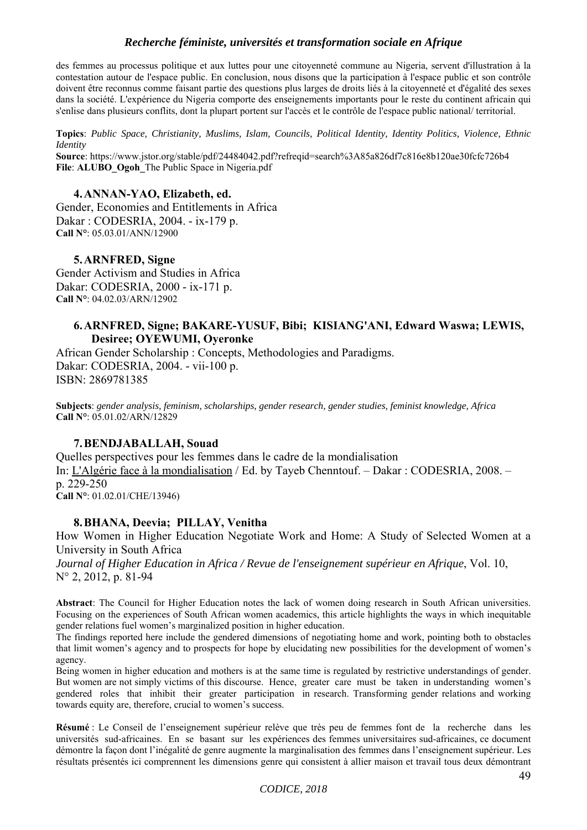des femmes au processus politique et aux luttes pour une citoyenneté commune au Nigeria, servent d'illustration à la contestation autour de l'espace public. En conclusion, nous disons que la participation à l'espace public et son contrôle doivent être reconnus comme faisant partie des questions plus larges de droits liés à la citoyenneté et d'égalité des sexes dans la société. L'expérience du Nigeria comporte des enseignements importants pour le reste du continent africain qui s'enlise dans plusieurs conflits, dont la plupart portent sur l'accès et le contrôle de l'espace public national/ territorial.

**Topics**: *Public Space, Christianity, Muslims, Islam, Councils, Political Identity, Identity Politics, Violence, Ethnic Identity*

**Source**: https://www.jstor.org/stable/pdf/24484042.pdf?refreqid=search%3A85a826df7c816e8b120ae30fcfc726b4 File: ALUBO Ogoh<sup>The Public Space in Nigeria.pdf</sup>

#### **4.ANNAN-YAO, Elizabeth, ed.**

Gender, Economies and Entitlements in Africa Dakar : CODESRIA, 2004. - ix-179 p. **Call N°**: 05.03.01/ANN/12900

#### **5.ARNFRED, Signe**

Gender Activism and Studies in Africa Dakar: CODESRIA, 2000 - ix-171 p. **Call N°**: 04.02.03/ARN/12902

#### **6.ARNFRED, Signe; BAKARE-YUSUF, Bibi; KISIANG'ANI, Edward Waswa; LEWIS, Desiree; OYEWUMI, Oyeronke**

African Gender Scholarship : Concepts, Methodologies and Paradigms. Dakar: CODESRIA, 2004. - vii-100 p. ISBN: 2869781385

**Subjects**: *gender analysis, feminism, scholarships, gender research, gender studies, feminist knowledge, Africa* **Call N°**: 05.01.02/ARN/12829

#### **7.BENDJABALLAH, Souad**

Quelles perspectives pour les femmes dans le cadre de la mondialisation In: L'Algérie face à la mondialisation / Ed. by Tayeb Chenntouf. – Dakar : CODESRIA, 2008. – p. 229-250 **Call N°**: 01.02.01/CHE/13946)

#### **8.BHANA, Deevia; PILLAY, Venitha**

How Women in Higher Education Negotiate Work and Home: A Study of Selected Women at a University in South Africa

*Journal of Higher Education in Africa / Revue de l'enseignement supérieur en Afrique*, Vol. 10, N° 2, 2012, p. 81-94

**Abstract**: The Council for Higher Education notes the lack of women doing research in South African universities. Focusing on the experiences of South African women academics, this article highlights the ways in which inequitable gender relations fuel women's marginalized position in higher education.

The findings reported here include the gendered dimensions of negotiating home and work, pointing both to obstacles that limit women's agency and to prospects for hope by elucidating new possibilities for the development of women's agency.

Being women in higher education and mothers is at the same time is regulated by restrictive understandings of gender. But women are not simply victims of this discourse. Hence, greater care must be taken in understanding women's gendered roles that inhibit their greater participation in research. Transforming gender relations and working towards equity are, therefore, crucial to women's success.

**Résumé** : Le Conseil de l'enseignement supérieur relève que très peu de femmes font de la recherche dans les universités sud-africaines. En se basant sur les expériences des femmes universitaires sud-africaines, ce document démontre la façon dont l'inégalité de genre augmente la marginalisation des femmes dans l'enseignement supérieur. Les résultats présentés ici comprennent les dimensions genre qui consistent à allier maison et travail tous deux démontrant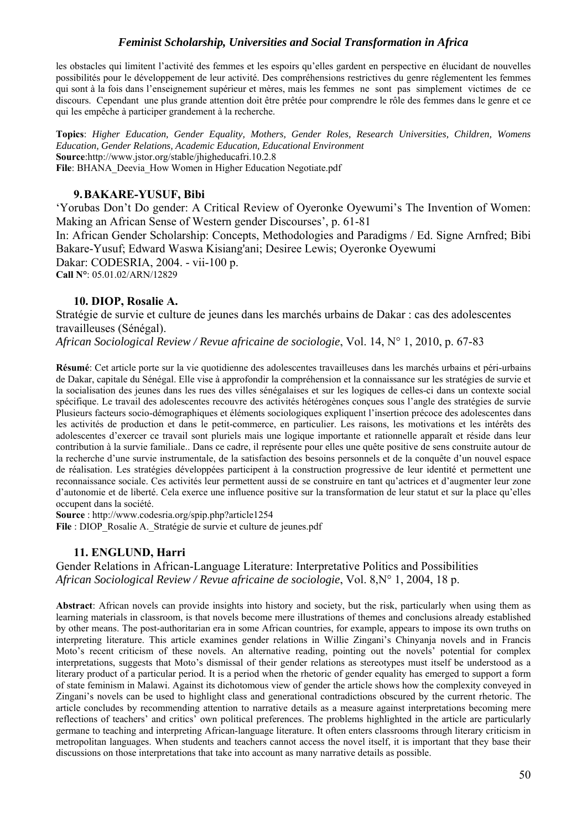les obstacles qui limitent l'activité des femmes et les espoirs qu'elles gardent en perspective en élucidant de nouvelles possibilités pour le développement de leur activité. Des compréhensions restrictives du genre réglementent les femmes qui sont à la fois dans l'enseignement supérieur et mères, mais les femmes ne sont pas simplement victimes de ce discours. Cependant une plus grande attention doit être prêtée pour comprendre le rôle des femmes dans le genre et ce qui les empêche à participer grandement à la recherche.

**Topics**: *Higher Education, Gender Equality, Mothers, Gender Roles, Research Universities, Children, Womens Education, Gender Relations, Academic Education, Educational Environment* **Source**:http://www.jstor.org/stable/jhigheducafri.10.2.8 File: BHANA Deevia How Women in Higher Education Negotiate.pdf

## **9.BAKARE-YUSUF, Bibi**

'Yorubas Don't Do gender: A Critical Review of Oyeronke Oyewumi's The Invention of Women: Making an African Sense of Western gender Discourses', p. 61-81 In: African Gender Scholarship: Concepts, Methodologies and Paradigms / Ed. Signe Arnfred; Bibi Bakare-Yusuf; Edward Waswa Kisiang'ani; Desiree Lewis; Oyeronke Oyewumi Dakar: CODESRIA, 2004. - vii-100 p. **Call N°**: 05.01.02/ARN/12829

## **10. DIOP, Rosalie A.**

Stratégie de survie et culture de jeunes dans les marchés urbains de Dakar : cas des adolescentes travailleuses (Sénégal).

*African Sociological Review / Revue africaine de sociologie*, Vol. 14, N° 1, 2010, p. 67-83

**Résumé**: Cet article porte sur la vie quotidienne des adolescentes travailleuses dans les marchés urbains et péri-urbains de Dakar, capitale du Sénégal. Elle vise à approfondir la compréhension et la connaissance sur les stratégies de survie et la socialisation des jeunes dans les rues des villes sénégalaises et sur les logiques de celles-ci dans un contexte social spécifique. Le travail des adolescentes recouvre des activités hétérogènes conçues sous l'angle des stratégies de survie Plusieurs facteurs socio-démographiques et éléments sociologiques expliquent l'insertion précoce des adolescentes dans les activités de production et dans le petit-commerce, en particulier. Les raisons, les motivations et les intérêts des adolescentes d'exercer ce travail sont pluriels mais une logique importante et rationnelle apparaît et réside dans leur contribution à la survie familiale.. Dans ce cadre, il représente pour elles une quête positive de sens construite autour de la recherche d'une survie instrumentale, de la satisfaction des besoins personnels et de la conquête d'un nouvel espace de réalisation. Les stratégies développées participent à la construction progressive de leur identité et permettent une reconnaissance sociale. Ces activités leur permettent aussi de se construire en tant qu'actrices et d'augmenter leur zone d'autonomie et de liberté. Cela exerce une influence positive sur la transformation de leur statut et sur la place qu'elles occupent dans la société.

**Source** : http://www.codesria.org/spip.php?article1254

File : DIOP\_Rosalie A. Stratégie de survie et culture de jeunes.pdf

## **11. ENGLUND, Harri**

Gender Relations in African-Language Literature: Interpretative Politics and Possibilities *African Sociological Review / Revue africaine de sociologie*, Vol. 8,N° 1, 2004, 18 p.

**Abstract**: African novels can provide insights into history and society, but the risk, particularly when using them as learning materials in classroom, is that novels become mere illustrations of themes and conclusions already established by other means. The post-authoritarian era in some African countries, for example, appears to impose its own truths on interpreting literature. This article examines gender relations in Willie Zingani's Chinyanja novels and in Francis Moto's recent criticism of these novels. An alternative reading, pointing out the novels' potential for complex interpretations, suggests that Moto's dismissal of their gender relations as stereotypes must itself be understood as a literary product of a particular period. It is a period when the rhetoric of gender equality has emerged to support a form of state feminism in Malawi. Against its dichotomous view of gender the article shows how the complexity conveyed in Zingani's novels can be used to highlight class and generational contradictions obscured by the current rhetoric. The article concludes by recommending attention to narrative details as a measure against interpretations becoming mere reflections of teachers' and critics' own political preferences. The problems highlighted in the article are particularly germane to teaching and interpreting African-language literature. It often enters classrooms through literary criticism in metropolitan languages. When students and teachers cannot access the novel itself, it is important that they base their discussions on those interpretations that take into account as many narrative details as possible.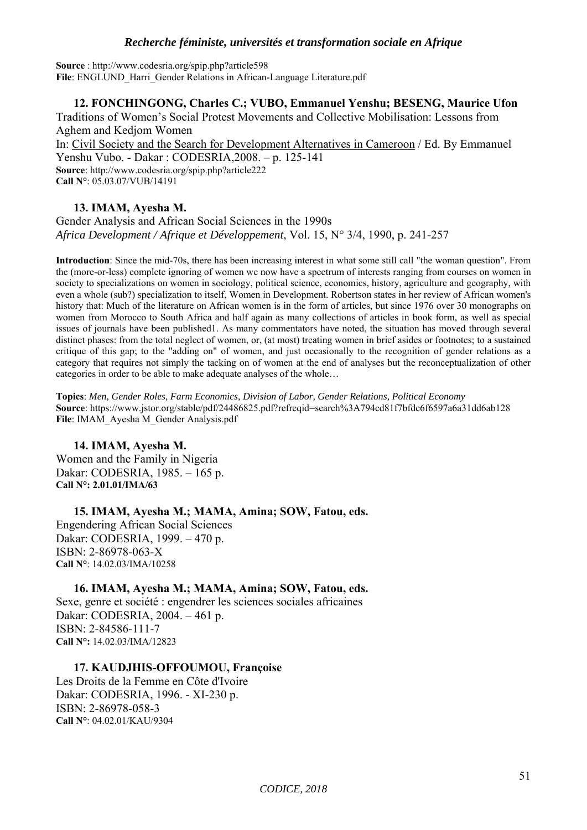**Source** : http://www.codesria.org/spip.php?article598 File: ENGLUND\_Harri\_Gender Relations in African-Language Literature.pdf

## **12. FONCHINGONG, Charles C.; VUBO, Emmanuel Yenshu; BESENG, Maurice Ufon**

Traditions of Women's Social Protest Movements and Collective Mobilisation: Lessons from Aghem and Kedjom Women In: Civil Society and the Search for Development Alternatives in Cameroon / Ed. By Emmanuel Yenshu Vubo. - Dakar : CODESRIA,2008. – p. 125-141 **Source**: http://www.codesria.org/spip.php?article222

**Call N°**: 05.03.07/VUB/14191

## **13. IMAM, Ayesha M.**

Gender Analysis and African Social Sciences in the 1990s *Africa Development / Afrique et Développement*, Vol. 15, N° 3/4, 1990, p. 241-257

**Introduction**: Since the mid-70s, there has been increasing interest in what some still call "the woman question". From the (more-or-less) complete ignoring of women we now have a spectrum of interests ranging from courses on women in society to specializations on women in sociology, political science, economics, history, agriculture and geography, with even a whole (sub?) specialization to itself, Women in Development. Robertson states in her review of African women's history that: Much of the literature on African women is in the form of articles, but since 1976 over 30 monographs on women from Morocco to South Africa and half again as many collections of articles in book form, as well as special issues of journals have been published1. As many commentators have noted, the situation has moved through several distinct phases: from the total neglect of women, or, (at most) treating women in brief asides or footnotes; to a sustained critique of this gap; to the "adding on" of women, and just occasionally to the recognition of gender relations as a category that requires not simply the tacking on of women at the end of analyses but the reconceptualization of other categories in order to be able to make adequate analyses of the whole…

**Topics**: *Men, Gender Roles, Farm Economics, Division of Labor, Gender Relations, Political Economy* **Source**: https://www.jstor.org/stable/pdf/24486825.pdf?refreqid=search%3A794cd81f7bfdc6f6597a6a31dd6ab128 **File**: IMAM\_Ayesha M\_Gender Analysis.pdf

## **14. IMAM, Ayesha M.**

Women and the Family in Nigeria Dakar: CODESRIA, 1985. – 165 p. **Call N°: 2.01.01/IMA/63** 

**15. IMAM, Ayesha M.; MAMA, Amina; SOW, Fatou, eds.**  Engendering African Social Sciences Dakar: CODESRIA, 1999. – 470 p. ISBN: 2-86978-063-X **Call N°**: 14.02.03/IMA/10258

**16. IMAM, Ayesha M.; MAMA, Amina; SOW, Fatou, eds.**  Sexe, genre et société : engendrer les sciences sociales africaines Dakar: CODESRIA, 2004. – 461 p. ISBN: 2-84586-111-7 **Call N°:** 14.02.03/IMA/12823

## **17. KAUDJHIS-OFFOUMOU, Françoise**

Les Droits de la Femme en Côte d'Ivoire Dakar: CODESRIA, 1996. - XI-230 p. ISBN: 2-86978-058-3 **Call N°**: 04.02.01/KAU/9304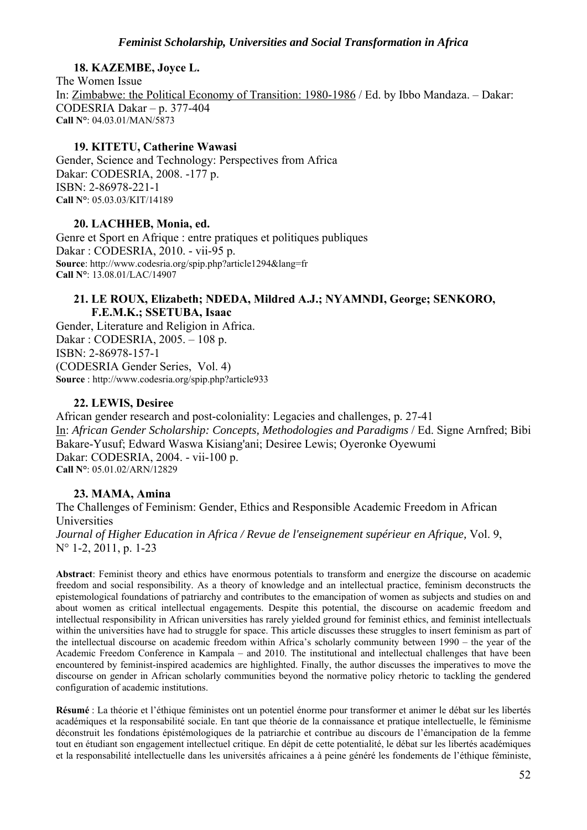## **18. KAZEMBE, Joyce L.**

The Women Issue In: Zimbabwe: the Political Economy of Transition: 1980-1986 / Ed. by Ibbo Mandaza. – Dakar: CODESRIA Dakar – p. 377-404 **Call N°**: 04.03.01/MAN/5873

## **19. KITETU, Catherine Wawasi**

Gender, Science and Technology: Perspectives from Africa Dakar: CODESRIA, 2008. -177 p. ISBN: 2-86978-221-1 **Call N°**: 05.03.03/KIT/14189

## **20. LACHHEB, Monia, ed.**

Genre et Sport en Afrique : entre pratiques et politiques publiques Dakar : CODESRIA, 2010. - vii-95 p. **Source**: http://www.codesria.org/spip.php?article1294&lang=fr **Call N°**: 13.08.01/LAC/14907

## **21. LE ROUX, Elizabeth; NDEDA, Mildred A.J.; NYAMNDI, George; SENKORO, F.E.M.K.; SSETUBA, Isaac**

Gender, Literature and Religion in Africa. Dakar : CODESRIA, 2005. – 108 p. ISBN: 2-86978-157-1 (CODESRIA Gender Series, Vol. 4) **Source** : http://www.codesria.org/spip.php?article933

## **22. LEWIS, Desiree**

African gender research and post-coloniality: Legacies and challenges, p. 27-41 In: *African Gender Scholarship: Concepts, Methodologies and Paradigms* / Ed. Signe Arnfred; Bibi Bakare-Yusuf; Edward Waswa Kisiang'ani; Desiree Lewis; Oyeronke Oyewumi Dakar: CODESRIA, 2004. - vii-100 p. **Call N°**: 05.01.02/ARN/12829

## **23. MAMA, Amina**

The Challenges of Feminism: Gender, Ethics and Responsible Academic Freedom in African Universities *Journal of Higher Education in Africa / Revue de l'enseignement supérieur en Afrique,* Vol. 9, N° 1-2, 2011, p. 1-23

**Abstract**: Feminist theory and ethics have enormous potentials to transform and energize the discourse on academic freedom and social responsibility. As a theory of knowledge and an intellectual practice, feminism deconstructs the epistemological foundations of patriarchy and contributes to the emancipation of women as subjects and studies on and about women as critical intellectual engagements. Despite this potential, the discourse on academic freedom and intellectual responsibility in African universities has rarely yielded ground for feminist ethics, and feminist intellectuals within the universities have had to struggle for space. This article discusses these struggles to insert feminism as part of the intellectual discourse on academic freedom within Africa's scholarly community between 1990 – the year of the Academic Freedom Conference in Kampala – and 2010. The institutional and intellectual challenges that have been encountered by feminist-inspired academics are highlighted. Finally, the author discusses the imperatives to move the discourse on gender in African scholarly communities beyond the normative policy rhetoric to tackling the gendered configuration of academic institutions.

**Résumé** : La théorie et l'éthique féministes ont un potentiel énorme pour transformer et animer le débat sur les libertés académiques et la responsabilité sociale. En tant que théorie de la connaissance et pratique intellectuelle, le féminisme déconstruit les fondations épistémologiques de la patriarchie et contribue au discours de l'émancipation de la femme tout en étudiant son engagement intellectuel critique. En dépit de cette potentialité, le débat sur les libertés académiques et la responsabilité intellectuelle dans les universités africaines a à peine généré les fondements de l'éthique féministe,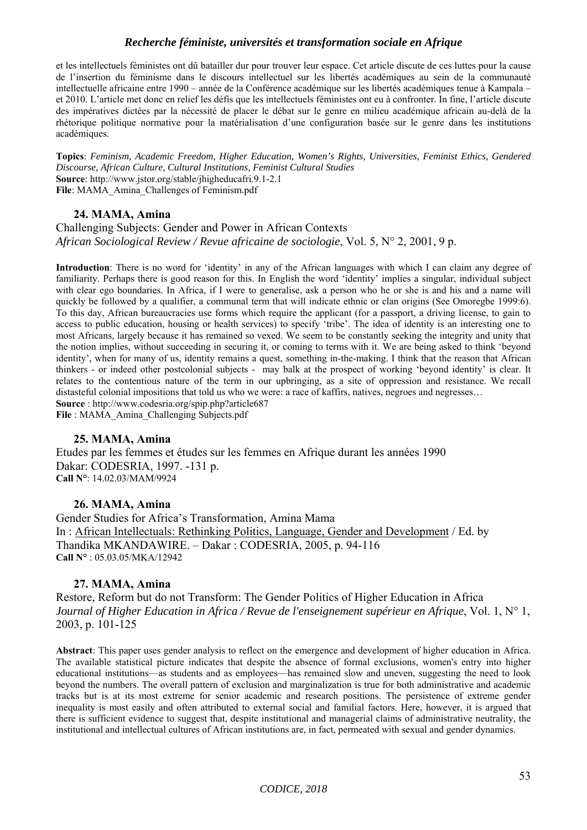et les intellectuels féministes ont dû batailler dur pour trouver leur espace. Cet article discute de ces luttes pour la cause de l'insertion du féminisme dans le discours intellectuel sur les libertés académiques au sein de la communauté intellectuelle africaine entre 1990 – année de la Conférence académique sur les libertés académiques tenue à Kampala – et 2010. L'article met donc en relief les défis que les intellectuels féministes ont eu à confronter. In fine, l'article discute des impératives dictées par la nécessité de placer le débat sur le genre en milieu académique africain au-delà de la rhétorique politique normative pour la matérialisation d'une configuration basée sur le genre dans les institutions académiques.

**Topics**: *Feminism, Academic Freedom, Higher Education, Women's Rights, Universities, Feminist Ethics, Gendered Discourse, African Culture, Cultural Institutions, Feminist Cultural Studies* **Source**: http://www.jstor.org/stable/jhigheducafri.9.1-2.1 **File**: MAMA\_Amina\_Challenges of Feminism.pdf

## **24. MAMA, Amina**

Challenging Subjects: Gender and Power in African Contexts *African Sociological Review / Revue africaine de sociologie*, Vol. 5, N° 2, 2001, 9 p.

**Introduction**: There is no word for 'identity' in any of the African languages with which I can claim any degree of familiarity. Perhaps there is good reason for this. In English the word 'identity' implies a singular, individual subject with clear ego boundaries. In Africa, if I were to generalise, ask a person who he or she is and his and a name will quickly be followed by a qualifier, a communal term that will indicate ethnic or clan origins (See Omoregbe 1999:6). To this day, African bureaucracies use forms which require the applicant (for a passport, a driving license, to gain to access to public education, housing or health services) to specify 'tribe'. The idea of identity is an interesting one to most Africans, largely because it has remained so vexed. We seem to be constantly seeking the integrity and unity that the notion implies, without succeeding in securing it, or coming to terms with it. We are being asked to think 'beyond identity', when for many of us, identity remains a quest, something in-the-making. I think that the reason that African thinkers - or indeed other postcolonial subjects - may balk at the prospect of working 'beyond identity' is clear. It relates to the contentious nature of the term in our upbringing, as a site of oppression and resistance. We recall distasteful colonial impositions that told us who we were: a race of kaffirs, natives, negroes and negresses... **Source** : http://www.codesria.org/spip.php?article687

**File** : MAMA\_Amina\_Challenging Subjects.pdf

#### **25. MAMA, Amina**

Etudes par les femmes et études sur les femmes en Afrique durant les années 1990 Dakar: CODESRIA, 1997. -131 p. **Call N°**: 14.02.03/MAM/9924

#### **26. MAMA, Amina**

Gender Studies for Africa's Transformation, Amina Mama In : African Intellectuals: Rethinking Politics, Language, Gender and Development / Ed. by Thandika MKANDAWIRE. – Dakar : CODESRIA, 2005, p. 94-116 **Call N°** : 05.03.05/MKA/12942

#### **27. MAMA, Amina**

Restore, Reform but do not Transform: The Gender Politics of Higher Education in Africa *Journal of Higher Education in Africa / Revue de l'enseignement supérieur en Afrique*, Vol. 1, N° 1, 2003, p. 101-125

**Abstract**: This paper uses gender analysis to reflect on the emergence and development of higher education in Africa. The available statistical picture indicates that despite the absence of formal exclusions, women's entry into higher educational institutions—as students and as employees—has remained slow and uneven, suggesting the need to look beyond the numbers. The overall pattern of exclusion and marginalization is true for both administrative and academic tracks but is at its most extreme for senior academic and research positions. The persistence of extreme gender inequality is most easily and often attributed to external social and familial factors. Here, however, it is argued that there is sufficient evidence to suggest that, despite institutional and managerial claims of administrative neutrality, the institutional and intellectual cultures of African institutions are, in fact, permeated with sexual and gender dynamics.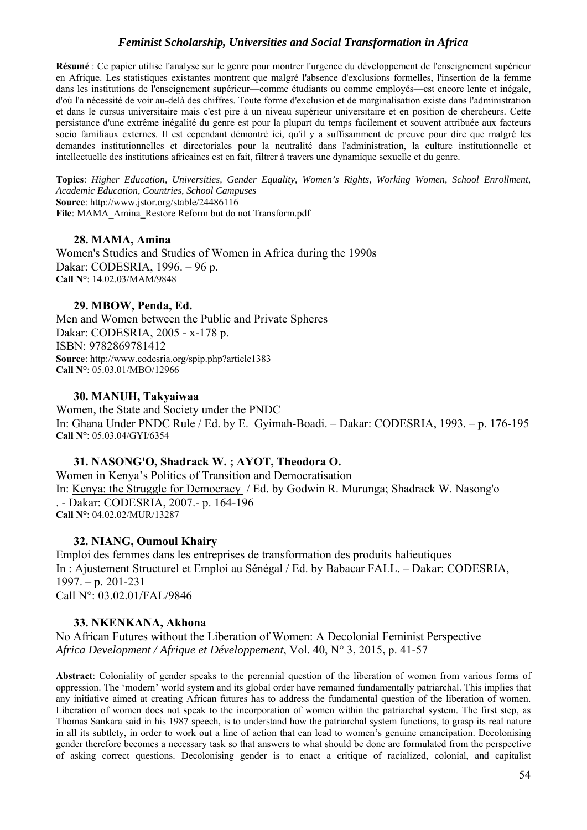**Résumé** : Ce papier utilise l'analyse sur le genre pour montrer l'urgence du développement de l'enseignement supérieur en Afrique. Les statistiques existantes montrent que malgré l'absence d'exclusions formelles, l'insertion de la femme dans les institutions de l'enseignement supérieur—comme étudiants ou comme employés—est encore lente et inégale, d'où l'a nécessité de voir au-delà des chiffres. Toute forme d'exclusion et de marginalisation existe dans l'administration et dans le cursus universitaire mais c'est pire à un niveau supérieur universitaire et en position de chercheurs. Cette persistance d'une extrême inégalité du genre est pour la plupart du temps facilement et souvent attribuée aux facteurs socio familiaux externes. Il est cependant démontré ici, qu'il y a suffisamment de preuve pour dire que malgré les demandes institutionnelles et directoriales pour la neutralité dans l'administration, la culture institutionnelle et intellectuelle des institutions africaines est en fait, filtrer à travers une dynamique sexuelle et du genre.

**Topics**: *Higher Education, Universities, Gender Equality, Women's Rights, Working Women, School Enrollment, Academic Education, Countries, School Campuses* **Source**: http://www.jstor.org/stable/24486116 **File**: MAMA\_Amina**\_**Restore Reform but do not Transform.pdf

## **28. MAMA, Amina**

Women's Studies and Studies of Women in Africa during the 1990s Dakar: CODESRIA, 1996. – 96 p. **Call N°**: 14.02.03/MAM/9848

## **29. MBOW, Penda, Ed.**

Men and Women between the Public and Private Spheres Dakar: CODESRIA, 2005 - x-178 p. ISBN: 9782869781412 **Source**: http://www.codesria.org/spip.php?article1383 **Call N°**: 05.03.01/MBO/12966

## **30. MANUH, Takyaiwaa**

Women, the State and Society under the PNDC In: Ghana Under PNDC Rule / Ed. by E. Gyimah-Boadi. – Dakar: CODESRIA, 1993. – p. 176-195 **Call N°**: 05.03.04/GYI/6354

## **31. NASONG'O, Shadrack W. ; AYOT, Theodora O.**

Women in Kenya's Politics of Transition and Democratisation In: Kenya: the Struggle for Democracy / Ed. by Godwin R. Murunga; Shadrack W. Nasong'o . - Dakar: CODESRIA, 2007.- p. 164-196 **Call N°**: 04.02.02/MUR/13287

## **32. NIANG, Oumoul Khairy**

Emploi des femmes dans les entreprises de transformation des produits halieutiques In : Ajustement Structurel et Emploi au Sénégal / Ed. by Babacar FALL. – Dakar: CODESRIA, 1997. – p. 201-231 Call N°: 03.02.01/FAL/9846

## **33. NKENKANA, Akhona**

No African Futures without the Liberation of Women: A Decolonial Feminist Perspective *Africa Development / Afrique et Développement*, Vol. 40, N° 3, 2015, p. 41-57

**Abstract**: Coloniality of gender speaks to the perennial question of the liberation of women from various forms of oppression. The 'modern' world system and its global order have remained fundamentally patriarchal. This implies that any initiative aimed at creating African futures has to address the fundamental question of the liberation of women. Liberation of women does not speak to the incorporation of women within the patriarchal system. The first step, as Thomas Sankara said in his 1987 speech, is to understand how the patriarchal system functions, to grasp its real nature in all its subtlety, in order to work out a line of action that can lead to women's genuine emancipation. Decolonising gender therefore becomes a necessary task so that answers to what should be done are formulated from the perspective of asking correct questions. Decolonising gender is to enact a critique of racialized, colonial, and capitalist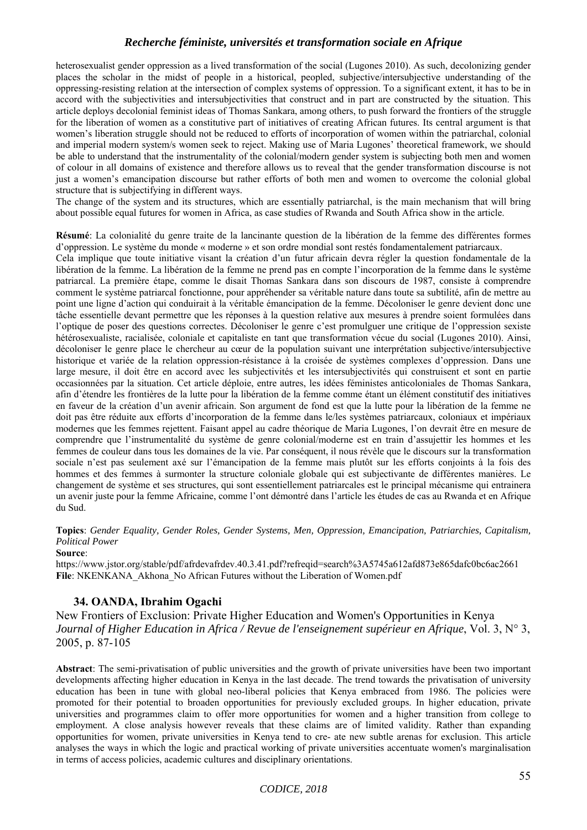heterosexualist gender oppression as a lived transformation of the social (Lugones 2010). As such, decolonizing gender places the scholar in the midst of people in a historical, peopled, subjective/intersubjective understanding of the oppressing-resisting relation at the intersection of complex systems of oppression. To a significant extent, it has to be in accord with the subjectivities and intersubjectivities that construct and in part are constructed by the situation. This article deploys decolonial feminist ideas of Thomas Sankara, among others, to push forward the frontiers of the struggle for the liberation of women as a constitutive part of initiatives of creating African futures. Its central argument is that women's liberation struggle should not be reduced to efforts of incorporation of women within the patriarchal, colonial and imperial modern system/s women seek to reject. Making use of Maria Lugones' theoretical framework, we should be able to understand that the instrumentality of the colonial/modern gender system is subjecting both men and women of colour in all domains of existence and therefore allows us to reveal that the gender transformation discourse is not just a women's emancipation discourse but rather efforts of both men and women to overcome the colonial global structure that is subjectifying in different ways.

The change of the system and its structures, which are essentially patriarchal, is the main mechanism that will bring about possible equal futures for women in Africa, as case studies of Rwanda and South Africa show in the article.

**Résumé**: La colonialité du genre traite de la lancinante question de la libération de la femme des différentes formes d'oppression. Le système du monde « moderne » et son ordre mondial sont restés fondamentalement patriarcaux.

Cela implique que toute initiative visant la création d'un futur africain devra régler la question fondamentale de la libération de la femme. La libération de la femme ne prend pas en compte l'incorporation de la femme dans le système patriarcal. La première étape, comme le disait Thomas Sankara dans son discours de 1987, consiste à comprendre comment le système patriarcal fonctionne, pour appréhender sa véritable nature dans toute sa subtilité, afin de mettre au point une ligne d'action qui conduirait à la véritable émancipation de la femme. Décoloniser le genre devient donc une tâche essentielle devant permettre que les réponses à la question relative aux mesures à prendre soient formulées dans l'optique de poser des questions correctes. Décoloniser le genre c'est promulguer une critique de l'oppression sexiste hétérosexualiste, racialisée, coloniale et capitaliste en tant que transformation vécue du social (Lugones 2010). Ainsi, décoloniser le genre place le chercheur au cœur de la population suivant une interprétation subjective/intersubjective historique et variée de la relation oppression-résistance à la croisée de systèmes complexes d'oppression. Dans une large mesure, il doit être en accord avec les subjectivités et les intersubjectivités qui construisent et sont en partie occasionnées par la situation. Cet article déploie, entre autres, les idées féministes anticoloniales de Thomas Sankara, afin d'étendre les frontières de la lutte pour la libération de la femme comme étant un élément constitutif des initiatives en faveur de la création d'un avenir africain. Son argument de fond est que la lutte pour la libération de la femme ne doit pas être réduite aux efforts d'incorporation de la femme dans le/les systèmes patriarcaux, coloniaux et impériaux modernes que les femmes rejettent. Faisant appel au cadre théorique de Maria Lugones, l'on devrait être en mesure de comprendre que l'instrumentalité du système de genre colonial/moderne est en train d'assujettir les hommes et les femmes de couleur dans tous les domaines de la vie. Par conséquent, il nous révèle que le discours sur la transformation sociale n'est pas seulement axé sur l'émancipation de la femme mais plutôt sur les efforts conjoints à la fois des hommes et des femmes à surmonter la structure coloniale globale qui est subjectivante de différentes manières. Le changement de système et ses structures, qui sont essentiellement patriarcales est le principal mécanisme qui entrainera un avenir juste pour la femme Africaine, comme l'ont démontré dans l'article les études de cas au Rwanda et en Afrique du Sud.

**Topics**: *Gender Equality, Gender Roles, Gender Systems, Men, Oppression, Emancipation, Patriarchies, Capitalism, Political Power*

#### **Source**:

https://www.jstor.org/stable/pdf/afrdevafrdev.40.3.41.pdf?refreqid=search%3A5745a612afd873e865dafc0bc6ac2661 **File**: NKENKANA\_Akhona\_No African Futures without the Liberation of Women.pdf

#### **34. OANDA, Ibrahim Ogachi**

New Frontiers of Exclusion: Private Higher Education and Women's Opportunities in Kenya *Journal of Higher Education in Africa / Revue de l'enseignement supérieur en Afrique*, Vol. 3, N° 3, 2005, p. 87-105

**Abstract**: The semi-privatisation of public universities and the growth of private universities have been two important developments affecting higher education in Kenya in the last decade. The trend towards the privatisation of university education has been in tune with global neo-liberal policies that Kenya embraced from 1986. The policies were promoted for their potential to broaden opportunities for previously excluded groups. In higher education, private universities and programmes claim to offer more opportunities for women and a higher transition from college to employment. A close analysis however reveals that these claims are of limited validity. Rather than expanding opportunities for women, private universities in Kenya tend to cre- ate new subtle arenas for exclusion. This article analyses the ways in which the logic and practical working of private universities accentuate women's marginalisation in terms of access policies, academic cultures and disciplinary orientations.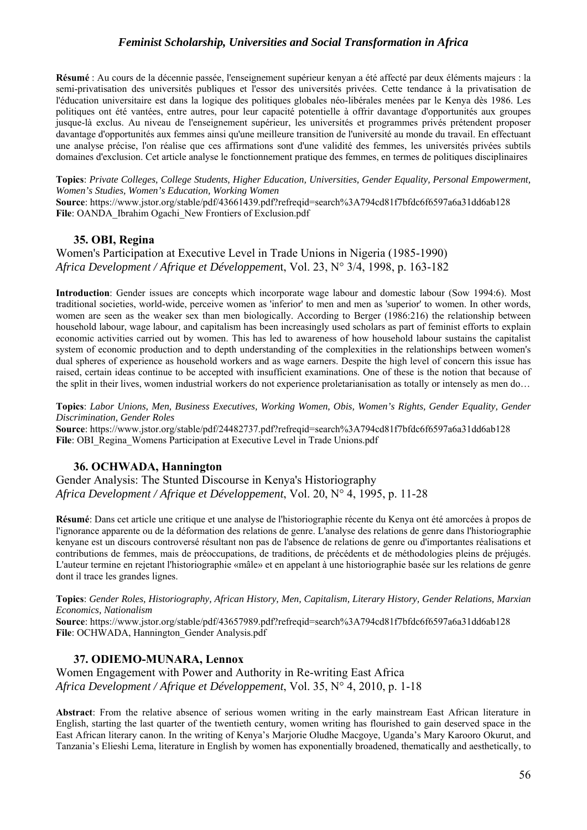**Résumé** : Au cours de la décennie passée, l'enseignement supérieur kenyan a été affecté par deux éléments majeurs : la semi-privatisation des universités publiques et l'essor des universités privées. Cette tendance à la privatisation de l'éducation universitaire est dans la logique des politiques globales néo-libérales menées par le Kenya dès 1986. Les politiques ont été vantées, entre autres, pour leur capacité potentielle à offrir davantage d'opportunités aux groupes jusque-là exclus. Au niveau de l'enseignement supérieur, les universités et programmes privés prétendent proposer davantage d'opportunités aux femmes ainsi qu'une meilleure transition de l'université au monde du travail. En effectuant une analyse précise, l'on réalise que ces affirmations sont d'une validité des femmes, les universités privées subtils domaines d'exclusion. Cet article analyse le fonctionnement pratique des femmes, en termes de politiques disciplinaires

**Topics**: *Private Colleges, College Students, Higher Education, Universities, Gender Equality, Personal Empowerment, Women's Studies, Women's Education, Working Women*

**Source**: https://www.jstor.org/stable/pdf/43661439.pdf?refreqid=search%3A794cd81f7bfdc6f6597a6a31dd6ab128 **File**: OANDA\_Ibrahim Ogachi\_New Frontiers of Exclusion.pdf

#### **35. OBI, Regina**

Women's Participation at Executive Level in Trade Unions in Nigeria (1985-1990) *Africa Development / Afrique et Développemen*t, Vol. 23, N° 3/4, 1998, p. 163-182

**Introduction**: Gender issues are concepts which incorporate wage labour and domestic labour (Sow 1994:6). Most traditional societies, world-wide, perceive women as 'inferior' to men and men as 'superior' to women. In other words, women are seen as the weaker sex than men biologically. According to Berger (1986:216) the relationship between household labour, wage labour, and capitalism has been increasingly used scholars as part of feminist efforts to explain economic activities carried out by women. This has led to awareness of how household labour sustains the capitalist system of economic production and to depth understanding of the complexities in the relationships between women's dual spheres of experience as household workers and as wage earners. Despite the high level of concern this issue has raised, certain ideas continue to be accepted with insufficient examinations. One of these is the notion that because of the split in their lives, women industrial workers do not experience proletarianisation as totally or intensely as men do…

**Topics**: *Labor Unions, Men, Business Executives, Working Women, Obis, Women's Rights, Gender Equality, Gender Discrimination, Gender Roles*

**Source**: https://www.jstor.org/stable/pdf/24482737.pdf?refreqid=search%3A794cd81f7bfdc6f6597a6a31dd6ab128 File: OBI\_Regina\_Womens Participation at Executive Level in Trade Unions.pdf

#### **36. OCHWADA, Hannington**

Gender Analysis: The Stunted Discourse in Kenya's Historiography *Africa Development / Afrique et Développement*, Vol. 20, N° 4, 1995, p. 11-28

**Résumé**: Dans cet article une critique et une analyse de l'historiographie récente du Kenya ont été amorcées à propos de l'ignorance apparente ou de la déformation des relations de genre. L'analyse des relations de genre dans l'historiographie kenyane est un discours controversé résultant non pas de l'absence de relations de genre ou d'importantes réalisations et contributions de femmes, mais de préoccupations, de traditions, de précédents et de méthodologies pleins de préjugés. L'auteur termine en rejetant l'historiographie «mâle» et en appelant à une historiographie basée sur les relations de genre dont il trace les grandes lignes.

**Topics**: *Gender Roles, Historiography, African History, Men, Capitalism, Literary History, Gender Relations, Marxian Economics, Nationalism* 

**Source**: https://www.jstor.org/stable/pdf/43657989.pdf?refreqid=search%3A794cd81f7bfdc6f6597a6a31dd6ab128 **File**: OCHWADA, Hannington\_Gender Analysis.pdf

## **37. ODIEMO-MUNARA, Lennox**

Women Engagement with Power and Authority in Re-writing East Africa *Africa Development / Afrique et Développement*, Vol. 35, N° 4, 2010, p. 1-18

**Abstract**: From the relative absence of serious women writing in the early mainstream East African literature in English, starting the last quarter of the twentieth century, women writing has flourished to gain deserved space in the East African literary canon. In the writing of Kenya's Marjorie Oludhe Macgoye, Uganda's Mary Karooro Okurut, and Tanzania's Elieshi Lema, literature in English by women has exponentially broadened, thematically and aesthetically, to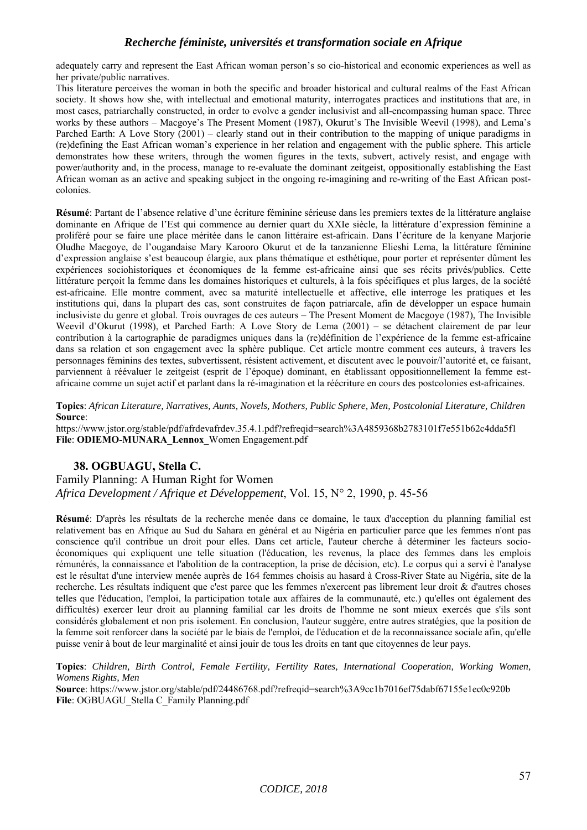adequately carry and represent the East African woman person's so cio-historical and economic experiences as well as her private/public narratives.

This literature perceives the woman in both the specific and broader historical and cultural realms of the East African society. It shows how she, with intellectual and emotional maturity, interrogates practices and institutions that are, in most cases, patriarchally constructed, in order to evolve a gender inclusivist and all-encompassing human space. Three works by these authors – Macgoye's The Present Moment (1987), Okurut's The Invisible Weevil (1998), and Lema's Parched Earth: A Love Story (2001) – clearly stand out in their contribution to the mapping of unique paradigms in (re)defining the East African woman's experience in her relation and engagement with the public sphere. This article demonstrates how these writers, through the women figures in the texts, subvert, actively resist, and engage with power/authority and, in the process, manage to re-evaluate the dominant zeitgeist, oppositionally establishing the East African woman as an active and speaking subject in the ongoing re-imagining and re-writing of the East African postcolonies.

**Résumé**: Partant de l'absence relative d'une écriture féminine sérieuse dans les premiers textes de la littérature anglaise dominante en Afrique de l'Est qui commence au dernier quart du XXIe siècle, la littérature d'expression féminine a proliféré pour se faire une place méritée dans le canon littéraire est-africain. Dans l'écriture de la kenyane Marjorie Oludhe Macgoye, de l'ougandaise Mary Karooro Okurut et de la tanzanienne Elieshi Lema, la littérature féminine d'expression anglaise s'est beaucoup élargie, aux plans thématique et esthétique, pour porter et représenter dûment les expériences sociohistoriques et économiques de la femme est-africaine ainsi que ses récits privés/publics. Cette littérature perçoit la femme dans les domaines historiques et culturels, à la fois spécifiques et plus larges, de la société est-africaine. Elle montre comment, avec sa maturité intellectuelle et affective, elle interroge les pratiques et les institutions qui, dans la plupart des cas, sont construites de façon patriarcale, afin de développer un espace humain inclusiviste du genre et global. Trois ouvrages de ces auteurs – The Present Moment de Macgoye (1987), The Invisible Weevil d'Okurut (1998), et Parched Earth: A Love Story de Lema (2001) – se détachent clairement de par leur contribution à la cartographie de paradigmes uniques dans la (re)définition de l'expérience de la femme est-africaine dans sa relation et son engagement avec la sphère publique. Cet article montre comment ces auteurs, à travers les personnages féminins des textes, subvertissent, résistent activement, et discutent avec le pouvoir/l'autorité et, ce faisant, parviennent à réévaluer le zeitgeist (esprit de l'époque) dominant, en établissant oppositionnellement la femme estafricaine comme un sujet actif et parlant dans la ré-imagination et la réécriture en cours des postcolonies est-africaines.

**Topics**: *African Literature, Narratives, Aunts, Novels, Mothers, Public Sphere, Men, Postcolonial Literature, Children* **Source**:

https://www.jstor.org/stable/pdf/afrdevafrdev.35.4.1.pdf?refreqid=search%3A4859368b2783101f7e551b62c4dda5f1 **File**: **ODIEMO-MUNARA\_Lennox\_**Women Engagement.pdf

#### **38. OGBUAGU, Stella C.**

Family Planning: A Human Right for Women *Africa Development / Afrique et Développement*, Vol. 15, N° 2, 1990, p. 45-56

**Résumé**: D'après les résultats de la recherche menée dans ce domaine, le taux d'acception du planning familial est relativement bas en Afrique au Sud du Sahara en général et au Nigéria en particulier parce que les femmes n'ont pas conscience qu'il contribue un droit pour elles. Dans cet article, l'auteur cherche à déterminer les facteurs socioéconomiques qui expliquent une telle situation (l'éducation, les revenus, la place des femmes dans les emplois rémunérés, la connaissance et l'abolition de la contraception, la prise de décision, etc). Le corpus qui a servi è l'analyse est le résultat d'une interview menée auprès de 164 femmes choisis au hasard à Cross-River State au Nigéria, site de la recherche. Les résultats indiquent que c'est parce que les femmes n'exercent pas librement leur droit & d'autres choses telles que l'éducation, l'emploi, la participation totale aux affaires de la communauté, etc.) qu'elles ont également des difficultés) exercer leur droit au planning familial car les droits de l'homme ne sont mieux exercés que s'ils sont considérés globalement et non pris isolement. En conclusion, l'auteur suggère, entre autres stratégies, que la position de la femme soit renforcer dans la société par le biais de l'emploi, de l'éducation et de la reconnaissance sociale afin, qu'elle puisse venir à bout de leur marginalité et ainsi jouir de tous les droits en tant que citoyennes de leur pays.

**Topics**: *Children, Birth Control, Female Fertility, Fertility Rates, International Cooperation, Working Women, Womens Rights, Men* 

**Source**: https://www.jstor.org/stable/pdf/24486768.pdf?refreqid=search%3A9cc1b7016ef75dabf67155e1ec0c920b **File**: OGBUAGU\_Stella C\_Family Planning.pdf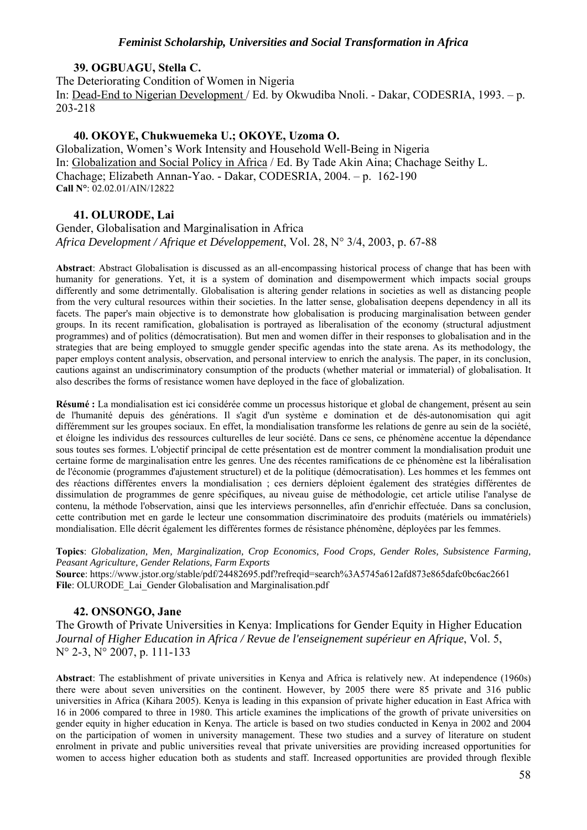#### **39. OGBUAGU, Stella C.**

The Deteriorating Condition of Women in Nigeria In: Dead-End to Nigerian Development / Ed. by Okwudiba Nnoli. - Dakar, CODESRIA, 1993. – p. 203-218

#### **40. OKOYE, Chukwuemeka U.; OKOYE, Uzoma O.**

Globalization, Women's Work Intensity and Household Well-Being in Nigeria In: Globalization and Social Policy in Africa / Ed. By Tade Akin Aina; Chachage Seithy L. Chachage; Elizabeth Annan-Yao. - Dakar, CODESRIA, 2004. – p. 162-190 **Call N°**: 02.02.01/AIN/12822

## **41. OLURODE, Lai**

Gender, Globalisation and Marginalisation in Africa *Africa Development / Afrique et Développement*, Vol. 28, N° 3/4, 2003, p. 67-88

**Abstract**: Abstract Globalisation is discussed as an all-encompassing historical process of change that has been with humanity for generations. Yet, it is a system of domination and disempowerment which impacts social groups differently and some detrimentally. Globalisation is altering gender relations in societies as well as distancing people from the very cultural resources within their societies. In the latter sense, globalisation deepens dependency in all its facets. The paper's main objective is to demonstrate how globalisation is producing marginalisation between gender groups. In its recent ramification, globalisation is portrayed as liberalisation of the economy (structural adjustment programmes) and of politics (démocratisation). But men and women differ in their responses to globalisation and in the strategies that are being employed to smuggle gender specific agendas into the state arena. As its methodology, the paper employs content analysis, observation, and personal interview to enrich the analysis. The paper, in its conclusion, cautions against an undiscriminatory consumption of the products (whether material or immaterial) of globalisation. It also describes the forms of resistance women have deployed in the face of globalization.

**Résumé :** La mondialisation est ici considérée comme un processus historique et global de changement, présent au sein de l'humanité depuis des générations. Il s'agit d'un système e domination et de dés-autonomisation qui agit différemment sur les groupes sociaux. En effet, la mondialisation transforme les relations de genre au sein de la société, et éloigne les individus des ressources culturelles de leur société. Dans ce sens, ce phénomène accentue la dépendance sous toutes ses formes. L'objectif principal de cette présentation est de montrer comment la mondialisation produit une certaine forme de marginalisation entre les genres. Une des récentes ramifications de ce phénomène est la libéralisation de l'économie (programmes d'ajustement structurel) et de la politique (démocratisation). Les hommes et les femmes ont des réactions différentes envers la mondialisation ; ces derniers déploient également des stratégies différentes de dissimulation de programmes de genre spécifiques, au niveau guise de méthodologie, cet article utilise l'analyse de contenu, la méthode l'observation, ainsi que les interviews personnelles, afin d'enrichir effectuée. Dans sa conclusion, cette contribution met en garde le lecteur une consommation discriminatoire des produits (matériels ou immatériels) mondialisation. Elle décrit également les différentes formes de résistance phénomène, déployées par les femmes.

**Topics**: *Globalization, Men, Marginalization, Crop Economics, Food Crops, Gender Roles, Subsistence Farming, Peasant Agriculture, Gender Relations, Farm Exports*

**Source**: https://www.jstor.org/stable/pdf/24482695.pdf?refreqid=search%3A5745a612afd873e865dafc0bc6ac2661 File: OLURODE\_Lai\_Gender Globalisation and Marginalisation.pdf

## **42. ONSONGO, Jane**

The Growth of Private Universities in Kenya: Implications for Gender Equity in Higher Education *Journal of Higher Education in Africa / Revue de l'enseignement supérieur en Afrique*, Vol. 5, N° 2-3, N° 2007, p. 111-133

**Abstract**: The establishment of private universities in Kenya and Africa is relatively new. At independence (1960s) there were about seven universities on the continent. However, by 2005 there were 85 private and 316 public universities in Africa (Kihara 2005). Kenya is leading in this expansion of private higher education in East Africa with 16 in 2006 compared to three in 1980. This article examines the implications of the growth of private universities on gender equity in higher education in Kenya. The article is based on two studies conducted in Kenya in 2002 and 2004 on the participation of women in university management. These two studies and a survey of literature on student enrolment in private and public universities reveal that private universities are providing increased opportunities for women to access higher education both as students and staff. Increased opportunities are provided through flexible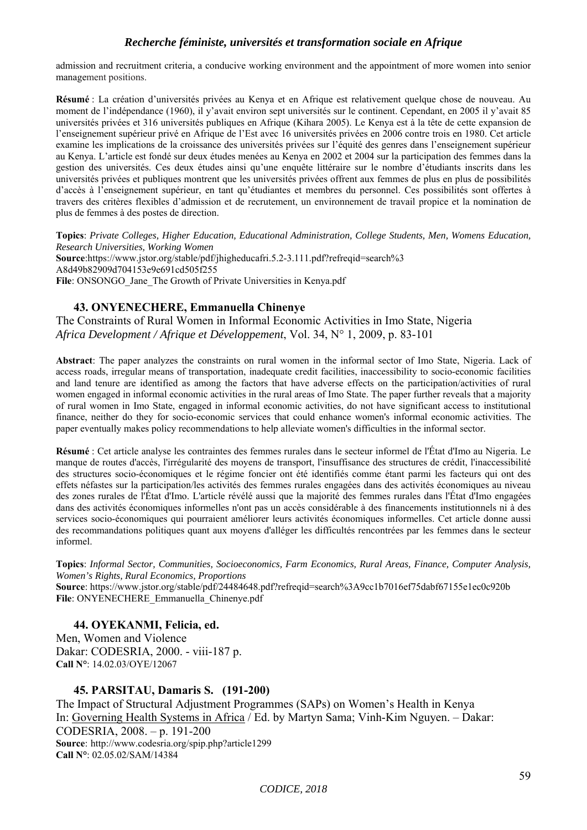admission and recruitment criteria, a conducive working environment and the appointment of more women into senior management positions.

**Résumé** : La création d'universités privées au Kenya et en Afrique est relativement quelque chose de nouveau. Au moment de l'indépendance (1960), il y'avait environ sept universités sur le continent. Cependant, en 2005 il y'avait 85 universités privées et 316 universités publiques en Afrique (Kihara 2005). Le Kenya est à la tête de cette expansion de l'enseignement supérieur privé en Afrique de l'Est avec 16 universités privées en 2006 contre trois en 1980. Cet article examine les implications de la croissance des universités privées sur l'équité des genres dans l'enseignement supérieur au Kenya. L'article est fondé sur deux études menées au Kenya en 2002 et 2004 sur la participation des femmes dans la gestion des universités. Ces deux études ainsi qu'une enquête littéraire sur le nombre d'étudiants inscrits dans les universités privées et publiques montrent que les universités privées offrent aux femmes de plus en plus de possibilités d'accès à l'enseignement supérieur, en tant qu'étudiantes et membres du personnel. Ces possibilités sont offertes à travers des critères flexibles d'admission et de recrutement, un environnement de travail propice et la nomination de plus de femmes à des postes de direction.

**Topics**: *Private Colleges, Higher Education, Educational Administration, College Students, Men, Womens Education, Research Universities, Working Women* **Source**:https://www.jstor.org/stable/pdf/jhigheducafri.5.2-3.111.pdf?refreqid=search%3 A8d49b82909d704153e9e691cd505f255 File: ONSONGO\_Jane\_The Growth of Private Universities in Kenya.pdf

## **43. ONYENECHERE, Emmanuella Chinenye**

The Constraints of Rural Women in Informal Economic Activities in Imo State, Nigeria *Africa Development / Afrique et Développement*, Vol. 34, N° 1, 2009, p. 83-101

**Abstract**: The paper analyzes the constraints on rural women in the informal sector of Imo State, Nigeria. Lack of access roads, irregular means of transportation, inadequate credit facilities, inaccessibility to socio-economic facilities and land tenure are identified as among the factors that have adverse effects on the participation/activities of rural women engaged in informal economic activities in the rural areas of Imo State. The paper further reveals that a majority of rural women in Imo State, engaged in informal economic activities, do not have significant access to institutional finance, neither do they for socio-economic services that could enhance women's informal economic activities. The paper eventually makes policy recommendations to help alleviate women's difficulties in the informal sector.

**Résumé** : Cet article analyse les contraintes des femmes rurales dans le secteur informel de l'État d'Imo au Nigeria. Le manque de routes d'accès, l'irrégularité des moyens de transport, l'insuffisance des structures de crédit, l'inaccessibilité des structures socio-économiques et le régime foncier ont été identifiés comme étant parmi les facteurs qui ont des effets néfastes sur la participation/les activités des femmes rurales engagées dans des activités économiques au niveau des zones rurales de l'État d'Imo. L'article révélé aussi que la majorité des femmes rurales dans l'État d'Imo engagées dans des activités économiques informelles n'ont pas un accès considérable à des financements institutionnels ni à des services socio-économiques qui pourraient améliorer leurs activités économiques informelles. Cet article donne aussi des recommandations politiques quant aux moyens d'alléger les difficultés rencontrées par les femmes dans le secteur informel.

**Topics**: *Informal Sector, Communities, Socioeconomics, Farm Economics, Rural Areas, Finance, Computer Analysis, Women's Rights, Rural Economics, Proportions* **Source**: https://www.jstor.org/stable/pdf/24484648.pdf?refreqid=search%3A9cc1b7016ef75dabf67155e1ec0c920b **File**: ONYENECHERE\_Emmanuella\_Chinenye.pdf

## **44. OYEKANMI, Felicia, ed.**

Men, Women and Violence Dakar: CODESRIA, 2000. - viii-187 p. **Call N°**: 14.02.03/OYE/12067

## **45. PARSITAU, Damaris S. (191-200)**

The Impact of Structural Adjustment Programmes (SAPs) on Women's Health in Kenya In: Governing Health Systems in Africa / Ed. by Martyn Sama; Vinh-Kim Nguyen. – Dakar: CODESRIA, 2008. – p. 191-200 **Source**: http://www.codesria.org/spip.php?article1299 **Call N°**: 02.05.02/SAM/14384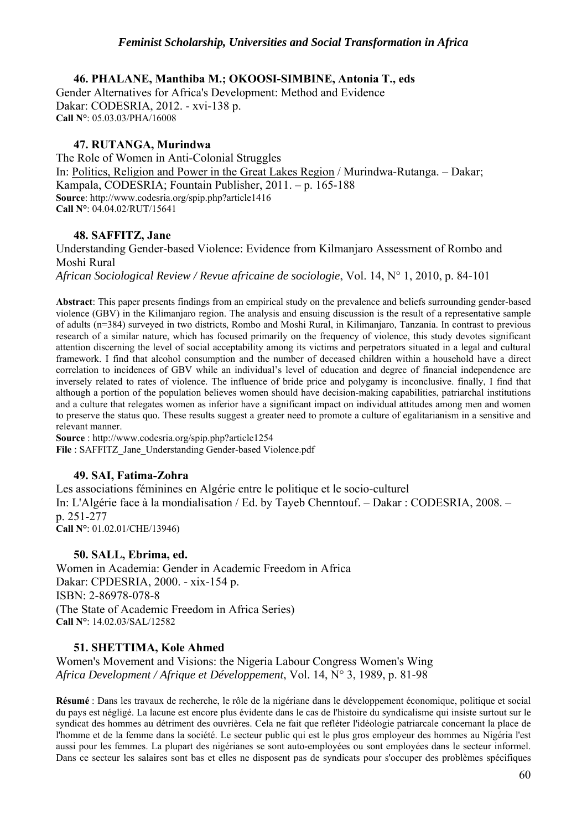## **46. PHALANE, Manthiba M.; OKOOSI-SIMBINE, Antonia T., eds**

Gender Alternatives for Africa's Development: Method and Evidence Dakar: CODESRIA, 2012. - xvi-138 p. **Call N°**: 05.03.03/PHA/16008

## **47. RUTANGA, Murindwa**

The Role of Women in Anti-Colonial Struggles In: Politics, Religion and Power in the Great Lakes Region / Murindwa-Rutanga. – Dakar; Kampala, CODESRIA; Fountain Publisher, 2011. – p. 165-188 **Source**: http://www.codesria.org/spip.php?article1416 **Call N°**: 04.04.02/RUT/15641

## **48. SAFFITZ, Jane**

Understanding Gender-based Violence: Evidence from Kilmanjaro Assessment of Rombo and Moshi Rural

*African Sociological Review / Revue africaine de sociologie*, Vol. 14, N° 1, 2010, p. 84-101

**Abstract**: This paper presents findings from an empirical study on the prevalence and beliefs surrounding gender-based violence (GBV) in the Kilimanjaro region. The analysis and ensuing discussion is the result of a representative sample of adults (n=384) surveyed in two districts, Rombo and Moshi Rural, in Kilimanjaro, Tanzania. In contrast to previous research of a similar nature, which has focused primarily on the frequency of violence, this study devotes significant attention discerning the level of social acceptability among its victims and perpetrators situated in a legal and cultural framework. I find that alcohol consumption and the number of deceased children within a household have a direct correlation to incidences of GBV while an individual's level of education and degree of financial independence are inversely related to rates of violence. The influence of bride price and polygamy is inconclusive. finally, I find that although a portion of the population believes women should have decision-making capabilities, patriarchal institutions and a culture that relegates women as inferior have a significant impact on individual attitudes among men and women to preserve the status quo. These results suggest a greater need to promote a culture of egalitarianism in a sensitive and relevant manner.

**Source** : http://www.codesria.org/spip.php?article1254 File : SAFFITZ\_Jane\_Understanding Gender-based Violence.pdf

## **49. SAI, Fatima-Zohra**

Les associations féminines en Algérie entre le politique et le socio-culturel In: L'Algérie face à la mondialisation / Ed. by Tayeb Chenntouf. – Dakar : CODESRIA, 2008. – p. 251-277 **Call N°**: 01.02.01/CHE/13946)

## **50. SALL, Ebrima, ed.**

Women in Academia: Gender in Academic Freedom in Africa Dakar: CPDESRIA, 2000. - xix-154 p. ISBN: 2-86978-078-8 (The State of Academic Freedom in Africa Series) **Call N°**: 14.02.03/SAL/12582

## **51. SHETTIMA, Kole Ahmed**

Women's Movement and Visions: the Nigeria Labour Congress Women's Wing *Africa Development / Afrique et Développement*, Vol. 14, N° 3, 1989, p. 81-98

**Résumé** : Dans les travaux de recherche, le rôle de la nigériane dans le développement économique, politique et social du pays est négligé. La lacune est encore plus évidente dans le cas de l'histoire du syndicalisme qui insiste surtout sur le syndicat des hommes au détriment des ouvrières. Cela ne fait que refléter l'idéologie patriarcale concernant la place de l'homme et de la femme dans la société. Le secteur public qui est le plus gros employeur des hommes au Nigéria l'est aussi pour les femmes. La plupart des nigérianes se sont auto-employées ou sont employées dans le secteur informel. Dans ce secteur les salaires sont bas et elles ne disposent pas de syndicats pour s'occuper des problèmes spécifiques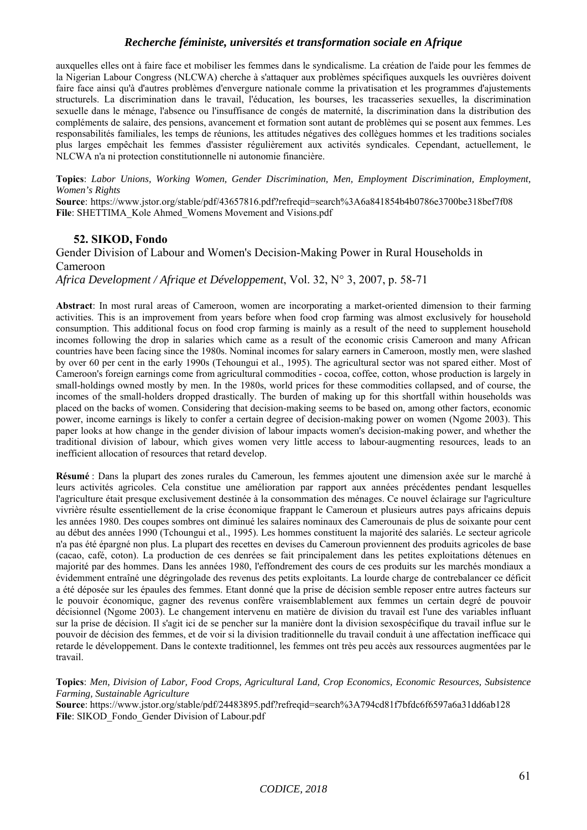auxquelles elles ont à faire face et mobiliser les femmes dans le syndicalisme. La création de l'aide pour les femmes de la Nigerian Labour Congress (NLCWA) cherche à s'attaquer aux problèmes spécifiques auxquels les ouvrières doivent faire face ainsi qu'à d'autres problèmes d'envergure nationale comme la privatisation et les programmes d'ajustements structurels. La discrimination dans le travail, l'éducation, les bourses, les tracasseries sexuelles, la discrimination sexuelle dans le ménage, l'absence ou l'insuffisance de congés de maternité, la discrimination dans la distribution des compléments de salaire, des pensions, avancement et formation sont autant de problèmes qui se posent aux femmes. Les responsabilités familiales, les temps de réunions, les attitudes négatives des collègues hommes et les traditions sociales plus larges empêchait les femmes d'assister régulièrement aux activités syndicales. Cependant, actuellement, le NLCWA n'a ni protection constitutionnelle ni autonomie financière.

**Topics**: *Labor Unions, Working Women, Gender Discrimination, Men, Employment Discrimination, Employment, Women's Rights*

**Source**: https://www.jstor.org/stable/pdf/43657816.pdf?refreqid=search%3A6a841854b4b0786e3700be318bef7f08 **File**: SHETTIMA\_Kole Ahmed\_Womens Movement and Visions.pdf

## **52. SIKOD, Fondo**

Gender Division of Labour and Women's Decision-Making Power in Rural Households in Cameroon

*Africa Development / Afrique et Développement*, Vol. 32, N° 3, 2007, p. 58-71

**Abstract**: In most rural areas of Cameroon, women are incorporating a market-oriented dimension to their farming activities. This is an improvement from years before when food crop farming was almost exclusively for household consumption. This additional focus on food crop farming is mainly as a result of the need to supplement household incomes following the drop in salaries which came as a result of the economic crisis Cameroon and many African countries have been facing since the 1980s. Nominal incomes for salary earners in Cameroon, mostly men, were slashed by over 60 per cent in the early 1990s (Tehoungui et al., 1995). The agricultural sector was not spared either. Most of Cameroon's foreign earnings come from agricultural commodities - cocoa, coffee, cotton, whose production is largely in small-holdings owned mostly by men. In the 1980s, world prices for these commodities collapsed, and of course, the incomes of the small-holders dropped drastically. The burden of making up for this shortfall within households was placed on the backs of women. Considering that decision-making seems to be based on, among other factors, economic power, income earnings is likely to confer a certain degree of decision-making power on women (Ngome 2003). This paper looks at how change in the gender division of labour impacts women's decision-making power, and whether the traditional division of labour, which gives women very little access to labour-augmenting resources, leads to an inefficient allocation of resources that retard develop.

**Résumé** : Dans la plupart des zones rurales du Cameroun, les femmes ajoutent une dimension axée sur le marché à leurs activités agricoles. Cela constitue une amélioration par rapport aux années précédentes pendant lesquelles l'agriculture était presque exclusivement destinée à la consommation des ménages. Ce nouvel éclairage sur l'agriculture vivrière résulte essentiellement de la crise économique frappant le Cameroun et plusieurs autres pays africains depuis les années 1980. Des coupes sombres ont diminué les salaires nominaux des Camerounais de plus de soixante pour cent au début des années 1990 (Tchoungui et al., 1995). Les hommes constituent la majorité des salariés. Le secteur agricole n'a pas été épargné non plus. La plupart des recettes en devises du Cameroun proviennent des produits agricoles de base (cacao, café, coton). La production de ces denrées se fait principalement dans les petites exploitations détenues en majorité par des hommes. Dans les années 1980, l'effondrement des cours de ces produits sur les marchés mondiaux a évidemment entraîné une dégringolade des revenus des petits exploitants. La lourde charge de contrebalancer ce déficit a été déposée sur les épaules des femmes. Etant donné que la prise de décision semble reposer entre autres facteurs sur le pouvoir économique, gagner des revenus confère vraisemblablement aux femmes un certain degré de pouvoir décisionnel (Ngome 2003). Le changement intervenu en matière de division du travail est l'une des variables influant sur la prise de décision. Il s'agit ici de se pencher sur la manière dont la division sexospécifique du travail influe sur le pouvoir de décision des femmes, et de voir si la division traditionnelle du travail conduit à une affectation inefficace qui retarde le développement. Dans le contexte traditionnel, les femmes ont très peu accès aux ressources augmentées par le travail.

**Topics**: *Men, Division of Labor, Food Crops, Agricultural Land, Crop Economics, Economic Resources, Subsistence Farming, Sustainable Agriculture*

**Source**: https://www.jstor.org/stable/pdf/24483895.pdf?refreqid=search%3A794cd81f7bfdc6f6597a6a31dd6ab128 **File**: SIKOD\_Fondo\_Gender Division of Labour.pdf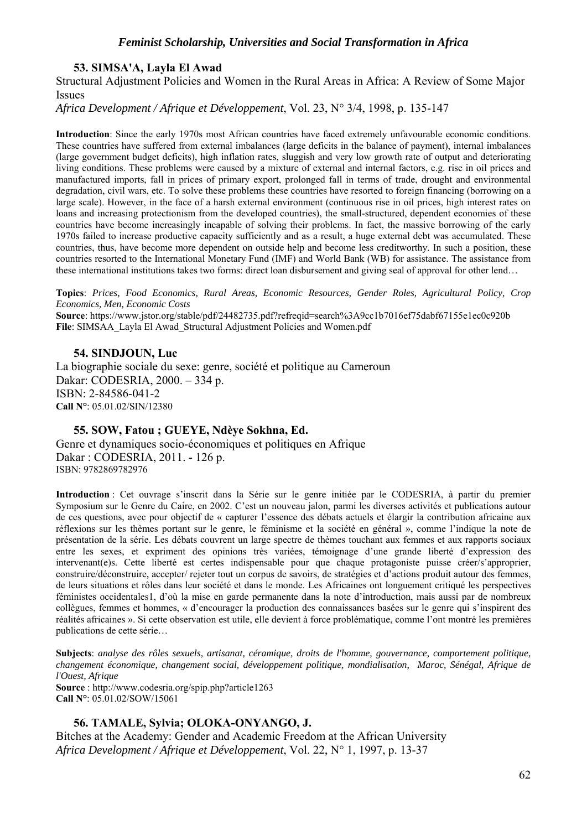## **53. SIMSA'A, Layla El Awad**

Structural Adjustment Policies and Women in the Rural Areas in Africa: A Review of Some Major Issues

*Africa Development / Afrique et Développement*, Vol. 23, N° 3/4, 1998, p. 135-147

**Introduction**: Since the early 1970s most African countries have faced extremely unfavourable economic conditions. These countries have suffered from external imbalances (large deficits in the balance of payment), internal imbalances (large government budget deficits), high inflation rates, sluggish and very low growth rate of output and deteriorating living conditions. These problems were caused by a mixture of external and internal factors, e.g. rise in oil prices and manufactured imports, fall in prices of primary export, prolonged fall in terms of trade, drought and environmental degradation, civil wars, etc. To solve these problems these countries have resorted to foreign financing (borrowing on a large scale). However, in the face of a harsh external environment (continuous rise in oil prices, high interest rates on loans and increasing protectionism from the developed countries), the small-structured, dependent economies of these countries have become increasingly incapable of solving their problems. In fact, the massive borrowing of the early 1970s failed to increase productive capacity sufficiently and as a result, a huge external debt was accumulated. These countries, thus, have become more dependent on outside help and become less creditworthy. In such a position, these countries resorted to the International Monetary Fund (IMF) and World Bank (WB) for assistance. The assistance from these international institutions takes two forms: direct loan disbursement and giving seal of approval for other lend…

**Topics**: *Prices, Food Economics, Rural Areas, Economic Resources, Gender Roles, Agricultural Policy, Crop Economics, Men, Economic Costs* **Source**: https://www.jstor.org/stable/pdf/24482735.pdf?refreqid=search%3A9cc1b7016ef75dabf67155e1ec0c920b **File**: SIMSAA\_Layla El Awad\_Structural Adjustment Policies and Women.pdf

## **54. SINDJOUN, Luc**

La biographie sociale du sexe: genre, société et politique au Cameroun Dakar: CODESRIA, 2000. – 334 p. ISBN: 2-84586-041-2 **Call N°**: 05.01.02/SIN/12380

#### **55. SOW, Fatou ; GUEYE, Ndèye Sokhna, Ed.**

Genre et dynamiques socio-économiques et politiques en Afrique Dakar : CODESRIA, 2011. - 126 p. ISBN: 9782869782976

**Introduction** : Cet ouvrage s'inscrit dans la Série sur le genre initiée par le CODESRIA, à partir du premier Symposium sur le Genre du Caire, en 2002. C'est un nouveau jalon, parmi les diverses activités et publications autour de ces questions, avec pour objectif de « capturer l'essence des débats actuels et élargir la contribution africaine aux réflexions sur les thèmes portant sur le genre, le féminisme et la société en général », comme l'indique la note de présentation de la série. Les débats couvrent un large spectre de thèmes touchant aux femmes et aux rapports sociaux entre les sexes, et expriment des opinions très variées, témoignage d'une grande liberté d'expression des intervenant(e)s. Cette liberté est certes indispensable pour que chaque protagoniste puisse créer/s'approprier, construire/déconstruire, accepter/ rejeter tout un corpus de savoirs, de stratégies et d'actions produit autour des femmes, de leurs situations et rôles dans leur société et dans le monde. Les Africaines ont longuement critiqué les perspectives féministes occidentales1, d'où la mise en garde permanente dans la note d'introduction, mais aussi par de nombreux collègues, femmes et hommes, « d'encourager la production des connaissances basées sur le genre qui s'inspirent des réalités africaines ». Si cette observation est utile, elle devient à force problématique, comme l'ont montré les premières publications de cette série…

**Subjects**: *analyse des rôles sexuels, artisanat, céramique, droits de l'homme, gouvernance, comportement politique, changement économique, changement social, développement politique, mondialisation, Maroc, Sénégal, Afrique de l'Ouest, Afrique*  **Source** : http://www.codesria.org/spip.php?article1263

**Call N°**: 05.01.02/SOW/15061

## **56. TAMALE, Sylvia; OLOKA-ONYANGO, J.**

Bitches at the Academy: Gender and Academic Freedom at the African University *Africa Development / Afrique et Développement*, Vol. 22, N° 1, 1997, p. 13-37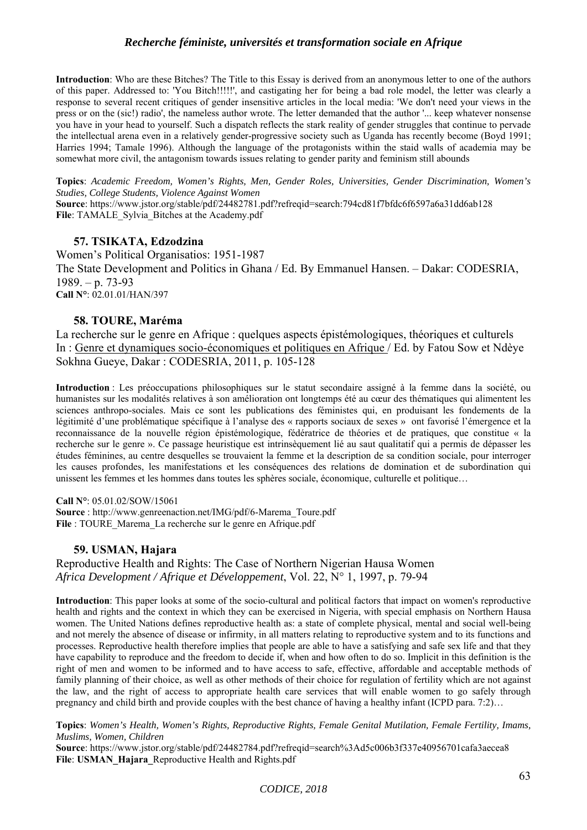**Introduction**: Who are these Bitches? The Title to this Essay is derived from an anonymous letter to one of the authors of this paper. Addressed to: 'You Bitch!!!!!', and castigating her for being a bad role model, the letter was clearly a response to several recent critiques of gender insensitive articles in the local media: 'We don't need your views in the press or on the (sic!) radio', the nameless author wrote. The letter demanded that the author '... keep whatever nonsense you have in your head to yourself. Such a dispatch reflects the stark reality of gender struggles that continue to pervade the intellectual arena even in a relatively gender-progressive society such as Uganda has recently become (Boyd 1991; Harries 1994; Tamale 1996). Although the language of the protagonists within the staid walls of academia may be somewhat more civil, the antagonism towards issues relating to gender parity and feminism still abounds

**Topics**: *Academic Freedom, Women's Rights, Men, Gender Roles, Universities, Gender Discrimination, Women's Studies, College Students, Violence Against Women*

**Source**: https://www.jstor.org/stable/pdf/24482781.pdf?refreqid=search:794cd81f7bfdc6f6597a6a31dd6ab128 File: TAMALE\_Sylvia\_Bitches at the Academy.pdf

#### **57. TSIKATA, Edzodzina**

Women's Political Organisatios: 1951-1987 The State Development and Politics in Ghana / Ed. By Emmanuel Hansen. – Dakar: CODESRIA, 1989. – p. 73-93 **Call N°**: 02.01.01/HAN/397

## **58. TOURE, Maréma**

La recherche sur le genre en Afrique : quelques aspects épistémologiques, théoriques et culturels In : Genre et dynamiques socio-économiques et politiques en Afrique / Ed. by Fatou Sow et Ndèye Sokhna Gueye, Dakar : CODESRIA, 2011, p. 105-128

**Introduction** : Les préoccupations philosophiques sur le statut secondaire assigné à la femme dans la société, ou humanistes sur les modalités relatives à son amélioration ont longtemps été au cœur des thématiques qui alimentent les sciences anthropo-sociales. Mais ce sont les publications des féministes qui, en produisant les fondements de la légitimité d'une problématique spécifique à l'analyse des « rapports sociaux de sexes » ont favorisé l'émergence et la reconnaissance de la nouvelle région épistémologique, fédératrice de théories et de pratiques, que constitue « la recherche sur le genre ». Ce passage heuristique est intrinsèquement lié au saut qualitatif qui a permis de dépasser les études féminines, au centre desquelles se trouvaient la femme et la description de sa condition sociale, pour interroger les causes profondes, les manifestations et les conséquences des relations de domination et de subordination qui unissent les femmes et les hommes dans toutes les sphères sociale, économique, culturelle et politique…

**Call N°**: 05.01.02/SOW/15061

**Source** : http://www.genreenaction.net/IMG/pdf/6-Marema\_Toure.pdf File : TOURE\_Marema\_La recherche sur le genre en Afrique.pdf

## **59. USMAN, Hajara**

Reproductive Health and Rights: The Case of Northern Nigerian Hausa Women *Africa Development / Afrique et Développement*, Vol. 22, N° 1, 1997, p. 79-94

**Introduction**: This paper looks at some of the socio-cultural and political factors that impact on women's reproductive health and rights and the context in which they can be exercised in Nigeria, with special emphasis on Northern Hausa women. The United Nations defines reproductive health as: a state of complete physical, mental and social well-being and not merely the absence of disease or infirmity, in all matters relating to reproductive system and to its functions and processes. Reproductive health therefore implies that people are able to have a satisfying and safe sex life and that they have capability to reproduce and the freedom to decide if, when and how often to do so. Implicit in this definition is the right of men and women to be informed and to have access to safe, effective, affordable and acceptable methods of family planning of their choice, as well as other methods of their choice for regulation of fertility which are not against the law, and the right of access to appropriate health care services that will enable women to go safely through pregnancy and child birth and provide couples with the best chance of having a healthy infant (ICPD para. 7:2)…

**Topics**: *Women's Health, Women's Rights, Reproductive Rights, Female Genital Mutilation, Female Fertility, Imams, Muslims, Women, Children*

**Source**: https://www.jstor.org/stable/pdf/24482784.pdf?refreqid=search%3Ad5c006b3f337e40956701cafa3aecea8 **File**: **USMAN\_Hajara\_**Reproductive Health and Rights.pdf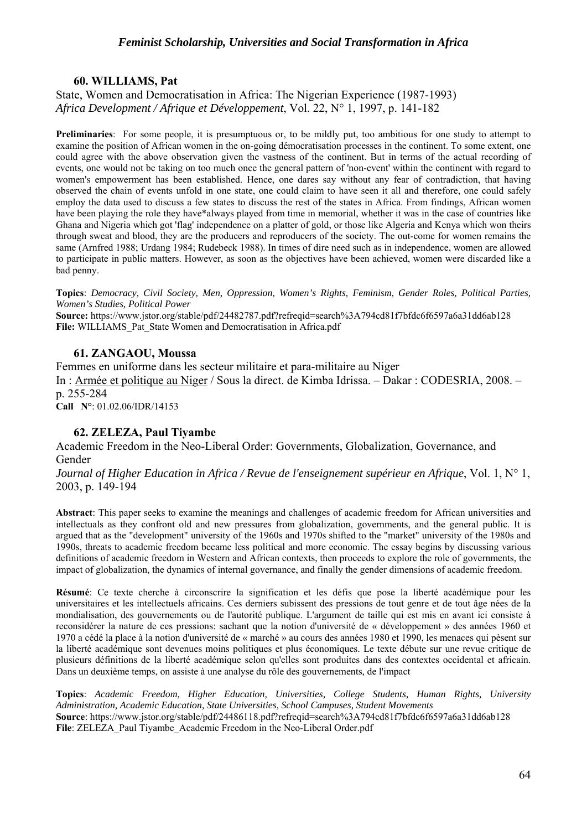## **60. WILLIAMS, Pat**

State, Women and Democratisation in Africa: The Nigerian Experience (1987-1993) *Africa Development / Afrique et Développement*, Vol. 22, N° 1, 1997, p. 141-182

**Preliminaries**: For some people, it is presumptuous or, to be mildly put, too ambitious for one study to attempt to examine the position of African women in the on-going démocratisation processes in the continent. To some extent, one could agree with the above observation given the vastness of the continent. But in terms of the actual recording of events, one would not be taking on too much once the general pattern of 'non-event' within the continent with regard to women's empowerment has been established. Hence, one dares say without any fear of contradiction, that having observed the chain of events unfold in one state, one could claim to have seen it all and therefore, one could safely employ the data used to discuss a few states to discuss the rest of the states in Africa. From findings, African women have been playing the role they have\*always played from time in memorial, whether it was in the case of countries like Ghana and Nigeria which got 'flag' independence on a platter of gold, or those like Algeria and Kenya which won theirs through sweat and blood, they are the producers and reproducers of the society. The out-come for women remains the same (Arnfred 1988; Urdang 1984; Rudebeck 1988). In times of dire need such as in independence, women are allowed to participate in public matters. However, as soon as the objectives have been achieved, women were discarded like a bad penny.

**Topics**: *Democracy, Civil Society, Men, Oppression, Women's Rights, Feminism, Gender Roles, Political Parties, Women's Studies, Political Power* 

**Source:** https://www.jstor.org/stable/pdf/24482787.pdf?refreqid=search%3A794cd81f7bfdc6f6597a6a31dd6ab128 **File:** WILLIAMS\_Pat\_State Women and Democratisation in Africa.pdf

## **61. ZANGAOU, Moussa**

Femmes en uniforme dans les secteur militaire et para-militaire au Niger In : Armée et politique au Niger / Sous la direct. de Kimba Idrissa. – Dakar : CODESRIA, 2008. – p. 255-284 **Call N°**: 01.02.06/IDR/14153

## **62. ZELEZA, Paul Tiyambe**

Academic Freedom in the Neo-Liberal Order: Governments, Globalization, Governance, and Gender

*Journal of Higher Education in Africa / Revue de l'enseignement supérieur en Afrique*, Vol. 1, N° 1, 2003, p. 149-194

**Abstract**: This paper seeks to examine the meanings and challenges of academic freedom for African universities and intellectuals as they confront old and new pressures from globalization, governments, and the general public. It is argued that as the "development" university of the 1960s and 1970s shifted to the "market" university of the 1980s and 1990s, threats to academic freedom became less political and more economic. The essay begins by discussing various definitions of academic freedom in Western and African contexts, then proceeds to explore the role of governments, the impact of globalization, the dynamics of internal governance, and finally the gender dimensions of academic freedom.

**Résumé**: Ce texte cherche à circonscrire la signification et les défis que pose la liberté académique pour les universitaires et les intellectuels africains. Ces derniers subissent des pressions de tout genre et de tout âge nées de la mondialisation, des gouvernements ou de l'autorité publique. L'argument de taille qui est mis en avant ici consiste à reconsidérer la nature de ces pressions: sachant que la notion d'université de « développement » des années 1960 et 1970 a cédé la place à la notion d'université de « marché » au cours des années 1980 et 1990, les menaces qui pèsent sur la liberté académique sont devenues moins politiques et plus économiques. Le texte débute sur une revue critique de plusieurs définitions de la liberté académique selon qu'elles sont produites dans des contextes occidental et africain. Dans un deuxième temps, on assiste à une analyse du rôle des gouvernements, de l'impact

**Topics**: *Academic Freedom, Higher Education, Universities, College Students, Human Rights, University Administration, Academic Education, State Universities, School Campuses, Student Movements* **Source**: https://www.jstor.org/stable/pdf/24486118.pdf?refreqid=search%3A794cd81f7bfdc6f6597a6a31dd6ab128 File: ZELEZA\_Paul Tiyambe\_Academic Freedom in the Neo-Liberal Order.pdf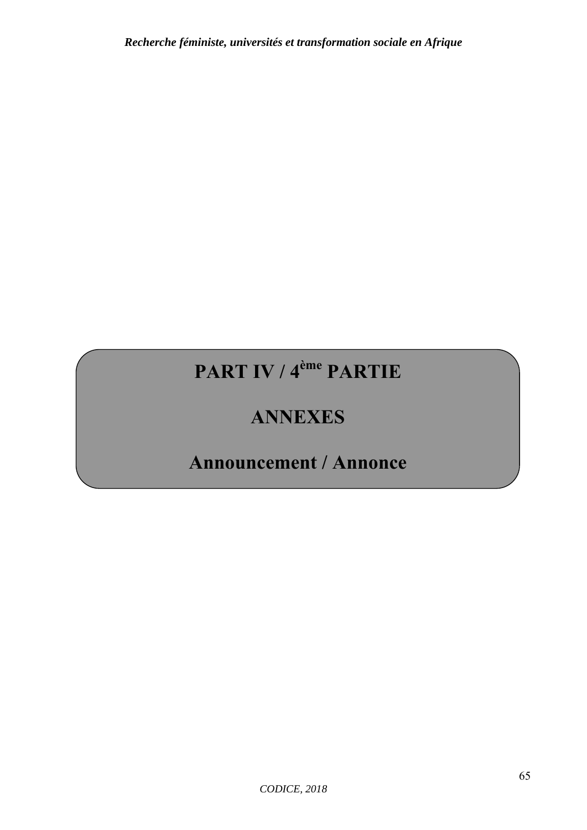# **PART IV / 4ème PARTIE**

# **ANNEXES**

# **Announcement / Annonce**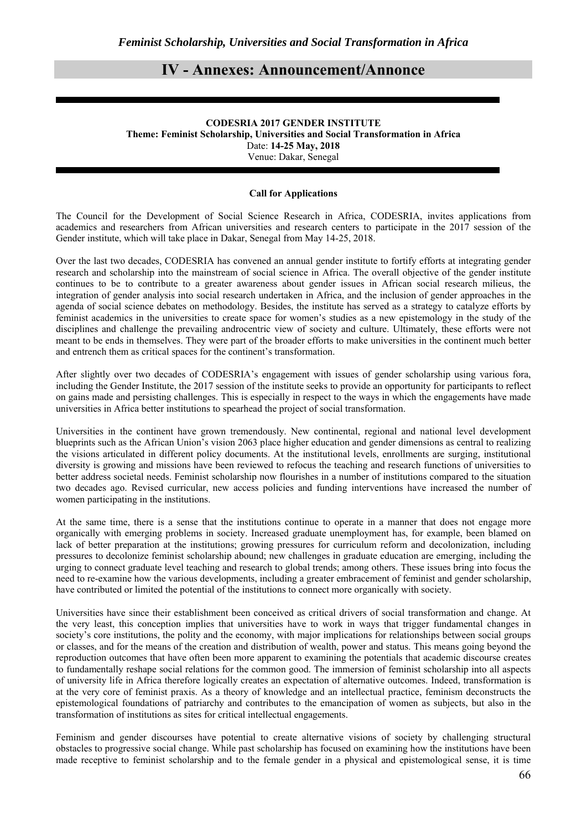## **IV - Annexes: Announcement/Annonce**

#### **CODESRIA 2017 GENDER INSTITUTE Theme: Feminist Scholarship, Universities and Social Transformation in Africa**  Date: **14-25 May, 2018**  Venue: Dakar, Senegal

#### **Call for Applications**

The Council for the Development of Social Science Research in Africa, CODESRIA, invites applications from academics and researchers from African universities and research centers to participate in the 2017 session of the Gender institute, which will take place in Dakar, Senegal from May 14-25, 2018.

Over the last two decades, CODESRIA has convened an annual gender institute to fortify efforts at integrating gender research and scholarship into the mainstream of social science in Africa. The overall objective of the gender institute continues to be to contribute to a greater awareness about gender issues in African social research milieus, the integration of gender analysis into social research undertaken in Africa, and the inclusion of gender approaches in the agenda of social science debates on methodology. Besides, the institute has served as a strategy to catalyze efforts by feminist academics in the universities to create space for women's studies as a new epistemology in the study of the disciplines and challenge the prevailing androcentric view of society and culture. Ultimately, these efforts were not meant to be ends in themselves. They were part of the broader efforts to make universities in the continent much better and entrench them as critical spaces for the continent's transformation.

After slightly over two decades of CODESRIA's engagement with issues of gender scholarship using various fora, including the Gender Institute, the 2017 session of the institute seeks to provide an opportunity for participants to reflect on gains made and persisting challenges. This is especially in respect to the ways in which the engagements have made universities in Africa better institutions to spearhead the project of social transformation.

Universities in the continent have grown tremendously. New continental, regional and national level development blueprints such as the African Union's vision 2063 place higher education and gender dimensions as central to realizing the visions articulated in different policy documents. At the institutional levels, enrollments are surging, institutional diversity is growing and missions have been reviewed to refocus the teaching and research functions of universities to better address societal needs. Feminist scholarship now flourishes in a number of institutions compared to the situation two decades ago. Revised curricular, new access policies and funding interventions have increased the number of women participating in the institutions.

At the same time, there is a sense that the institutions continue to operate in a manner that does not engage more organically with emerging problems in society. Increased graduate unemployment has, for example, been blamed on lack of better preparation at the institutions; growing pressures for curriculum reform and decolonization, including pressures to decolonize feminist scholarship abound; new challenges in graduate education are emerging, including the urging to connect graduate level teaching and research to global trends; among others. These issues bring into focus the need to re-examine how the various developments, including a greater embracement of feminist and gender scholarship, have contributed or limited the potential of the institutions to connect more organically with society.

Universities have since their establishment been conceived as critical drivers of social transformation and change. At the very least, this conception implies that universities have to work in ways that trigger fundamental changes in society's core institutions, the polity and the economy, with major implications for relationships between social groups or classes, and for the means of the creation and distribution of wealth, power and status. This means going beyond the reproduction outcomes that have often been more apparent to examining the potentials that academic discourse creates to fundamentally reshape social relations for the common good. The immersion of feminist scholarship into all aspects of university life in Africa therefore logically creates an expectation of alternative outcomes. Indeed, transformation is at the very core of feminist praxis. As a theory of knowledge and an intellectual practice, feminism deconstructs the epistemological foundations of patriarchy and contributes to the emancipation of women as subjects, but also in the transformation of institutions as sites for critical intellectual engagements.

Feminism and gender discourses have potential to create alternative visions of society by challenging structural obstacles to progressive social change. While past scholarship has focused on examining how the institutions have been made receptive to feminist scholarship and to the female gender in a physical and epistemological sense, it is time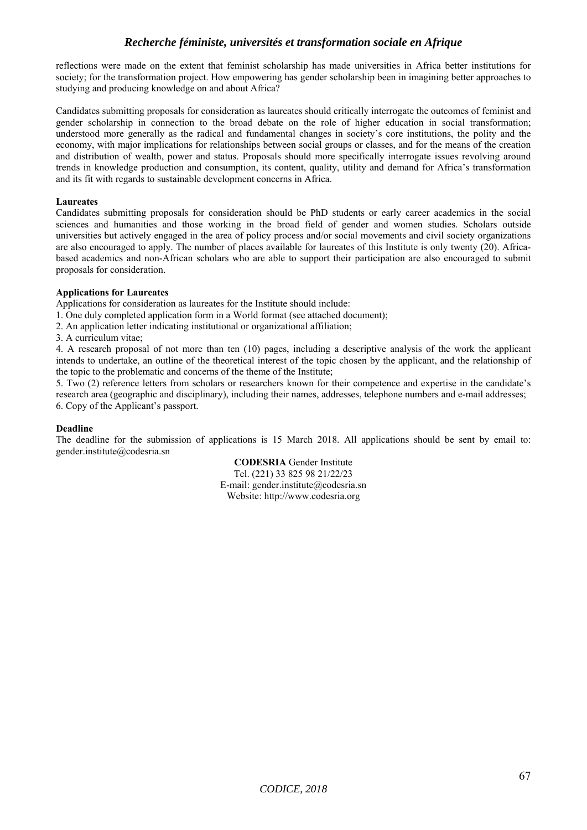reflections were made on the extent that feminist scholarship has made universities in Africa better institutions for society; for the transformation project. How empowering has gender scholarship been in imagining better approaches to studying and producing knowledge on and about Africa?

Candidates submitting proposals for consideration as laureates should critically interrogate the outcomes of feminist and gender scholarship in connection to the broad debate on the role of higher education in social transformation; understood more generally as the radical and fundamental changes in society's core institutions, the polity and the economy, with major implications for relationships between social groups or classes, and for the means of the creation and distribution of wealth, power and status. Proposals should more specifically interrogate issues revolving around trends in knowledge production and consumption, its content, quality, utility and demand for Africa's transformation and its fit with regards to sustainable development concerns in Africa.

#### **Laureates**

Candidates submitting proposals for consideration should be PhD students or early career academics in the social sciences and humanities and those working in the broad field of gender and women studies. Scholars outside universities but actively engaged in the area of policy process and/or social movements and civil society organizations are also encouraged to apply. The number of places available for laureates of this Institute is only twenty (20). Africabased academics and non-African scholars who are able to support their participation are also encouraged to submit proposals for consideration.

#### **Applications for Laureates**

Applications for consideration as laureates for the Institute should include:

1. One duly completed application form in a World format (see attached document);

2. An application letter indicating institutional or organizational affiliation;

3. A curriculum vitae;

4. A research proposal of not more than ten (10) pages, including a descriptive analysis of the work the applicant intends to undertake, an outline of the theoretical interest of the topic chosen by the applicant, and the relationship of the topic to the problematic and concerns of the theme of the Institute;

5. Two (2) reference letters from scholars or researchers known for their competence and expertise in the candidate's research area (geographic and disciplinary), including their names, addresses, telephone numbers and e-mail addresses; 6. Copy of the Applicant's passport.

#### **Deadline**

The deadline for the submission of applications is 15 March 2018. All applications should be sent by email to: gender.institute@codesria.sn

> **CODESRIA** Gender Institute Tel. (221) 33 825 98 21/22/23 E-mail: gender.institute@codesria.sn Website: http://www.codesria.org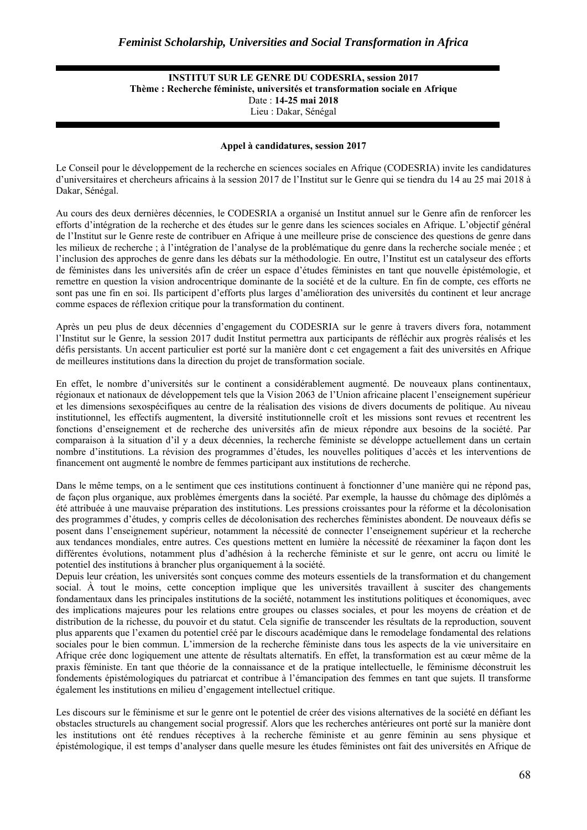#### **INSTITUT SUR LE GENRE DU CODESRIA, session 2017 Thème : Recherche féministe, universités et transformation sociale en Afrique**  Date : **14-25 mai 2018**  Lieu : Dakar, Sénégal

#### **Appel à candidatures, session 2017**

Le Conseil pour le développement de la recherche en sciences sociales en Afrique (CODESRIA) invite les candidatures d'universitaires et chercheurs africains à la session 2017 de l'Institut sur le Genre qui se tiendra du 14 au 25 mai 2018 à Dakar, Sénégal.

Au cours des deux dernières décennies, le CODESRIA a organisé un Institut annuel sur le Genre afin de renforcer les efforts d'intégration de la recherche et des études sur le genre dans les sciences sociales en Afrique. L'objectif général de l'Institut sur le Genre reste de contribuer en Afrique à une meilleure prise de conscience des questions de genre dans les milieux de recherche ; à l'intégration de l'analyse de la problématique du genre dans la recherche sociale menée ; et l'inclusion des approches de genre dans les débats sur la méthodologie. En outre, l'Institut est un catalyseur des efforts de féministes dans les universités afin de créer un espace d'études féministes en tant que nouvelle épistémologie, et remettre en question la vision androcentrique dominante de la société et de la culture. En fin de compte, ces efforts ne sont pas une fin en soi. Ils participent d'efforts plus larges d'amélioration des universités du continent et leur ancrage comme espaces de réflexion critique pour la transformation du continent.

Après un peu plus de deux décennies d'engagement du CODESRIA sur le genre à travers divers fora, notamment l'Institut sur le Genre, la session 2017 dudit Institut permettra aux participants de réfléchir aux progrès réalisés et les défis persistants. Un accent particulier est porté sur la manière dont c cet engagement a fait des universités en Afrique de meilleures institutions dans la direction du projet de transformation sociale.

En effet, le nombre d'universités sur le continent a considérablement augmenté. De nouveaux plans continentaux, régionaux et nationaux de développement tels que la Vision 2063 de l'Union africaine placent l'enseignement supérieur et les dimensions sexospécifiques au centre de la réalisation des visions de divers documents de politique. Au niveau institutionnel, les effectifs augmentent, la diversité institutionnelle croît et les missions sont revues et recentrent les fonctions d'enseignement et de recherche des universités afin de mieux répondre aux besoins de la société. Par comparaison à la situation d'il y a deux décennies, la recherche féministe se développe actuellement dans un certain nombre d'institutions. La révision des programmes d'études, les nouvelles politiques d'accès et les interventions de financement ont augmenté le nombre de femmes participant aux institutions de recherche.

Dans le même temps, on a le sentiment que ces institutions continuent à fonctionner d'une manière qui ne répond pas, de façon plus organique, aux problèmes émergents dans la société. Par exemple, la hausse du chômage des diplômés a été attribuée à une mauvaise préparation des institutions. Les pressions croissantes pour la réforme et la décolonisation des programmes d'études, y compris celles de décolonisation des recherches féministes abondent. De nouveaux défis se posent dans l'enseignement supérieur, notamment la nécessité de connecter l'enseignement supérieur et la recherche aux tendances mondiales, entre autres. Ces questions mettent en lumière la nécessité de réexaminer la façon dont les différentes évolutions, notamment plus d'adhésion à la recherche féministe et sur le genre, ont accru ou limité le potentiel des institutions à brancher plus organiquement à la société.

Depuis leur création, les universités sont conçues comme des moteurs essentiels de la transformation et du changement social. À tout le moins, cette conception implique que les universités travaillent à susciter des changements fondamentaux dans les principales institutions de la société, notamment les institutions politiques et économiques, avec des implications majeures pour les relations entre groupes ou classes sociales, et pour les moyens de création et de distribution de la richesse, du pouvoir et du statut. Cela signifie de transcender les résultats de la reproduction, souvent plus apparents que l'examen du potentiel créé par le discours académique dans le remodelage fondamental des relations sociales pour le bien commun. L'immersion de la recherche féministe dans tous les aspects de la vie universitaire en Afrique crée donc logiquement une attente de résultats alternatifs. En effet, la transformation est au cœur même de la praxis féministe. En tant que théorie de la connaissance et de la pratique intellectuelle, le féminisme déconstruit les fondements épistémologiques du patriarcat et contribue à l'émancipation des femmes en tant que sujets. Il transforme également les institutions en milieu d'engagement intellectuel critique.

Les discours sur le féminisme et sur le genre ont le potentiel de créer des visions alternatives de la société en défiant les obstacles structurels au changement social progressif. Alors que les recherches antérieures ont porté sur la manière dont les institutions ont été rendues réceptives à la recherche féministe et au genre féminin au sens physique et épistémologique, il est temps d'analyser dans quelle mesure les études féministes ont fait des universités en Afrique de